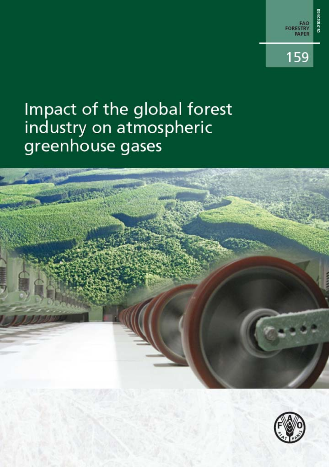

# Impact of the global forest industry on atmospheric greenhouse gases



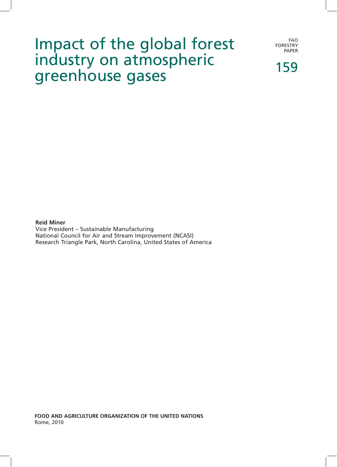## Impact of the global forest industry on atmospheric greenhouse gases

FAO FORESTRY PAPER

159

### **Reid Miner**

Vice President – Sustainable Manufacturing National Council for Air and Stream Improvement (NCASI) Research Triangle Park, North Carolina, United States of America

**food and agriculture organization of the united nations** Rome, 2010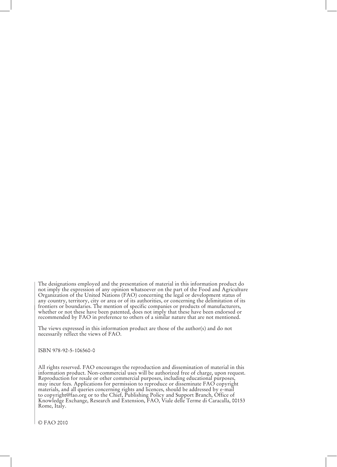The designations employed and the presentation of material in this information product do not imply the expression of any opinion whatsoever on the part of the Food and Agriculture Organization of the United Nations (FAO) concerning the legal or development status of any country, territory, city or area or of its authorities, or concerning the delimitation of its frontiers or boundaries. The mention of specific companies or products of manufacturers, whether or not these have been patented, does not imply that these have been endorsed or recommended by FAO in preference to others of a similar nature that are not mentioned.

The views expressed in this information product are those of the author(s) and do not necessarily reflect the views of FAO.

ISBN 978-92-5-106560-0

All rights reserved. FAO encourages the reproduction and dissemination of material in this information product. Non-commercial uses will be authorized free of charge, upon request. Reproduction for resale or other commercial purposes, including educational purposes, may incur fees. Applications for permission to reproduce or disseminate FAO copyright materials, and all queries concerning rights and licences, should be addressed by e-mail to copyright@fao.org or to the Chief, Publishing Policy and Support Branch, Office of Knowledge Exchange, Research and Extension, FAO, Viale delle Terme di Caracalla, 00153 Rome, Italy.

© FAO 2010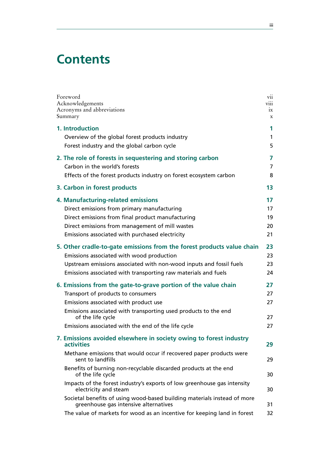### **Contents**

| Foreword                                                                                                                                                                                                                                                                                                                                                                                                                                                                                        | V11                        |
|-------------------------------------------------------------------------------------------------------------------------------------------------------------------------------------------------------------------------------------------------------------------------------------------------------------------------------------------------------------------------------------------------------------------------------------------------------------------------------------------------|----------------------------|
| Acknowledgements                                                                                                                                                                                                                                                                                                                                                                                                                                                                                | V111                       |
| Acronyms and abbreviations                                                                                                                                                                                                                                                                                                                                                                                                                                                                      | 1X                         |
| Summary                                                                                                                                                                                                                                                                                                                                                                                                                                                                                         | $\mathbf X$                |
| 1. Introduction                                                                                                                                                                                                                                                                                                                                                                                                                                                                                 | 1                          |
| Overview of the global forest products industry                                                                                                                                                                                                                                                                                                                                                                                                                                                 | $\mathbf{1}$               |
| Forest industry and the global carbon cycle                                                                                                                                                                                                                                                                                                                                                                                                                                                     | 5                          |
| 2. The role of forests in sequestering and storing carbon                                                                                                                                                                                                                                                                                                                                                                                                                                       | 7                          |
| Carbon in the world's forests                                                                                                                                                                                                                                                                                                                                                                                                                                                                   | $\overline{7}$             |
| Effects of the forest products industry on forest ecosystem carbon                                                                                                                                                                                                                                                                                                                                                                                                                              | 8                          |
| 3. Carbon in forest products                                                                                                                                                                                                                                                                                                                                                                                                                                                                    | 13                         |
| 4. Manufacturing-related emissions                                                                                                                                                                                                                                                                                                                                                                                                                                                              | 17                         |
| Direct emissions from primary manufacturing                                                                                                                                                                                                                                                                                                                                                                                                                                                     | 17                         |
| Direct emissions from final product manufacturing                                                                                                                                                                                                                                                                                                                                                                                                                                               | 19                         |
| Direct emissions from management of mill wastes                                                                                                                                                                                                                                                                                                                                                                                                                                                 | 20                         |
| Emissions associated with purchased electricity                                                                                                                                                                                                                                                                                                                                                                                                                                                 | 21                         |
| 5. Other cradle-to-gate emissions from the forest products value chain                                                                                                                                                                                                                                                                                                                                                                                                                          | 23                         |
| Emissions associated with wood production                                                                                                                                                                                                                                                                                                                                                                                                                                                       | 23                         |
| Upstream emissions associated with non-wood inputs and fossil fuels                                                                                                                                                                                                                                                                                                                                                                                                                             | 23                         |
| Emissions associated with transporting raw materials and fuels                                                                                                                                                                                                                                                                                                                                                                                                                                  | 24                         |
| 6. Emissions from the gate-to-grave portion of the value chain<br>Transport of products to consumers<br>Emissions associated with product use<br>Emissions associated with transporting used products to the end<br>of the life cycle<br>Emissions associated with the end of the life cycle                                                                                                                                                                                                    | 27<br>27<br>27<br>27<br>27 |
| 7. Emissions avoided elsewhere in society owing to forest industry<br>activities<br>Methane emissions that would occur if recovered paper products were<br>sent to landfills<br>Benefits of burning non-recyclable discarded products at the end<br>of the life cycle<br>Impacts of the forest industry's exports of low greenhouse gas intensity<br>electricity and steam<br>Societal benefits of using wood-based building materials instead of more<br>greenhouse gas intensive alternatives | 29<br>29<br>30<br>30<br>31 |
| The value of markets for wood as an incentive for keeping land in forest                                                                                                                                                                                                                                                                                                                                                                                                                        | 32                         |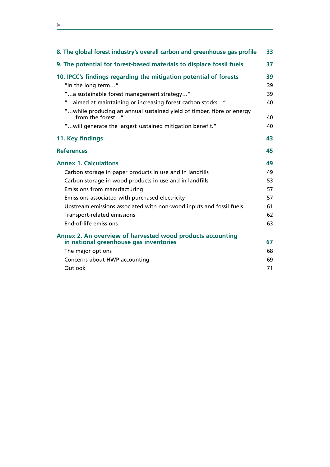| 8. The global forest industry's overall carbon and greenhouse gas profile                 | 33 |
|-------------------------------------------------------------------------------------------|----|
| 9. The potential for forest-based materials to displace fossil fuels                      | 37 |
| 10. IPCC's findings regarding the mitigation potential of forests                         | 39 |
| "In the long term"                                                                        | 39 |
| "a sustainable forest management strategy"                                                | 39 |
| "aimed at maintaining or increasing forest carbon stocks"                                 | 40 |
| "while producing an annual sustained yield of timber, fibre or energy<br>from the forest" | 40 |
| " will generate the largest sustained mitigation benefit."                                | 40 |
| 11. Key findings                                                                          | 43 |
| <b>References</b>                                                                         | 45 |
| <b>Annex 1. Calculations</b>                                                              | 49 |
| Carbon storage in paper products in use and in landfills                                  | 49 |
| Carbon storage in wood products in use and in landfills                                   | 53 |
| Emissions from manufacturing                                                              | 57 |
| Emissions associated with purchased electricity                                           | 57 |
| Upstream emissions associated with non-wood inputs and fossil fuels                       | 61 |
| Transport-related emissions                                                               | 62 |
| End-of-life emissions                                                                     | 63 |
|                                                                                           |    |

<u> 1980 - Johann Barbara, martxa alemaniar a</u>

| Annex 2. An overview of harvested wood products accounting<br>in national greenhouse gas inventories | 67 |
|------------------------------------------------------------------------------------------------------|----|
| The major options                                                                                    | 68 |
| Concerns about HWP accounting                                                                        | 69 |
| Outlook                                                                                              | 71 |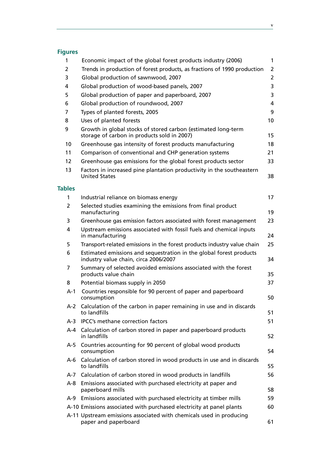### **Figures**

| 1             | Economic impact of the global forest products industry (2006)                                                | $\mathbf{1}$   |
|---------------|--------------------------------------------------------------------------------------------------------------|----------------|
| 2             | Trends in production of forest products, as fractions of 1990 production                                     | $\overline{2}$ |
| 3             | Global production of sawnwood, 2007                                                                          | $\overline{2}$ |
| 4             | Global production of wood-based panels, 2007                                                                 | 3              |
| 5             | Global production of paper and paperboard, 2007                                                              | 3              |
| 6             | Global production of roundwood, 2007                                                                         | 4              |
| 7             | Types of planted forests, 2005                                                                               | 9              |
| 8             | Uses of planted forests                                                                                      | 10             |
| 9             | Growth in global stocks of stored carbon (estimated long-term<br>storage of carbon in products sold in 2007) | 15             |
| 10            | Greenhouse gas intensity of forest products manufacturing                                                    | 18             |
| 11            | Comparison of conventional and CHP generation systems                                                        | 21             |
| 12            | Greenhouse gas emissions for the global forest products sector                                               | 33             |
| 13            | Factors in increased pine plantation productivity in the southeastern<br><b>United States</b>                | 38             |
| <b>Tables</b> |                                                                                                              |                |
| $\mathbf{1}$  | Industrial reliance on biomass energy                                                                        | 17             |
| 2             | Selected studies examining the emissions from final product<br>manufacturing                                 | 19             |
| 3             | Greenhouse gas emission factors associated with forest management                                            | 23             |
| 4             | Upstream emissions associated with fossil fuels and chemical inputs<br>in manufacturing                      | 24             |
| 5             | Transport-related emissions in the forest products industry value chain                                      | 25             |
| 6             | Estimated emissions and sequestration in the global forest products<br>industry value chain, circa 2006/2007 | 34             |
| 7             | Summary of selected avoided emissions associated with the forest<br>products value chain                     | 35             |
| 8             | Potential biomass supply in 2050                                                                             | 37             |
| $A-1$         | Countries responsible for 90 percent of paper and paperboard<br>consumption                                  | 50             |
|               | A-2 Calculation of the carbon in paper remaining in use and in discards<br>to landfills                      | 51             |
| A-3           | IPCC's methane correction factors                                                                            | 51             |
|               | A-4 Calculation of carbon stored in paper and paperboard products<br>in landfills                            | 52             |
| A-5           | Countries accounting for 90 percent of global wood products<br>consumption                                   | 54             |
| A-6           | Calculation of carbon stored in wood products in use and in discards<br>to landfills                         | 55             |
| A-7           | Calculation of carbon stored in wood products in landfills                                                   | 56             |
|               | A-8 Emissions associated with purchased electricity at paper and<br>paperboard mills                         | 58             |
| A-9           | Emissions associated with purchased electricity at timber mills                                              | 59             |
|               | A-10 Emissions associated with purchased electricity at panel plants                                         | 60             |
|               | A-11 Upstream emissions associated with chemicals used in producing<br>paper and paperboard                  | 61             |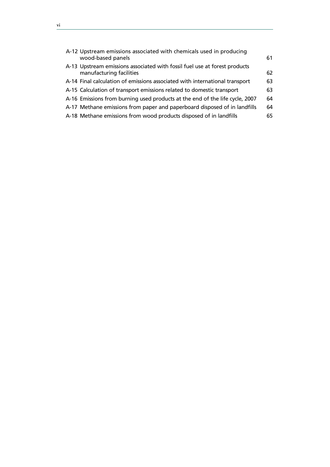| A-12 Upstream emissions associated with chemicals used in producing<br>wood-based panels               | 61 |
|--------------------------------------------------------------------------------------------------------|----|
| A-13 Upstream emissions associated with fossil fuel use at forest products<br>manufacturing facilities | 62 |
| A-14 Final calculation of emissions associated with international transport                            | 63 |
| A-15 Calculation of transport emissions related to domestic transport                                  | 63 |
| A-16 Emissions from burning used products at the end of the life cycle, 2007                           | 64 |
| A-17 Methane emissions from paper and paperboard disposed of in landfills                              | 64 |
| A-18 Methane emissions from wood products disposed of in landfills                                     | 65 |
|                                                                                                        |    |

 $\overline{a}$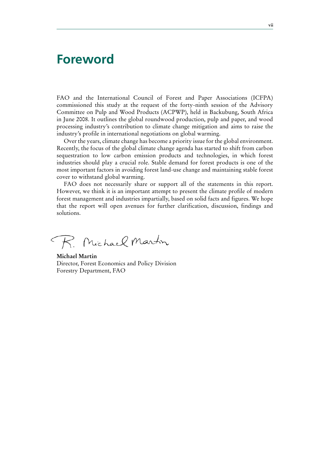### **Foreword**

FAO and the International Council of Forest and Paper Associations (ICFPA) commissioned this study at the request of the forty-ninth session of the Advisory Committee on Pulp and Wood Products (ACPWP), held in Backubung, South Africa in June 2008. It outlines the global roundwood production, pulp and paper, and wood processing industry's contribution to climate change mitigation and aims to raise the industry's profile in international negotiations on global warming.

Over the years, climate change has become a priority issue for the global environment. Recently, the focus of the global climate change agenda has started to shift from carbon sequestration to low carbon emission products and technologies, in which forest industries should play a crucial role. Stable demand for forest products is one of the most important factors in avoiding forest land-use change and maintaining stable forest cover to withstand global warming.

FAO does not necessarily share or support all of the statements in this report. However, we think it is an important attempt to present the climate profile of modern forest management and industries impartially, based on solid facts and figures. We hope that the report will open avenues for further clarification, discussion, findings and solutions.

R. Michael Martin

**Michael Martin** Director, Forest Economics and Policy Division Forestry Department, FAO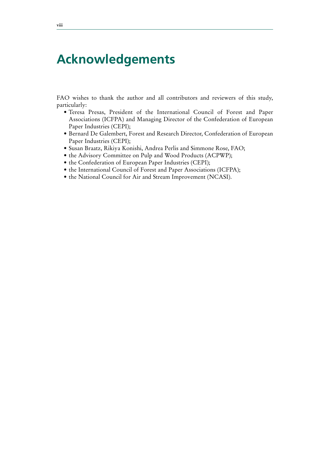### **Acknowledgements**

FAO wishes to thank the author and all contributors and reviewers of this study, particularly:

- · Teresa Presas, President of the International Council of Forest and Paper Associations (ICFPA) and Managing Director of the Confederation of European Paper Industries (CEPI);
- Bernard De Galembert, Forest and Research Director, Confederation of European Paper Industries (CEPI);
- · Susan Braatz, Rikiya Konishi, Andrea Perlis and Simmone Rose, FAO;
- $\bullet$  the Advisory Committee on Pulp and Wood Products (ACPWP);
- the Confederation of European Paper Industries (CEPI);
- the International Council of Forest and Paper Associations (ICFPA);
- the National Council for Air and Stream Improvement (NCASI).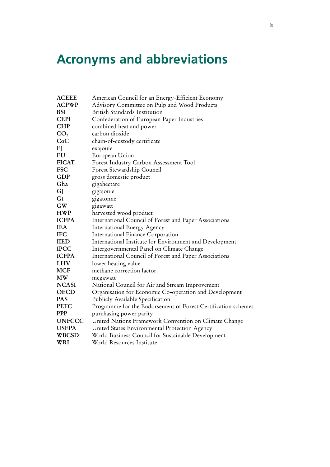### **Acronyms and abbreviations**

| <b>ACEEE</b>    | American Council for an Energy-Efficient Economy              |
|-----------------|---------------------------------------------------------------|
| <b>ACPWP</b>    | Advisory Committee on Pulp and Wood Products                  |
| <b>BSI</b>      | British Standards Institution                                 |
| <b>CEPI</b>     | Confederation of European Paper Industries                    |
| <b>CHP</b>      | combined heat and power                                       |
| CO <sub>2</sub> | carbon dioxide                                                |
| CoC             | chain-of-custody certificate                                  |
| EJ              | exajoule                                                      |
| EU              | European Union                                                |
| <b>FICAT</b>    | Forest Industry Carbon Assessment Tool                        |
| <b>FSC</b>      | Forest Stewardship Council                                    |
| <b>GDP</b>      | gross domestic product                                        |
| Gha             | gigahectare                                                   |
| GJ              | gigajoule                                                     |
| Gt              | gigatonne                                                     |
| <b>GW</b>       | gigawatt                                                      |
| <b>HWP</b>      | harvested wood product                                        |
| <b>ICFPA</b>    | International Council of Forest and Paper Associations        |
| <b>IEA</b>      | <b>International Energy Agency</b>                            |
| <b>IFC</b>      | International Finance Corporation                             |
| <b>IIED</b>     | International Institute for Environment and Development       |
| <b>IPCC</b>     | Intergovernmental Panel on Climate Change                     |
| <b>ICFPA</b>    | International Council of Forest and Paper Associations        |
| <b>LHV</b>      | lower heating value                                           |
| <b>MCF</b>      | methane correction factor                                     |
| <b>MW</b>       | megawatt                                                      |
| <b>NCASI</b>    | National Council for Air and Stream Improvement               |
| <b>OECD</b>     | Organisation for Economic Co-operation and Development        |
| <b>PAS</b>      | Publicly Available Specification                              |
| <b>PEFC</b>     | Programme for the Endorsement of Forest Certification schemes |
| <b>PPP</b>      | purchasing power parity                                       |
| <b>UNFCCC</b>   | United Nations Framework Convention on Climate Change         |
| <b>USEPA</b>    | United States Environmental Protection Agency                 |
| <b>WBCSD</b>    | World Business Council for Sustainable Development            |
| WRI             | World Resources Institute                                     |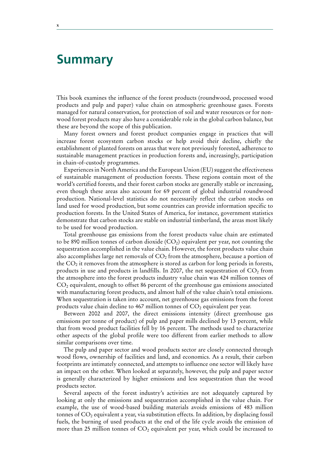### **Summary**

This book examines the influence of the forest products (roundwood, processed wood products and pulp and paper) value chain on atmospheric greenhouse gases. Forests managed for natural conservation, for protection of soil and water resources or for nonwood forest products may also have a considerable role in the global carbon balance, but these are beyond the scope of this publication.

Many forest owners and forest product companies engage in practices that will increase forest ecosystem carbon stocks or help avoid their decline, chiefly the establishment of planted forests on areas that were not previously forested, adherence to sustainable management practices in production forests and, increasingly, participation in chain-of-custody programmes.

Experiences in North America and the European Union (EU) suggest the effectiveness of sustainable management of production forests. These regions contain most of the world's certified forests, and their forest carbon stocks are generally stable or increasing, even though these areas also account for 69 percent of global industrial roundwood production. National-level statistics do not necessarily reflect the carbon stocks on land used for wood production, but some countries can provide information specific to production forests. In the United States of America, for instance, government statistics demonstrate that carbon stocks are stable on industrial timberland, the areas most likely to be used for wood production.

Total greenhouse gas emissions from the forest products value chain are estimated to be 890 million tonnes of carbon dioxide  $(CO_2)$  equivalent per year, not counting the sequestration accomplished in the value chain. However, the forest products value chain also accomplishes large net removals of  $CO<sub>2</sub>$  from the atmosphere, because a portion of the  $CO<sub>2</sub>$  it removes from the atmosphere is stored as carbon for long periods in forests, products in use and products in landfills. In 2007, the net sequestration of  $CO<sub>2</sub>$  from the atmosphere into the forest products industry value chain was 424 million tonnes of  $CO<sub>2</sub>$  equivalent, enough to offset 86 percent of the greenhouse gas emissions associated with manufacturing forest products, and almost half of the value chain's total emissions. When sequestration is taken into account, net greenhouse gas emissions from the forest products value chain decline to 467 million tonnes of  $CO<sub>2</sub>$  equivalent per year.

Between 2002 and 2007, the direct emissions intensity (direct greenhouse gas emissions per tonne of product) of pulp and paper mills declined by 13 percent, while that from wood product facilities fell by 16 percent. The methods used to characterize other aspects of the global profile were too different from earlier methods to allow similar comparisons over time.

The pulp and paper sector and wood products sector are closely connected through wood flows, ownership of facilities and land, and economics. As a result, their carbon footprints are intimately connected, and attempts to influence one sector will likely have an impact on the other. When looked at separately, however, the pulp and paper sector is generally characterized by higher emissions and less sequestration than the wood products sector.

Several aspects of the forest industry's activities are not adequately captured by looking at only the emissions and sequestration accomplished in the value chain. For example, the use of wood-based building materials avoids emissions of 483 million tonnes of  $CO<sub>2</sub>$  equivalent a year, via substitution effects. In addition, by displacing fossil fuels, the burning of used products at the end of the life cycle avoids the emission of more than 25 million tonnes of  $CO<sub>2</sub>$  equivalent per year, which could be increased to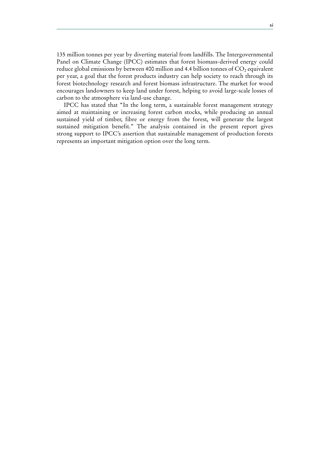135 million tonnes per year by diverting material from landfills. The Intergovernmental Panel on Climate Change (IPCC) estimates that forest biomass-derived energy could reduce global emissions by between 400 million and 4.4 billion tonnes of  $CO<sub>2</sub>$  equivalent per year, a goal that the forest products industry can help society to reach through its forest biotechnology research and forest biomass infrastructure. The market for wood encourages landowners to keep land under forest, helping to avoid large-scale losses of carbon to the atmosphere via land-use change.

IPCC has stated that "In the long term, a sustainable forest management strategy aimed at maintaining or increasing forest carbon stocks, while producing an annual sustained yield of timber, fibre or energy from the forest, will generate the largest sustained mitigation benefit." The analysis contained in the present report gives strong support to IPCC's assertion that sustainable management of production forests represents an important mitigation option over the long term.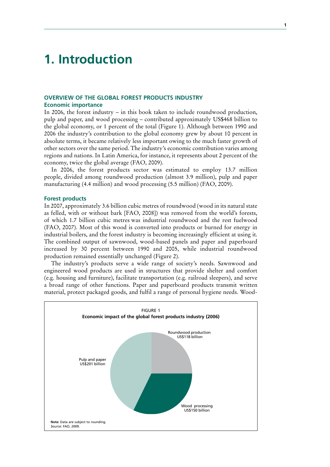### **1. Introduction**

### **OVERVIEW OF THE GLOBAL FOREST PRODUCTS INDUSTRY Economic importance**

In 2006, the forest industry – in this book taken to include roundwood production, pulp and paper, and wood processing – contributed approximately US\$468 billion to the global economy, or 1 percent of the total (Figure 1). Although between 1990 and 2006 the industry's contribution to the global economy grew by about 10 percent in absolute terms, it became relatively less important owing to the much faster growth of other sectors over the same period. The industry's economic contribution varies among regions and nations. In Latin America, for instance, it represents about 2 percent of the economy, twice the global average (FAO, 2009).

In 2006, the forest products sector was estimated to employ 13.7 million people, divided among roundwood production (almost 3.9 million), pulp and paper manufacturing (4.4 million) and wood processing (5.5 million) (FAO, 2009).

#### **Forest products**

In 2007, approximately 3.6 billion cubic metres of roundwood (wood in its natural state as felled, with or without bark [FAO, 2008]) was removed from the world's forests, of which 1.7 billion cubic metres was industrial roundwood and the rest fuelwood (FAO, 2007). Most of this wood is converted into products or burned for energy in industrial boilers, and the forest industry is becoming increasingly efficient at using it. The combined output of sawnwood, wood-based panels and paper and paperboard increased by 30 percent between 1990 and 2005, while industrial roundwood production remained essentially unchanged (Figure 2).

The industry's products serve a wide range of society's needs. Sawnwood and engineered wood products are used in structures that provide shelter and comfort (e.g. housing and furniture), facilitate transportation (e.g. railroad sleepers), and serve a broad range of other functions. Paper and paperboard products transmit written material, protect packaged goods, and fulfil a range of personal hygiene needs. Wood-

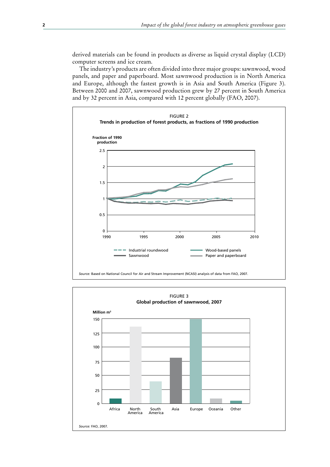derived materials can be found in products as diverse as liquid crystal display (LCD) computer screens and ice cream.

The industry's products are often divided into three major groups: sawnwood, wood panels, and paper and paperboard. Most sawnwood production is in North America and Europe, although the fastest growth is in Asia and South America (Figure 3). Between 2000 and 2007, sawnwood production grew by 27 percent in South America and by 32 percent in Asia, compared with 12 percent globally (FAO, 2007).



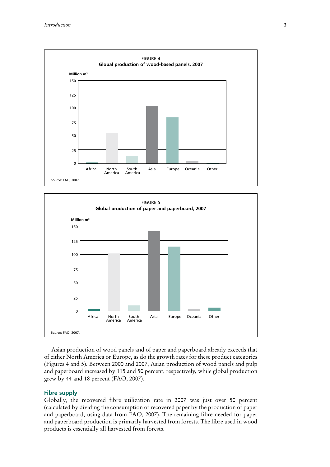



Asian production of wood panels and of paper and paperboard already exceeds that of either North America or Europe, as do the growth rates for these product categories (Figures 4 and 5). Between 2000 and 2007, Asian production of wood panels and pulp and paperboard increased by 115 and 50 percent, respectively, while global production grew by 44 and 18 percent (FAO, 2007).

### **Fibre supply**

Globally, the recovered fibre utilization rate in 2007 was just over 50 percent (calculated by dividing the consumption of recovered paper by the production of paper and paperboard, using data from FAO, 2007). The remaining fibre needed for paper and paperboard production is primarily harvested from forests. The fibre used in wood products is essentially all harvested from forests.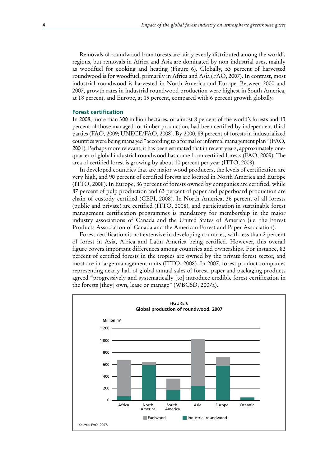Removals of roundwood from forests are fairly evenly distributed among the world's regions, but removals in Africa and Asia are dominated by non-industrial uses, mainly as woodfuel for cooking and heating (Figure 6). Globally, 53 percent of harvested roundwood is for woodfuel, primarily in Africa and Asia (FAO, 2007). In contrast, most industrial roundwood is harvested in North America and Europe. Between 2000 and 2007, growth rates in industrial roundwood production were highest in South America, at 18 percent, and Europe, at 19 percent, compared with 6 percent growth globally.

#### **Forest certification**

In 2008, more than 300 million hectares, or almost 8 percent of the world's forests and 13 percent of those managed for timber production, had been certified by independent third parties (FAO, 2009; UNECE/FAO, 2008). By 2000, 89 percent of forests in industrialized countries were being managed "according to a formal or informal management plan" (FAO, 2001). Perhaps more relevant, it has been estimated that in recent years, approximately onequarter of global industrial roundwood has come from certified forests (FAO, 2009). The area of certified forest is growing by about 10 percent per year (ITTO, 2008).

In developed countries that are major wood producers, the levels of certification are very high, and 90 percent of certified forests are located in North America and Europe (ITTO, 2008). In Europe, 86 percent of forests owned by companies are certified, while 87 percent of pulp production and 63 percent of paper and paperboard production are chain-of-custody-certified (CEPI, 2008). In North America, 36 percent of all forests (public and private) are certified (ITTO, 2008), and participation in sustainable forest management certification programmes is mandatory for membership in the major industry associations of Canada and the United States of America (i.e. the Forest Products Association of Canada and the American Forest and Paper Association).

Forest certification is not extensive in developing countries, with less than 2 percent of forest in Asia, Africa and Latin America being certified. However, this overall figure covers important differences among countries and ownerships. For instance, 82 percent of certified forests in the tropics are owned by the private forest sector, and most are in large management units (ITTO, 2008). In 2007, forest product companies representing nearly half of global annual sales of forest, paper and packaging products agreed "progressively and systematically [to] introduce credible forest certification in the forests [they] own, lease or manage" (WBCSD, 2007a).

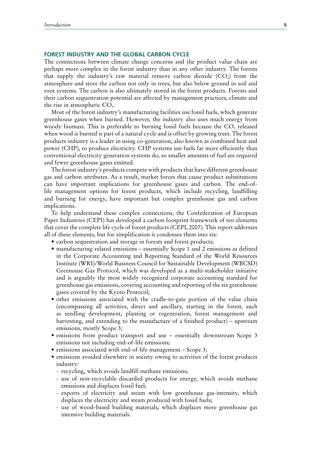#### **FOREST INDUSTRY AND THE GLOBAL CARBON CYCLE**

The connections between climate change concerns and the product value chain are perhaps more complex in the forest industry than in any other industry. The forests that supply the industry's raw material remove carbon dioxide  $(CO<sub>2</sub>)$  from the atmosphere and store the carbon not only in trees, but also below ground in soil and root systems. The carbon is also ultimately stored in the forest products. Forests and their carbon sequestration potential are affected by management practices, climate and the rise in atmospheric  $CO<sub>2</sub>$ .

Most of the forest industry's manufacturing facilities use fossil fuels, which generate greenhouse gases when burned. However, the industry also uses much energy from woody biomass. This is preferable to burning fossil fuels because the  $CO<sub>2</sub>$  released when wood is burned is part of a natural cycle and is offset by growing trees. The forest products industry is a leader in using co-generation, also known as combined heat and power (CHP), to produce electricity. CHP systems use fuels far more efficiently than conventional electricity generation systems do, so smaller amounts of fuel are required and fewer greenhouse gases emitted.

The forest industry's products compete with products that have different greenhouse gas and carbon attributes. As a result, market forces that cause product substitutions can have important implications for greenhouse gases and carbon. The end-oflife management options for forest products, which include recycling, landfilling and burning for energy, have important but complex greenhouse gas and carbon implications.

To help understand these complex connections, the Confederation of European Paper Industries (CEPI) has developed a carbon footprint framework of ten elements that cover the complete life cycle of forest products (CEPI, 2007). This report addresses all of these elements, but for simplification it condenses them into six:

- carbon sequestration and storage in forests and forest products;
- manufacturing-related emissions essentially Scope 1 and 2 emissions as defined in the Corporate Accounting and Reporting Standard of the World Resources Institute (WRI)/World Business Council for Sustainable Development (WBCSD) Greenouse Gas Protocol, which was developed as a multi-stakeholder initiative and is arguably the most widely recognized corporate accounting standard for greenhouse gas emissions, covering accounting and reporting of the six greenhouse gases covered by the Kyoto Protocol;
- other emissions associated with the cradle-to-gate portion of the value chain (encompassing all activities, direct and ancillary, starting in the forest, such as seedling development, planting or regeneration, forest management and harvesting, and extending to the manufacture of a finished product) – upstream emissions, mostly Scope 3;
- emissions from product transport and use essentially downstream Scope 3 emissions not including end-of-life emissions;
- $\bullet$  emissions associated with end-of-life management Scope 3;
- emissions avoided elsewhere in society owing to activities of the forest products industry:
	- recycling, which avoids landfill methane emissions;
	- use of non-recyclable discarded products for energy, which avoids methane emissions and displaces fossil fuel;
	- exports of electricity and steam with low greenhouse gas-intensity, which displaces the electricity and steam produced with fossil fuels;
	- use of wood-based building materials, which displaces more greenhouse gas intensive building materials.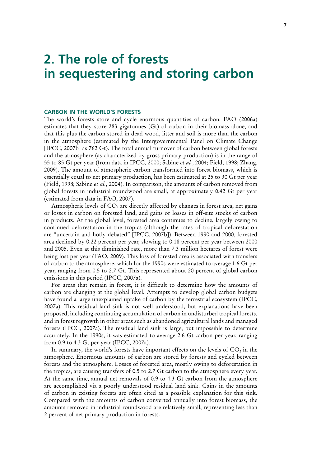### **2. The role of forests in sequestering and storing carbon**

#### **CARBON IN THE WORLD'S FORESTS**

The world's forests store and cycle enormous quantities of carbon. FAO (2006a) estimates that they store 283 gigatonnes (Gt) of carbon in their biomass alone, and that this plus the carbon stored in dead wood, litter and soil is more than the carbon in the atmosphere (estimated by the Intergovernmental Panel on Climate Change [IPCC, 2007b] as 762 Gt). The total annual turnover of carbon between global forests and the atmosphere (as characterized by gross primary production) is in the range of 55 to 85 Gt per year (from data in IPCC, 2000; Sabine *et al.*, 2004; Field, 1998; Zhang, 2009). The amount of atmospheric carbon transformed into forest biomass, which is essentially equal to net primary production, has been estimated at 25 to 30 Gt per year (Field, 1998; Sabine *et al.*, 2004). In comparison, the amounts of carbon removed from global forests in industrial roundwood are small, at approximately 0.42 Gt per year (estimated from data in FAO, 2007).

Atmospheric levels of  $CO<sub>2</sub>$  are directly affected by changes in forest area, net gains or losses in carbon on forested land, and gains or losses in off-site stocks of carbon in products. At the global level, forested area continues to decline, largely owing to continued deforestation in the tropics (although the rates of tropical deforestation are "uncertain and hotly debated" [IPCC, 2007b]). Between 1990 and 2000, forested area declined by 0.22 percent per year, slowing to 0.18 percent per year between 2000 and 2005. Even at this diminished rate, more than 7.3 million hectares of forest were being lost per year (FAO, 2009). This loss of forested area is associated with transfers of carbon to the atmosphere, which for the 1990s were estimated to average 1.6 Gt per year, ranging from 0.5 to 2.7 Gt. This represented about 20 percent of global carbon emissions in this period (IPCC, 2007a).

For areas that remain in forest, it is difficult to determine how the amounts of carbon are changing at the global level. Attempts to develop global carbon budgets have found a large unexplained uptake of carbon by the terrestrial ecosystem (IPCC, 2007a). This residual land sink is not well understood, but explanations have been proposed, including continuing accumulation of carbon in undisturbed tropical forests, and in forest regrowth in other areas such as abandoned agricultural lands and managed forests (IPCC, 2007a). The residual land sink is large, but impossible to determine accurately. In the 1990s, it was estimated to average 2.6 Gt carbon per year, ranging from 0.9 to 4.3 Gt per year (IPCC, 2007a).

In summary, the world's forests have important effects on the levels of  $CO<sub>2</sub>$  in the atmosphere. Enormous amounts of carbon are stored by forests and cycled between forests and the atmosphere. Losses of forested area, mostly owing to deforestation in the tropics, are causing transfers of 0.5 to 2.7 Gt carbon to the atmosphere every year. At the same time, annual net removals of 0.9 to 4.3 Gt carbon from the atmosphere are accomplished via a poorly understood residual land sink. Gains in the amounts of carbon in existing forests are often cited as a possible explanation for this sink. Compared with the amounts of carbon converted annually into forest biomass, the amounts removed in industrial roundwood are relatively small, representing less than 2 percent of net primary production in forests.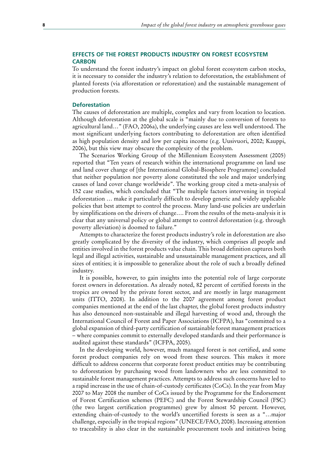### **EFFECTS OF THE FOREST PRODUCTS INDUSTRY ON FOREST ECOSYSTEM CARBON**

To understand the forest industry's impact on global forest ecosystem carbon stocks, it is necessary to consider the industry's relation to deforestation, the establishment of planted forests (via afforestation or reforestation) and the sustainable management of production forests.

### **Deforestation**

The causes of deforestation are multiple, complex and vary from location to location. Although deforestation at the global scale is "mainly due to conversion of forests to agricultural land…" (FAO, 2006a), the underlying causes are less well understood. The most significant underlying factors contributing to deforestation are often identified as high population density and low per capita income (e.g. Uusivuori, 2002; Kauppi, 2006), but this view may obscure the complexity of the problem.

The Scenarios Working Group of the Millennium Ecosystem Assessment (2005) reported that "Ten years of research within the international programme on land use and land cover change of [the International Global-Biosphere Programme] concluded that neither population nor poverty alone constituted the sole and major underlying causes of land cover change worldwide". The working group cited a meta-analysis of 152 case studies, which concluded that "The multiple factors intervening in tropical deforestation … make it particularly difficult to develop generic and widely applicable policies that best attempt to control the process. Many land-use policies are underlain by simplifications on the drivers of change…. From the results of the meta-analysis it is clear that any universal policy or global attempt to control deforestation (e.g. through poverty alleviation) is doomed to failure."

Attempts to characterize the forest products industry's role in deforestation are also greatly complicated by the diversity of the industry, which comprises all people and entities involved in the forest products value chain. This broad definition captures both legal and illegal activities, sustainable and unsustainable management practices, and all sizes of entities; it is impossible to generalize about the role of such a broadly defined industry.

It is possible, however, to gain insights into the potential role of large corporate forest owners in deforestation. As already noted, 82 percent of certified forests in the tropics are owned by the private forest sector, and are mostly in large management units (ITTO, 2008). In addition to the 2007 agreement among forest product companies mentioned at the end of the last chapter, the global forest products industry has also denounced non-sustainable and illegal harvesting of wood and, through the International Council of Forest and Paper Associations (ICFPA), has "committed to a global expansion of third-party certification of sustainable forest management practices – where companies commit to externally developed standards and their performance is audited against these standards" (ICFPA, 2005).

In the developing world, however, much managed forest is not certified, and some forest product companies rely on wood from these sources. This makes it more difficult to address concerns that corporate forest product entities may be contributing to deforestation by purchasing wood from landowners who are less committed to sustainable forest management practices. Attempts to address such concerns have led to a rapid increase in the use of chain-of-custody certificates (CoCs). In the year from May 2007 to May 2008 the number of CoCs issued by the Programme for the Endorsement of Forest Certification schemes (PEFC) and the Forest Stewardship Council (FSC) (the two largest certification programmes) grew by almost 50 percent. However, extending chain-of-custody to the world's uncertified forests is seen as a "…major challenge, especially in the tropical regions" (UNECE/FAO, 2008). Increasing attention to traceability is also clear in the sustainable procurement tools and initiatives being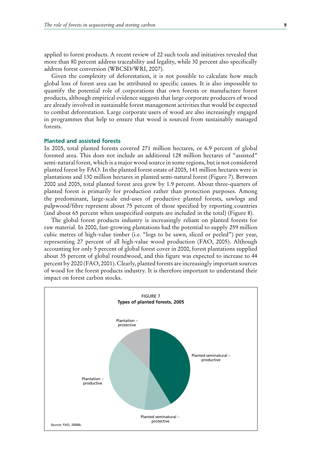applied to forest products. A recent review of 22 such tools and initiatives revealed that more than 80 percent address traceability and legality, while 30 percent also specifically address forest conversion (WBCSD/WRI, 2007).

Given the complexity of deforestation, it is not possible to calculate how much global loss of forest area can be attributed to specific causes. It is also impossible to quantify the potential role of corporations that own forests or manufacture forest products, although empirical evidence suggests that large corporate producers of wood are already involved in sustainable forest management activities that would be expected to combat deforestation. Large corporate users of wood are also increasingly engaged in programmes that help to ensure that wood is sourced from sustainably managed forests.

### **Planted and assisted forests**

In 2005, total planted forests covered 271 million hectares, or 6.9 percent of global forested area. This does not include an additional 128 million hectares of "assisted" semi-natural forest, which is a major wood source in some regions, but is not considered planted forest by FAO. In the planted forest estate of 2005, 141 million hectares were in plantations and 130 million hectares in planted semi-natural forest (Figure 7). Between 2000 and 2005, total planted forest area grew by 1.9 percent. About three-quarters of planted forest is primarily for production rather than protection purposes. Among the predominant, large-scale end-uses of productive planted forests, sawlogs and pulpwood/fibre represent about 75 percent of those specified by reporting countries (and about 65 percent when unspecified outputs are included in the total) (Figure 8).

The global forest products industry is increasingly reliant on planted forests for raw material. In 2000, fast-growing plantations had the potential to supply 259 million cubic metres of high-value timber (i.e. "logs to be sawn, sliced or peeled") per year, representing 27 percent of all high-value wood production (FAO, 2005). Although accounting for only 5 percent of global forest cover in 2000, forest plantations supplied about 35 percent of global roundwood, and this figure was expected to increase to 44 percent by 2020 (FAO, 2001). Clearly, planted forests are increasingly important sources of wood for the forest products industry. It is therefore important to understand their impact on forest carbon stocks.

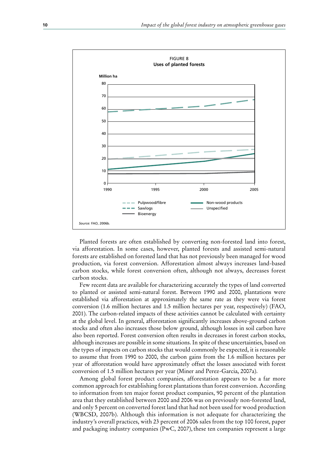

Planted forests are often established by converting non-forested land into forest, via afforestation. In some cases, however, planted forests and assisted semi-natural forests are established on forested land that has not previously been managed for wood production, via forest conversion. Afforestation almost always increases land-based carbon stocks, while forest conversion often, although not always, decreases forest carbon stocks.

Few recent data are available for characterizing accurately the types of land converted to planted or assisted semi-natural forest. Between 1990 and 2000, plantations were established via afforestation at approximately the same rate as they were via forest conversion (1.6 million hectares and 1.5 million hectares per year, respectively) (FAO, 2001). The carbon-related impacts of these activities cannot be calculated with certainty at the global level. In general, afforestation significantly increases above-ground carbon stocks and often also increases those below ground, although losses in soil carbon have also been reported. Forest conversion often results in decreases in forest carbon stocks, although increases are possible in some situations. In spite of these uncertainties, based on the types of impacts on carbon stocks that would commonly be expected, it is reasonable to assume that from 1990 to 2000, the carbon gains from the 1.6 million hectares per year of afforestation would have approximately offset the losses associated with forest conversion of 1.5 million hectares per year (Miner and Perez-Garcia, 2007a).

Among global forest product companies, afforestation appears to be a far more common approach for establishing forest plantations than forest conversion. According to information from ten major forest product companies, 90 percent of the plantation area that they established between 2000 and 2006 was on previously non-forested land, and only 5 percent on converted forest land that had not been used for wood production (WBCSD, 2007b). Although this information is not adequate for characterizing the industry's overall practices, with 23 percent of 2006 sales from the top 100 forest, paper and packaging industry companies ( $PwC$ , 2007), these ten companies represent a large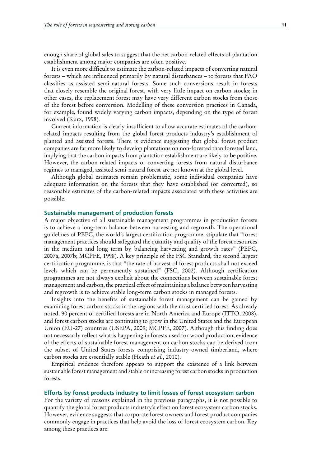enough share of global sales to suggest that the net carbon-related effects of plantation establishment among major companies are often positive.

It is even more difficult to estimate the carbon-related impacts of converting natural forests – which are influenced primarily by natural disturbances – to forests that FAO classifies as assisted semi-natural forests. Some such conversions result in forests that closely resemble the original forest, with very little impact on carbon stocks; in other cases, the replacement forest may have very different carbon stocks from those of the forest before conversion. Modelling of these conversion practices in Canada, for example, found widely varying carbon impacts, depending on the type of forest involved (Kurz, 1998).

Current information is clearly insufficient to allow accurate estimates of the carbonrelated impacts resulting from the global forest products industry's establishment of planted and assisted forests. There is evidence suggesting that global forest product companies are far more likely to develop plantations on non-forested than forested land, implying that the carbon impacts from plantation establishment are likely to be positive. However, the carbon-related impacts of converting forests from natural disturbance regimes to managed, assisted semi-natural forest are not known at the global level.

Although global estimates remain problematic, some individual companies have adequate information on the forests that they have established (or converted), so reasonable estimates of the carbon-related impacts associated with these activities are possible.

#### **Sustainable management of production forests**

A major objective of all sustainable management programmes in production forests is to achieve a long-term balance between harvesting and regrowth. The operational guidelines of PEFC, the world's largest certification programme, stipulate that "forest management practices should safeguard the quantity and quality of the forest resources in the medium and long term by balancing harvesting and growth rates" (PEFC, 2007a, 2007b; MCPFE, 1998). A key principle of the FSC Standard, the second largest certification programme, is that "the rate of harvest of forest products shall not exceed levels which can be permanently sustained" (FSC, 2002). Although certification programmes are not always explicit about the connections between sustainable forest management and carbon, the practical effect of maintaining a balance between harvesting and regrowth is to achieve stable long-term carbon stocks in managed forests.

Insights into the benefits of sustainable forest management can be gained by examining forest carbon stocks in the regions with the most certified forest. As already noted, 90 percent of certified forests are in North America and Europe (ITTO, 2008), and forest carbon stocks are continuing to grow in the United States and the European Union (EU-27) countries (USEPA, 2009; MCPFE, 2007). Although this finding does not necessarily reflect what is happening in forests used for wood production, evidence of the effects of sustainable forest management on carbon stocks can be derived from the subset of United States forests comprising industry-owned timberland, where carbon stocks are essentially stable (Heath *et al.*, 2010).

Empirical evidence therefore appears to support the existence of a link between sustainable forest management and stable or increasing forest carbon stocks in production forests.

#### **Efforts by forest products industry to limit losses of forest ecosystem carbon**

For the variety of reasons explained in the previous paragraphs, it is not possible to quantify the global forest products industry's effect on forest ecosystem carbon stocks. However, evidence suggests that corporate forest owners and forest product companies commonly engage in practices that help avoid the loss of forest ecosystem carbon. Key among these practices are: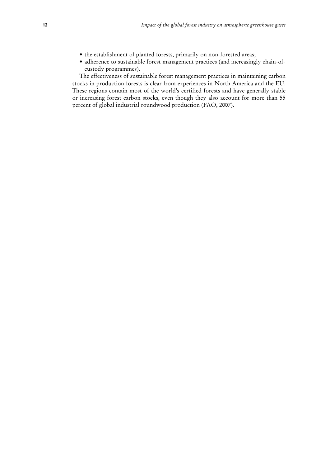- the establishment of planted forests, primarily on non-forested areas;
- adherence to sustainable forest management practices (and increasingly chain-ofcustody programmes).

The effectiveness of sustainable forest management practices in maintaining carbon stocks in production forests is clear from experiences in North America and the EU. These regions contain most of the world's certified forests and have generally stable or increasing forest carbon stocks, even though they also account for more than 55 percent of global industrial roundwood production (FAO, 2007).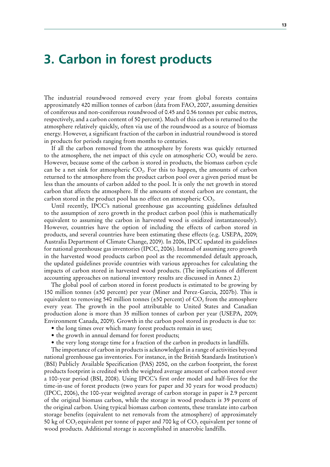### **3. Carbon in forest products**

The industrial roundwood removed every year from global forests contains approximately 420 million tonnes of carbon (data from FAO, 2007, assuming densities of coniferous and non-coniferous roundwood of 0.45 and 0.56 tonnes per cubic metres, respectively, and a carbon content of 50 percent). Much of this carbon is returned to the atmosphere relatively quickly, often via use of the roundwood as a source of biomass energy. However, a significant fraction of the carbon in industrial roundwood is stored in products for periods ranging from months to centuries.

If all the carbon removed from the atmosphere by forests was quickly returned to the atmosphere, the net impact of this cycle on atmospheric  $CO<sub>2</sub>$  would be zero. However, because some of the carbon is stored in products, the biomass carbon cycle can be a net sink for atmospheric  $CO<sub>2</sub>$ . For this to happen, the amounts of carbon returned to the atmosphere from the product carbon pool over a given period must be less than the amounts of carbon added to the pool. It is only the net growth in stored carbon that affects the atmosphere. If the amounts of stored carbon are constant, the carbon stored in the product pool has no effect on atmospheric  $CO<sub>2</sub>$ .

Until recently, IPCC's national greenhouse gas accounting guidelines defaulted to the assumption of zero growth in the product carbon pool (this is mathematically equivalent to assuming the carbon in harvested wood is oxidized instantaneously). However, countries have the option of including the effects of carbon stored in products, and several countries have been estimating these effects (e.g. USEPA, 2009; Australia Department of Climate Change, 2009). In 2006, IPCC updated its guidelines for national greenhouse gas inventories (IPCC, 2006). Instead of assuming zero growth in the harvested wood products carbon pool as the recommended default approach, the updated guidelines provide countries with various approaches for calculating the impacts of carbon stored in harvested wood products. (The implications of different accounting approaches on national inventory results are discussed in Annex 2.)

The global pool of carbon stored in forest products is estimated to be growing by 150 million tonnes (±50 percent) per year (Miner and Perez-Garcia, 2007b). This is equivalent to removing 540 million tonnes ( $\pm$ 50 percent) of CO<sub>2</sub> from the atmosphere every year. The growth in the pool attributable to United States and Canadian production alone is more than 35 million tonnes of carbon per year (USEPA, 2009; Environment Canada, 2009). Growth in the carbon pool stored in products is due to:

- the long times over which many forest products remain in use;
- the growth in annual demand for forest products;
- the very long storage time for a fraction of the carbon in products in landfills.

The importance of carbon in products is acknowledged in a range of activities beyond national greenhouse gas inventories. For instance, in the British Standards Institution's (BSI) Publicly Available Specification (PAS) 2050, on the carbon footprint, the forest products footprint is credited with the weighted average amount of carbon stored over a 100-year period (BSI, 2008). Using IPCC's first order model and half-lives for the time-in-use of forest products (two years for paper and 30 years for wood products) (IPCC, 2006), the 100-year weighted average of carbon storage in paper is 2.9 percent of the original biomass carbon, while the storage in wood products is 39 percent of the original carbon. Using typical biomass carbon contents, these translate into carbon storage benefits (equivalent to net removals from the atmosphere) of approximately 50 kg of  $CO_2$  equivalent per tonne of paper and 700 kg of  $CO_2$  equivalent per tonne of wood products. Additional storage is accomplished in anaerobic landfills.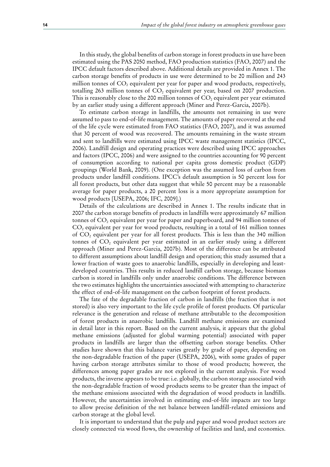In this study, the global benefits of carbon storage in forest products in use have been estimated using the PAS 2050 method, FAO production statistics (FAO, 2007) and the IPCC default factors described above. Additional details are provided in Annex 1. The carbon storage benefits of products in use were determined to be 20 million and 243 million tonnes of CO<sub>2</sub> equivalent per year for paper and wood products, respectively, totalling 263 million tonnes of  $CO<sub>2</sub>$  equivalent per year, based on 2007 production. This is reasonably close to the 200 million tonnes of  $CO<sub>2</sub>$  equivalent per year estimated by an earlier study using a different approach (Miner and Perez-Garcia, 2007b).

To estimate carbon storage in landfills, the amounts not remaining in use were assumed to pass to end-of-life management. The amounts of paper recovered at the end of the life cycle were estimated from FAO statistics (FAO, 2007), and it was assumed that 30 percent of wood was recovered. The amounts remaining in the waste stream and sent to landfills were estimated using IPCC waste management statistics (IPCC, 2006). Landfill design and operating practices were described using IPCC approaches and factors (IPCC, 2006) and were assigned to the countries accounting for 90 percent of consumption according to national per capita gross domestic product (GDP) groupings (World Bank, 2009). (One exception was the assumed loss of carbon from products under landfill conditions. IPCC's default assumption is 50 percent loss for all forest products, but other data suggest that while 50 percent may be a reasonable average for paper products, a 20 percent loss is a more appropriate assumption for wood products [USEPA, 2006; IFC, 2009].)

Details of the calculations are described in Annex 1. The results indicate that in 2007 the carbon storage benefits of products in landfills were approximately 67 million tonnes of  $CO<sub>2</sub>$  equivalent per year for paper and paperboard, and 94 million tonnes of  $CO<sub>2</sub>$  equivalent per year for wood products, resulting in a total of 161 million tonnes of  $CO<sub>2</sub>$  equivalent per year for all forest products. This is less than the 340 million tonnes of  $CO<sub>2</sub>$  equivalent per year estimated in an earlier study using a different approach (Miner and Perez-Garcia, 2007b). Most of the difference can be attributed to different assumptions about landfill design and operation; this study assumed that a lower fraction of waste goes to anaerobic landfills, especially in developing and leastdeveloped countries. This results in reduced landfill carbon storage, because biomass carbon is stored in landfills only under anaerobic conditions. The difference between the two estimates highlights the uncertainties associated with attempting to characterize the effect of end-of-life management on the carbon footprint of forest products.

The fate of the degradable fraction of carbon in landfills (the fraction that is not stored) is also very important to the life cycle profile of forest products. Of particular relevance is the generation and release of methane attributable to the decomposition of forest products in anaerobic landfills. Landfill methane emissions are examined in detail later in this report. Based on the current analysis, it appears that the global methane emissions (adjusted for global warming potential) associated with paper products in landfills are larger than the offsetting carbon storage benefits. Other studies have shown that this balance varies greatly by grade of paper, depending on the non-degradable fraction of the paper (USEPA, 2006), with some grades of paper having carbon storage attributes similar to those of wood products; however, the differences among paper grades are not explored in the current analysis. For wood products, the inverse appears to be true: i.e. globally, the carbon storage associated with the non-degradable fraction of wood products seems to be greater than the impact of the methane emissions associated with the degradation of wood products in landfills. However, the uncertainties involved in estimating end-of-life impacts are too large to allow precise definition of the net balance between landfill-related emissions and carbon storage at the global level.

It is important to understand that the pulp and paper and wood product sectors are closely connected via wood flows, the ownership of facilities and land, and economics.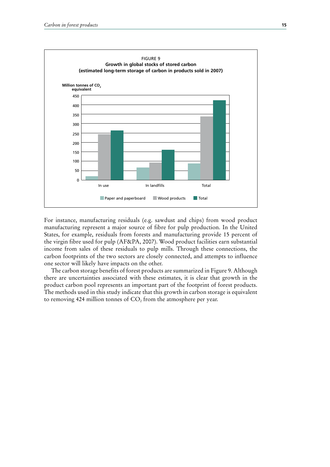

For instance, manufacturing residuals (e.g. sawdust and chips) from wood product manufacturing represent a major source of fibre for pulp production. In the United States, for example, residuals from forests and manufacturing provide 15 percent of the virgin fibre used for pulp (AF&PA, 2007). Wood product facilities earn substantial income from sales of these residuals to pulp mills. Through these connections, the carbon footprints of the two sectors are closely connected, and attempts to influence one sector will likely have impacts on the other.

The carbon storage benefits of forest products are summarized in Figure 9. Although there are uncertainties associated with these estimates, it is clear that growth in the product carbon pool represents an important part of the footprint of forest products. The methods used in this study indicate that this growth in carbon storage is equivalent to removing 424 million tonnes of  $CO<sub>2</sub>$  from the atmosphere per year.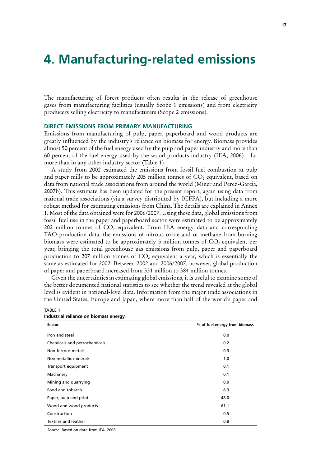### **4. Manufacturing-related emissions**

The manufacturing of forest products often results in the release of greenhouse gases from manufacturing facilities (usually Scope 1 emissions) and from electricity producers selling electricity to manufacturers (Scope 2 emissions).

### **DIRECT EMISSIONS FROM PRIMARY MANUFACTURING**

Emissions from manufacturing of pulp, paper, paperboard and wood products are greatly influenced by the industry's reliance on biomass for energy. Biomass provides almost 50 percent of the fuel energy used by the pulp and paper industry and more than 60 percent of the fuel energy used by the wood products industry (IEA, 2006) – far more than in any other industry sector (Table 1).

A study from 2002 estimated the emissions from fossil fuel combustion at pulp and paper mills to be approximately 205 million tonnes of  $CO<sub>2</sub>$  equivalent, based on data from national trade associations from around the world (Miner and Perez-Garcia, 2007b). This estimate has been updated for the present report, again using data from national trade associations (via a survey distributed by ICFPA), but including a more robust method for estimating emissions from China. The details are explained in Annex 1. Most of the data obtained were for 2006/2007. Using these data, global emissions from fossil fuel use in the paper and paperboard sector were estimated to be approximately 202 million tonnes of  $CO<sub>2</sub>$  equivalent. From IEA energy data and corresponding FAO production data, the emissions of nitrous oxide and of methane from burning biomass were estimated to be approximately 5 million tonnes of  $CO<sub>2</sub>$  equivalent per year, bringing the total greenhouse gas emissions from pulp, paper and paperboard production to 207 million tonnes of  $CO<sub>2</sub>$  equivalent a year, which is essentially the same as estimated for 2002. Between 2002 and 2006/2007, however, global production of paper and paperboard increased from 331 million to 384 million tonnes.

Given the uncertainties in estimating global emissions, it is useful to examine some of the better documented national statistics to see whether the trend revealed at the global level is evident in national-level data. Information from the major trade associations in the United States, Europe and Japan, where more than half of the world's paper and

| <b>Sector</b>                | % of fuel energy from biomass |
|------------------------------|-------------------------------|
| Iron and steel               | 0.0                           |
| Chemicals and petrochemicals | 0.2                           |
| Non-ferrous metals           | 0.3                           |
| Non-metallic minerals        | 1.0                           |
| Transport equipment          | 0.1                           |
| Machinery                    | 0.1                           |
| Mining and quarrying         | 0.0                           |
| Food and tobacco             | 8.3                           |
| Paper, pulp and print        | 48.0                          |
| Wood and wood products       | 61.1                          |
| Construction                 | 0.5                           |
| Textiles and leather         | 0.8                           |

**Industrial reliance on biomass energy** 

TABLE 1

*Source:* Based on data from IEA, 2006.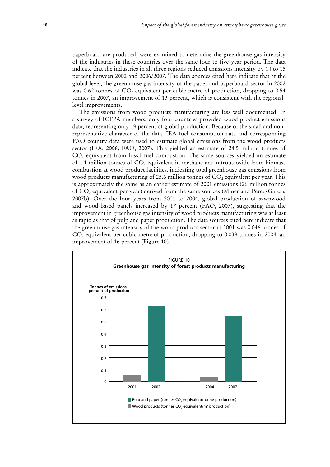paperboard are produced, were examined to determine the greenhouse gas intensity of the industries in these countries over the same four to five-year period. The data indicate that the industries in all three regions reduced emissions intensity by 14 to 15 percent between 2002 and 2006/2007. The data sources cited here indicate that at the global level, the greenhouse gas intensity of the paper and paperboard sector in 2002 was 0.62 tonnes of  $CO<sub>2</sub>$  equivalent per cubic metre of production, dropping to 0.54 tonnes in 2007, an improvement of 13 percent, which is consistent with the regionallevel improvements.

The emissions from wood products manufacturing are less well documented. In a survey of ICFPA members, only four countries provided wood product emissions data, representing only 19 percent of global production. Because of the small and nonrepresentative character of the data, IEA fuel consumption data and corresponding FAO country data were used to estimate global emissions from the wood products sector (IEA, 2006; FAO, 2007). This yielded an estimate of 24.5 million tonnes of CO<sub>2</sub> equivalent from fossil fuel combustion. The same sources yielded an estimate of 1.1 million tonnes of  $CO<sub>2</sub>$  equivalent in methane and nitrous oxide from biomass combustion at wood product facilities, indicating total greenhouse gas emissions from wood products manufacturing of 25.6 million tonnes of  $CO<sub>2</sub>$  equivalent per year. This is approximately the same as an earlier estimate of 2001 emissions (26 million tonnes of CO2 equivalent per year) derived from the same sources (Miner and Perez-Garcia, 2007b). Over the four years from 2001 to 2004, global production of sawnwood and wood-based panels increased by 17 percent (FAO, 2007), suggesting that the improvement in greenhouse gas intensity of wood products manufacturing was at least as rapid as that of pulp and paper production. The data sources cited here indicate that the greenhouse gas intensity of the wood products sector in 2001 was 0.046 tonnes of  $CO<sub>2</sub>$  equivalent per cubic metre of production, dropping to 0.039 tonnes in 2004, an improvement of 16 percent (Figure 10).

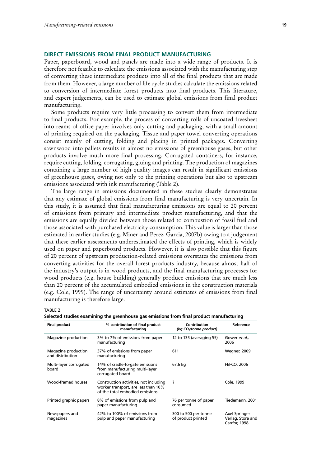#### **DIRECT EMISSIONS FROM FINAL PRODUCT MANUFACTURING**

Paper, paperboard, wood and panels are made into a wide range of products. It is therefore not feasible to calculate the emissions associated with the manufacturing step of converting these intermediate products into all of the final products that are made from them. However, a large number of life cycle studies calculate the emissions related to conversion of intermediate forest products into final products. This literature, and expert judgements, can be used to estimate global emissions from final product manufacturing.

Some products require very little processing to convert them from intermediate to final products. For example, the process of converting rolls of uncoated freesheet into reams of office paper involves only cutting and packaging, with a small amount of printing required on the packaging. Tissue and paper towel converting operations consist mainly of cutting, folding and placing in printed packages. Converting sawnwood into pallets results in almost no emissions of greenhouse gases, but other products involve much more final processing. Corrugated containers, for instance, require cutting, folding, corrugating, gluing and printing. The production of magazines containing a large number of high-quality images can result in significant emissions of greenhouse gases, owing not only to the printing operations but also to upstream emissions associated with ink manufacturing (Table 2).

The large range in emissions documented in these studies clearly demonstrates that any estimate of global emissions from final manufacturing is very uncertain. In this study, it is assumed that final manufacturing emissions are equal to 20 percent of emissions from primary and intermediate product manufacturing, and that the emissions are equally divided between those related to combustion of fossil fuel and those associated with purchased electricity consumption. This value is larger than those estimated in earlier studies (e.g. Miner and Perez-Garcia, 2007b) owing to a judgement that these earlier assessments underestimated the effects of printing, which is widely used on paper and paperboard products. However, it is also possible that this figure of 20 percent of upstream production-related emissions overstates the emissions from converting activities for the overall forest products industry, because almost half of the industry's output is in wood products, and the final manufacturing processes for wood products (e.g. house building) generally produce emissions that are much less than 20 percent of the accumulated embodied emissions in the construction materials (e.g. Cole, 1999). The range of uncertainty around estimates of emissions from final manufacturing is therefore large.

#### TABLE 2

|  |  | Selected studies examining the greenhouse gas emissions from final product manufacturing |  |  |  |  |
|--|--|------------------------------------------------------------------------------------------|--|--|--|--|
|  |  |                                                                                          |  |  |  |  |

| <b>Final product</b>                    | % contribution of final product<br>manufacturing                                                                 | Contribution<br>(kg CO <sub>/</sub> tonne product) | Reference                                          |
|-----------------------------------------|------------------------------------------------------------------------------------------------------------------|----------------------------------------------------|----------------------------------------------------|
| Magazine production                     | 3% to 7% of emissions from paper<br>manufacturing                                                                | 12 to 135 (averaging 55)                           | Gower et al.,<br>2006                              |
| Magazine production<br>and distribution | 37% of emissions from paper<br>manufacturing                                                                     | 611                                                | Wegner, 2009                                       |
| Multi-layer corrugated<br>board         | 14% of cradle-to-gate emissions<br>from manufacturing multi-layer<br>corrugated board                            | 67.6 kg                                            | <b>FEFCO, 2006</b>                                 |
| Wood-framed houses                      | Construction activities, not including<br>worker transport, are less than 10%<br>of the total embodied emissions | ?                                                  | Cole, 1999                                         |
| Printed graphic papers                  | 8% of emissions from pulp and<br>paper manufacturing                                                             | 76 per tonne of paper<br>consumed                  | Tiedemann, 2001                                    |
| Newspapers and<br>magazines             | 42% to 100% of emissions from<br>pulp and paper manufacturing                                                    | 300 to 500 per tonne<br>of product printed         | Axel Springer<br>Verlag, Stora and<br>Canfor, 1998 |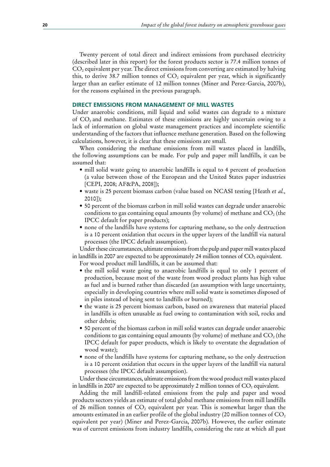Twenty percent of total direct and indirect emissions from purchased electricity (described later in this report) for the forest products sector is 77.4 million tonnes of  $CO<sub>2</sub>$  equivalent per year. The direct emissions from converting are estimated by halving this, to derive 38.7 million tonnes of  $CO<sub>2</sub>$  equivalent per year, which is significantly larger than an earlier estimate of 12 million tonnes (Miner and Perez-Garcia, 2007b), for the reasons explained in the previous paragraph.

### **DIRECT EMISSIONS FROM MANAGEMENT OF MILL WASTES**

Under anaerobic conditions, mill liquid and solid wastes can degrade to a mixture of CO2 and methane. Estimates of these emissions are highly uncertain owing to a lack of information on global waste management practices and incomplete scientific understanding of the factors that influence methane generation. Based on the following calculations, however, it is clear that these emissions are small.

When considering the methane emissions from mill wastes placed in landfills, the following assumptions can be made. For pulp and paper mill landfills, it can be assumed that:

- mill solid waste going to anaerobic landfills is equal to 4 percent of production (a value between those of the European and the United States paper industries [CEPI, 2008; AF&PA, 2008]);
- waste is 25 percent biomass carbon (value based on NCASI testing [Heath *et al.*, 2010]);
- 50 percent of the biomass carbon in mill solid wastes can degrade under anaerobic conditions to gas containing equal amounts (by volume) of methane and  $CO<sub>2</sub>$  (the IPCC default for paper products);
- none of the landfills have systems for capturing methane, so the only destruction is a 10 percent oxidation that occurs in the upper layers of the landfill via natural processes (the IPCC default assumption).

Under these circumstances, ultimate emissions from the pulp and paper mill wastes placed in landfills in 2007 are expected to be approximately 24 million tonnes of  $CO<sub>2</sub>$  equivalent.

For wood product mill landfills, it can be assumed that:

- the mill solid waste going to anaerobic landfills is equal to only 1 percent of production, because most of the waste from wood product plants has high value as fuel and is burned rather than discarded (an assumption with large uncertainty, especially in developing countries where mill solid waste is sometimes disposed of in piles instead of being sent to landfills or burned);
- the waste is 25 percent biomass carbon, based on awareness that material placed in landfills is often unusable as fuel owing to contamination with soil, rocks and other debris;
- 50 percent of the biomass carbon in mill solid wastes can degrade under anaerobic conditions to gas containing equal amounts (by volume) of methane and  $CO<sub>2</sub>$  (the IPCC default for paper products, which is likely to overstate the degradation of wood waste);
- none of the landfills have systems for capturing methane, so the only destruction is a 10 percent oxidation that occurs in the upper layers of the landfill via natural processes (the IPCC default assumption).

Under these circumstances, ultimate emissions from the wood product mill wastes placed in landfills in 2007 are expected to be approximately 2 million tonnes of  $CO$ , equivalent.

Adding the mill landfill-related emissions from the pulp and paper and wood products sectors yields an estimate of total global methane emissions from mill landfills of 26 million tonnes of  $CO<sub>2</sub>$  equivalent per year. This is somewhat larger than the amounts estimated in an earlier profile of the global industry (20 million tonnes of  $CO<sub>2</sub>$ equivalent per year) (Miner and Perez-Garcia, 2007b). However, the earlier estimate was of current emissions from industry landfills, considering the rate at which all past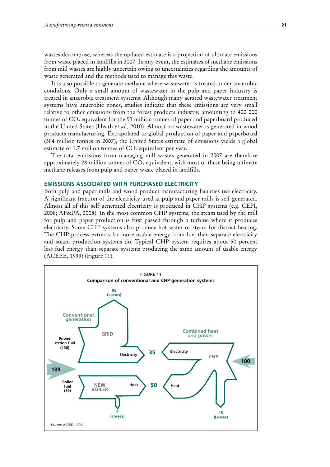wastes decompose, whereas the updated estimate is a projection of ultimate emissions from waste placed in landfills in 2007. In any event, the estimates of methane emissions from mill wastes are highly uncertain owing to uncertainties regarding the amounts of waste generated and the methods used to manage this waste.

It is also possible to generate methane where wastewater is treated under anaerobic conditions. Only a small amount of wastewater in the pulp and paper industry is treated in anaerobic treatment systems. Although many aerated wastewater treatment systems have anaerobic zones, studies indicate that these emissions are very small relative to other emissions from the forest products industry, amounting to 400 000 tonnes of CO<sub>2</sub> equivalent for the 93 million tonnes of paper and paperboard produced in the United States (Heath *et al.,* 2010). Almost no wastewater is generated in wood products manufacturing. Extrapolated to global production of paper and paperboard (384 million tonnes in 2007), the United States estimate of emissions yields a global estimate of 1.7 million tonnes of  $CO<sub>2</sub>$  equivalent per year.

The total emissions from managing mill wastes generated in 2007 are therefore approximately 28 million tonnes of  $CO<sub>2</sub>$  equivalent, with most of these being ultimate methane releases from pulp and paper waste placed in landfills.

#### **EMISSIONS ASSOCIATED WITH PURCHASED ELECTRICITY**

Both pulp and paper mills and wood product manufacturing facilities use electricity. A significant fraction of the electricity used at pulp and paper mills is self-generated. Almost all of this self-generated electricity is produced in CHP systems (e.g. CEPI, 2008; AF&PA, 2008). In the most common CHP systems, the steam used by the mill for pulp and paper production is first passed through a turbine where it produces electricity. Some CHP systems also produce hot water or steam for district heating. The CHP process extracts far more usable energy from fuel than separate electricity and steam production systems do. Typical CHP system requires about 50 percent less fuel energy than separate systems producing the same amount of usable energy (ACEEE, 1999) (Figure 11).

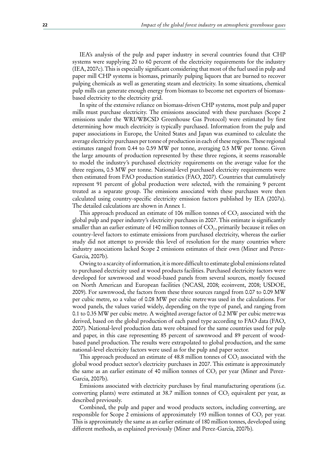IEA's analysis of the pulp and paper industry in several countries found that CHP systems were supplying 20 to 60 percent of the electricity requirements for the industry (IEA, 2007c). This is especially significant considering that most of the fuel used in pulp and paper mill CHP systems is biomass, primarily pulping liquors that are burned to recover pulping chemicals as well as generating steam and electricity. In some situations, chemical pulp mills can generate enough energy from biomass to become net exporters of biomassbased electricity to the electricity grid.

In spite of the extensive reliance on biomass-driven CHP systems, most pulp and paper mills must purchase electricity. The emissions associated with these purchases (Scope 2 emissions under the WRI/WBCSD Greenhouse Gas Protocol) were estimated by first determining how much electricity is typically purchased. Information from the pulp and paper associations in Europe, the United States and Japan was examined to calculate the average electricity purchases per tonne of production in each of these regions. These regional estimates ranged from 0.44 to 0.59 MW per tonne, averaging 0.5 MW per tonne. Given the large amounts of production represented by these three regions, it seems reasonable to model the industry's purchased electricity requirements on the average value for the three regions, 0.5 MW per tonne. National-level purchased electricity requirements were then estimated from FAO production statistics (FAO, 2007). Countries that cumulatively represent 91 percent of global production were selected, with the remaining 9 percent treated as a separate group. The emissions associated with these purchases were then calculated using country-specific electricity emission factors published by IEA (2007a). The detailed calculations are shown in Annex 1.

This approach produced an estimate of 106 million tonnes of  $CO<sub>2</sub>$  associated with the global pulp and paper industry's electricity purchases in 2007. This estimate is significantly smaller than an earlier estimate of 140 million tonnes of  $CO<sub>2</sub>$ , primarily because it relies on country-level factors to estimate emissions from purchased electricity, whereas the earlier study did not attempt to provide this level of resolution for the many countries where industry associations lacked Scope 2 emissions estimates of their own (Miner and Perez-Garcia, 2007b).

Owing to a scarcity of information, it is more difficult to estimate global emissions related to purchased electricity used at wood products facilities. Purchased electricity factors were developed for sawnwood and wood-based panels from several sources, mostly focused on North American and European facilities (NCASI, 2008; ecoinvent, 2008; USDOE, 2009). For sawnwood, the factors from these three sources ranged from 0.07 to 0.09 MW per cubic metre, so a value of 0.08 MW per cubic metrewas used in the calculations. For wood panels, the values varied widely, depending on the type of panel, and ranging from 0.1 to 0.35 MW per cubic metre. A weighted average factor of 0.2 MW per cubic metrewas derived, based on the global production of each panel type according to FAO data (FAO, 2007). National-level production data were obtained for the same countries used for pulp and paper, in this case representing 85 percent of sawnwood and 89 percent of woodbased panel production. The results were extrapolated to global production, and the same national-level electricity factors were used as for the pulp and paper sector.

This approach produced an estimate of 48.8 million tonnes of  $CO<sub>2</sub>$  associated with the global wood product sector's electricity purchases in 2007. This estimate is approximately the same as an earlier estimate of 40 million tonnes of  $CO<sub>2</sub>$  per year (Miner and Perez-Garcia, 2007b).

Emissions associated with electricity purchases by final manufacturing operations (i.e. converting plants) were estimated at 38.7 million tonnes of  $CO<sub>2</sub>$  equivalent per year, as described previously.

Combined, the pulp and paper and wood products sectors, including converting, are responsible for Scope 2 emissions of approximately 193 million tonnes of  $CO<sub>2</sub>$  per year. This is approximately the same as an earlier estimate of 180 million tonnes, developed using different methods, as explained previously (Miner and Perez-Garcia, 2007b).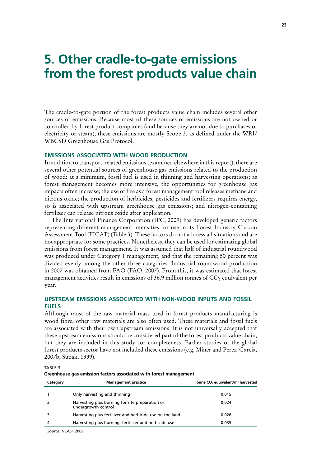# **5. Other cradle-to-gate emissions from the forest products value chain**

The cradle-to-gate portion of the forest products value chain includes several other sources of emissions. Because most of these sources of emissions are not owned or controlled by forest product companies (and because they are not due to purchases of electricity or steam), these emissions are mostly Scope 3, as defined under the WRI/ WBCSD Greenhouse Gas Protocol.

## **EMISSIONS ASSOCIATED WITH WOOD PRODUCTION**

In addition to transport-related emissions (examined elsewhere in this report), there are several other potential sources of greenhouse gas emissions related to the production of wood: at a minimum, fossil fuel is used in thinning and harvesting operations; as forest management becomes more intensive, the opportunities for greenhouse gas impacts often increase; the use of fire as a forest management tool releases methane and nitrous oxide; the production of herbicides, pesticides and fertilizers requires energy, so is associated with upstream greenhouse gas emissions; and nitrogen-containing fertilizer can release nitrous oxide after application.

The International Finance Corporation (IFC, 2009) has developed generic factors representing different management intensities for use in its Forest Industry Carbon Assessment Tool (FICAT) (Table 3). These factors do not address all situations and are not appropriate for some practices. Nonetheless, they can be used for estimating global emissions from forest management. It was assumed that half of industrial roundwood was produced under Category 1 management, and that the remaining 50 percent was divided evenly among the other three categories. Industrial roundwood production in 2007 was obtained from FAO (FAO, 2007). From this, it was estimated that forest management activities result in emissions of 36.9 million tonnes of  $CO<sub>2</sub>$  equivalent per year.

## **UPSTREAM EMISSIONS ASSOCIATED WITH NON-WOOD INPUTS AND FOSSIL FUELS**

Although most of the raw material mass used in forest products manufacturing is wood fibre, other raw materials are also often used. These materials and fossil fuels are associated with their own upstream emissions. It is not universally accepted that these upstream emissions should be considered part of the forest products value chain, but they are included in this study for completeness. Earlier studies of the global forest products sector have not included these emissions (e.g. Miner and Perez-Garcia, 2007b; Subak, 1999).

TABLE 3

**Greenhouse gas emission factors associated with forest management**

| Category | <b>Management practice</b>                                             | Tonne CO <sub>2</sub> equivalent/m <sup>3</sup> harvested |
|----------|------------------------------------------------------------------------|-----------------------------------------------------------|
|          | Only harvesting and thinning                                           | 0.015                                                     |
|          | Harvesting plus burning for site preparation or<br>undergrowth control | 0.024                                                     |
|          | Harvesting plus fertilizer and herbicide use on the land               | 0.026                                                     |
| 4        | Harvesting plus burning, fertilizer and herbicide use                  | 0.035                                                     |
|          |                                                                        |                                                           |

*Source:* NCASI, 2009.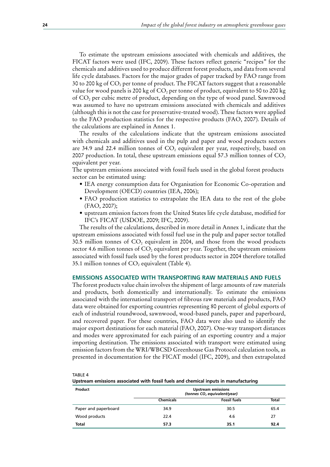To estimate the upstream emissions associated with chemicals and additives, the FICAT factors were used (IFC, 2009). These factors reflect generic "recipes" for the chemicals and additives used to produce different forest products, and data from several life cycle databases. Factors for the major grades of paper tracked by FAO range from 30 to 200 kg of CO<sub>2</sub> per tonne of product. The FICAT factors suggest that a reasonable value for wood panels is 200 kg of  $CO<sub>2</sub>$  per tonne of product, equivalent to 50 to 200 kg of  $CO<sub>2</sub>$  per cubic metre of product, depending on the type of wood panel. Sawnwood was assumed to have no upstream emissions associated with chemicals and additives (although this is not the case for preservative-treated wood). These factors were applied to the FAO production statistics for the respective products (FAO, 2007). Details of the calculations are explained in Annex 1.

The results of the calculations indicate that the upstream emissions associated with chemicals and additives used in the pulp and paper and wood products sectors are 34.9 and 22.4 million tonnes of  $CO<sub>2</sub>$  equivalent per year, respectively, based on 2007 production. In total, these upstream emissions equal 57.3 million tonnes of  $CO<sub>2</sub>$ equivalent per year.

The upstream emissions associated with fossil fuels used in the global forest products sector can be estimated using:

- IEA energy consumption data for Organisation for Economic Co-operation and Development (OECD) countries (IEA, 2006);
- FAO production statistics to extrapolate the IEA data to the rest of the globe (FAO, 2007);
- upstream emission factors from the United States life cycle database, modified for IFC's FICAT (USDOE, 2009; IFC, 2009).

The results of the calculations, described in more detail in Annex 1, indicate that the upstream emissions associated with fossil fuel use in the pulp and paper sector totalled 30.5 million tonnes of  $CO<sub>2</sub>$  equivalent in 2004, and those from the wood products sector 4.6 million tonnes of  $CO<sub>2</sub>$  equivalent per year. Together, the upstream emissions associated with fossil fuels used by the forest products sector in 2004 therefore totalled 35.1 million tonnes of  $CO<sub>2</sub>$  equivalent (Table 4).

## **EMISSIONS ASSOCIATED WITH TRANSPORTING RAW MATERIALS AND FUELS**

The forest products value chain involves the shipment of large amounts of raw materials and products, both domestically and internationally. To estimate the emissions associated with the international transport of fibrous raw materials and products, FAO data were obtained for exporting countries representing 80 percent of global exports of each of industrial roundwood, sawnwood, wood-based panels, paper and paperboard, and recovered paper. For these countries, FAO data were also used to identify the major export destinations for each material (FAO, 2007). One-way transport distances and modes were approximated for each pairing of an exporting country and a major importing destination. The emissions associated with transport were estimated using emission factors from the WRI/WBCSD Greenhouse Gas Protocol calculation tools, as presented in documentation for the FICAT model (IFC, 2009), and then extrapolated

TABLE 4 **Upstream emissions associated with fossil fuels and chemical inputs in manufacturing**

| Product              |                  | <b>Upstream emissions</b><br>(tonnes CO <sub>2</sub> equivalent/year) |       |
|----------------------|------------------|-----------------------------------------------------------------------|-------|
|                      | <b>Chemicals</b> | <b>Fossil fuels</b>                                                   | Total |
| Paper and paperboard | 34.9             | 30.5                                                                  | 65.4  |
| Wood products        | 22.4             | 4.6                                                                   | 27    |
| <b>Total</b>         | 57.3             | 35.1                                                                  | 92.4  |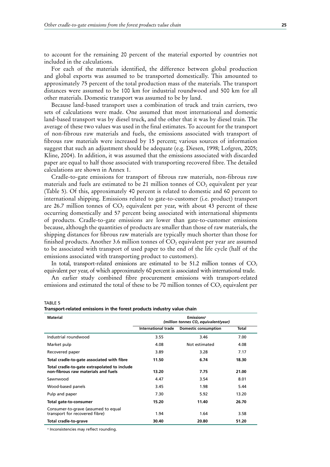to account for the remaining 20 percent of the material exported by countries not included in the calculations.

For each of the materials identified, the difference between global production and global exports was assumed to be transported domestically. This amounted to approximately 75 percent of the total production mass of the materials. The transport distances were assumed to be 100 km for industrial roundwood and 500 km for all other materials. Domestic transport was assumed to be by land.

Because land-based transport uses a combination of truck and train carriers, two sets of calculations were made. One assumed that most international and domestic land-based transport was by diesel truck, and the other that it was by diesel train. The average of these two values was used in the final estimates. To account for the transport of non-fibrous raw materials and fuels, the emissions associated with transport of fibrous raw materials were increased by 15 percent; various sources of information suggest that such an adjustment should be adequate (e.g. Diesen, 1998; Lofgren, 2005; Kline, 2004). In addition, it was assumed that the emissions associated with discarded paper are equal to half those associated with transporting recovered fibre. The detailed calculations are shown in Annex 1.

Cradle-to-gate emissions for transport of fibrous raw materials, non-fibrous raw materials and fuels are estimated to be 21 million tonnes of  $CO<sub>2</sub>$  equivalent per year (Table 5). Of this, approximately 40 percent is related to domestic and 60 percent to international shipping. Emissions related to gate-to-customer (i.e. product) transport are 26.7 million tonnes of  $CO<sub>2</sub>$  equivalent per year, with about 43 percent of these occurring domestically and 57 percent being associated with international shipments of products. Cradle-to-gate emissions are lower than gate-to-customer emissions because, although the quantities of products are smaller than those of raw materials, the shipping distances for fibrous raw materials are typically much shorter than those for finished products. Another 3.6 million tonnes of  $CO<sub>2</sub>$  equivalent per year are assumed to be associated with transport of used paper to the end of the life cycle (half of the emissions associated with transporting product to customers).

In total, transport-related emissions are estimated to be 51.2 million tonnes of  $CO<sub>2</sub>$ equivalent per year, of which approximately 60 percent is associated with international trade.

An earlier study combined fibre procurement emissions with transport-related emissions and estimated the total of these to be 70 million tonnes of  $CO<sub>2</sub>$  equivalent per

TABLE 5

| Transport-related emissions in the forest products industry value chain |  |  |
|-------------------------------------------------------------------------|--|--|
| .                                                                       |  |  |

| Material                                                                            | <b>Emissions<sup>a</sup></b><br>(million tonnes CO, equivalent/year) |                             |       |  |  |
|-------------------------------------------------------------------------------------|----------------------------------------------------------------------|-----------------------------|-------|--|--|
|                                                                                     | <b>International trade</b>                                           | <b>Domestic consumption</b> | Total |  |  |
| Industrial roundwood                                                                | 3.55                                                                 | 3.46                        | 7.00  |  |  |
| Market pulp                                                                         | 4.08                                                                 | Not estimated               | 4.08  |  |  |
| Recovered paper                                                                     | 3.89                                                                 | 3.28                        | 7.17  |  |  |
| Total cradle-to-gate associated with fibre                                          | 11.50                                                                | 6.74                        | 18.30 |  |  |
| Total cradle-to-gate extrapolated to include<br>non-fibrous raw materials and fuels | 13.20                                                                | 7.75                        | 21.00 |  |  |
| Sawnwood                                                                            | 4.47                                                                 | 3.54                        | 8.01  |  |  |
| Wood-based panels                                                                   | 3.45                                                                 | 1.98                        | 5.44  |  |  |
| Pulp and paper                                                                      | 7.30                                                                 | 5.92                        | 13.20 |  |  |
| Total gate-to-consumer                                                              | 15.20                                                                | 11.40                       | 26.70 |  |  |
| Consumer-to-grave (assumed to equal<br>transport for recovered fibre)               | 1.94                                                                 | 1.64                        | 3.58  |  |  |
| Total cradle-to-grave                                                               | 30.40                                                                | 20.80                       | 51.20 |  |  |

a Inconsistencies may reflect rounding.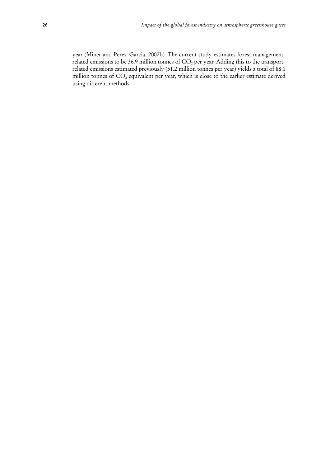year (Miner and Perez-Garcia, 2007b). The current study estimates forest managementrelated emissions to be 36.9 million tonnes of  $CO<sub>2</sub>$  per year. Adding this to the transportrelated emissions estimated previously (51.2 million tonnes per year) yields a total of 88.1 million tonnes of  $CO<sub>2</sub>$  equivalent per year, which is close to the earlier estimate derived using different methods.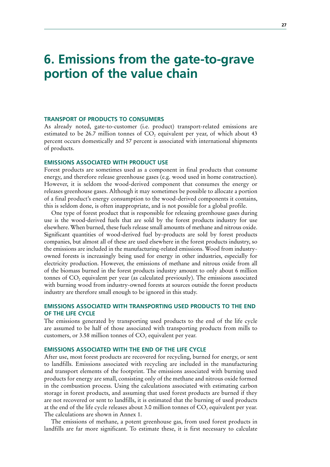# **6. Emissions from the gate-to-grave portion of the value chain**

### **TRANSPORT OF PRODUCTS TO CONSUMERS**

As already noted, gate-to-customer (i.e. product) transport-related emissions are estimated to be 26.7 million tonnes of  $CO<sub>2</sub>$  equivalent per year, of which about 43 percent occurs domestically and 57 percent is associated with international shipments of products.

## **EMISSIONS ASSOCIATED WITH PRODUCT USE**

Forest products are sometimes used as a component in final products that consume energy, and therefore release greenhouse gases (e.g. wood used in home construction). However, it is seldom the wood-derived component that consumes the energy or releases greenhouse gases. Although it may sometimes be possible to allocate a portion of a final product's energy consumption to the wood-derived components it contains, this is seldom done, is often inappropriate, and is not possible for a global profile.

One type of forest product that is responsible for releasing greenhouse gases during use is the wood-derived fuels that are sold by the forest products industry for use elsewhere. When burned, these fuels release small amounts of methane and nitrous oxide. Significant quantities of wood-derived fuel by-products are sold by forest products companies, but almost all of these are used elsewhere in the forest products industry, so the emissions are included in the manufacturing-related emissions. Wood from industryowned forests is increasingly being used for energy in other industries, especially for electricity production. However, the emissions of methane and nitrous oxide from all of the biomass burned in the forest products industry amount to only about 6 million tonnes of  $CO<sub>2</sub>$  equivalent per year (as calculated previously). The emissions associated with burning wood from industry-owned forests at sources outside the forest products industry are therefore small enough to be ignored in this study.

## **EMISSIONS ASSOCIATED WITH TRANSPORTING USED PRODUCTS TO THE END OF THE LIFE CYCLE**

The emissions generated by transporting used products to the end of the life cycle are assumed to be half of those associated with transporting products from mills to customers, or 3.58 million tonnes of  $CO<sub>2</sub>$  equivalent per year.

## **EMISSIONS ASSOCIATED WITH THE END OF THE LIFE CYCLE**

After use, most forest products are recovered for recycling, burned for energy, or sent to landfills. Emissions associated with recycling are included in the manufacturing and transport elements of the footprint. The emissions associated with burning used products for energy are small, consisting only of the methane and nitrous oxide formed in the combustion process. Using the calculations associated with estimating carbon storage in forest products, and assuming that used forest products are burned if they are not recovered or sent to landfills, it is estimated that the burning of used products at the end of the life cycle releases about 3.0 million tonnes of  $CO<sub>2</sub>$  equivalent per year. The calculations are shown in Annex 1.

The emissions of methane, a potent greenhouse gas, from used forest products in landfills are far more significant. To estimate these, it is first necessary to calculate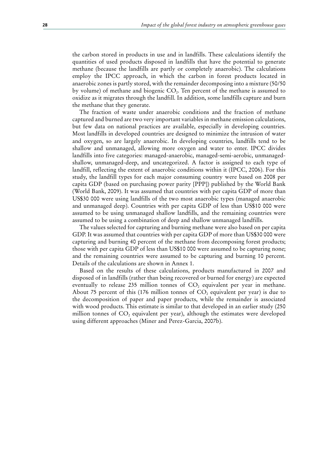the carbon stored in products in use and in landfills. These calculations identify the quantities of used products disposed in landfills that have the potential to generate methane (because the landfills are partly or completely anaerobic). The calculations employ the IPCC approach, in which the carbon in forest products located in anaerobic zones is partly stored, with the remainder decomposing into a mixture (50/50 by volume) of methane and biogenic CO2. Ten percent of the methane is assumed to oxidize as it migrates through the landfill. In addition, some landfills capture and burn the methane that they generate.

The fraction of waste under anaerobic conditions and the fraction of methane captured and burned are two very important variables in methane emission calculations, but few data on national practices are available, especially in developing countries. Most landfills in developed countries are designed to minimize the intrusion of water and oxygen, so are largely anaerobic. In developing countries, landfills tend to be shallow and unmanaged, allowing more oxygen and water to enter. IPCC divides landfills into five categories: managed-anaerobic, managed-semi-aerobic, unmanagedshallow, unmanaged-deep, and uncategorized. A factor is assigned to each type of landfill, reflecting the extent of anaerobic conditions within it (IPCC, 2006). For this study, the landfill types for each major consuming country were based on 2008 per capita GDP (based on purchasing power parity [PPP]) published by the World Bank (World Bank, 2009). It was assumed that countries with per capita GDP of more than US\$30 000 were using landfills of the two most anaerobic types (managed anaerobic and unmanaged deep). Countries with per capita GDP of less than US\$10 000 were assumed to be using unmanaged shallow landfills, and the remaining countries were assumed to be using a combination of deep and shallow unmanaged landfills.

The values selected for capturing and burning methane were also based on per capita GDP. It was assumed that countries with per capita GDP of more than US\$30 000 were capturing and burning 40 percent of the methane from decomposing forest products; those with per capita GDP of less than US\$10 000 were assumed to be capturing none; and the remaining countries were assumed to be capturing and burning 10 percent. Details of the calculations are shown in Annex 1.

Based on the results of these calculations, products manufactured in 2007 and disposed of in landfills (rather than being recovered or burned for energy) are expected eventually to release 235 million tonnes of  $CO<sub>2</sub>$  equivalent per year in methane. About 75 percent of this (176 million tonnes of  $CO_2$  equivalent per year) is due to the decomposition of paper and paper products, while the remainder is associated with wood products. This estimate is similar to that developed in an earlier study (250 million tonnes of  $CO<sub>2</sub>$  equivalent per year), although the estimates were developed using different approaches (Miner and Perez-Garcia, 2007b).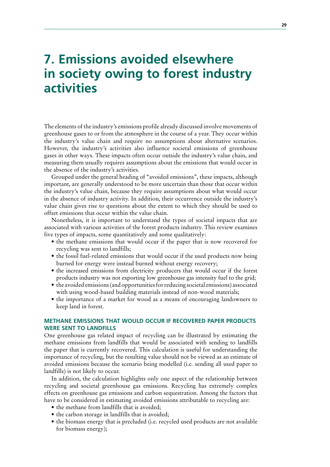# **7. Emissions avoided elsewhere in society owing to forest industry activities**

The elements of the industry's emissions profile already discussed involve movements of greenhouse gases to or from the atmosphere in the course of a year. They occur within the industry's value chain and require no assumptions about alternative scenarios. However, the industry's activities also influence societal emissions of greenhouse gases in other ways. These impacts often occur outside the industry's value chain, and measuring them usually requires assumptions about the emissions that would occur in the absence of the industry's activities.

Grouped under the general heading of "avoided emissions", these impacts, although important, are generally understood to be more uncertain than those that occur within the industry's value chain, because they require assumptions about what would occur in the absence of industry activity. In addition, their occurrence outside the industry's value chain gives rise to questions about the extent to which they should be used to offset emissions that occur within the value chain.

Nonetheless, it is important to understand the types of societal impacts that are associated with various activities of the forest products industry. This review examines five types of impacts, some quantitatively and some qualitatively:

- the methane emissions that would occur if the paper that is now recovered for recycling was sent to landfills;
- the fossil fuel-related emissions that would occur if the used products now being burned for energy were instead burned without energy recovery;
- the increased emissions from electricity producers that would occur if the forest products industry was not exporting low greenhouse gas intensity fuel to the grid;
- $\bullet$  the avoided emissions (and opportunities for reducing societal emissions) associated with using wood-based building materials instead of non-wood materials;
- the importance of a market for wood as a means of encouraging landowners to keep land in forest.

## **METHANE EMISSIONS THAT WOULD OCCUR IF RECOVERED PAPER PRODUCTS WERE SENT TO LANDFILLS**

One greenhouse gas related impact of recycling can be illustrated by estimating the methane emissions from landfills that would be associated with sending to landfills the paper that is currently recovered. This calculation is useful for understanding the importance of recycling, but the resulting value should not be viewed as an estimate of avoided emissions because the scenario being modelled (i.e. sending all used paper to landfills) is not likely to occur.

In addition, the calculation highlights only one aspect of the relationship between recycling and societal greenhouse gas emissions. Recycling has extremely complex effects on greenhouse gas emissions and carbon sequestration. Among the factors that have to be considered in estimating avoided emissions attributable to recycling are:

- the methane from landfills that is avoided;
- the carbon storage in landfills that is avoided;
- $\bullet$  the biomass energy that is precluded (i.e. recycled used products are not available for biomass energy);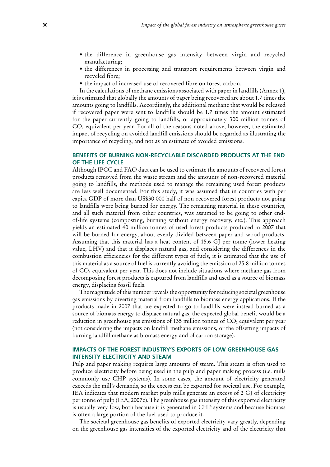- the difference in greenhouse gas intensity between virgin and recycled manufacturing;
- the differences in processing and transport requirements between virgin and recycled fibre;
- the impact of increased use of recovered fibre on forest carbon.

In the calculations of methane emissions associated with paper in landfills (Annex 1), it is estimated that globally the amounts of paper being recovered are about 1.7 times the amounts going to landfills. Accordingly, the additional methane that would be released if recovered paper were sent to landfills should be 1.7 times the amount estimated for the paper currently going to landfills, or approximately 300 million tonnes of  $CO<sub>2</sub>$  equivalent per year. For all of the reasons noted above, however, the estimated impact of recycling on avoided landfill emissions should be regarded as illustrating the importance of recycling, and not as an estimate of avoided emissions.

## **BENEFITS OF BURNING NON-RECYCLABLE DISCARDED PRODUCTS AT THE END OF THE LIFE CYCLE**

Although IPCC and FAO data can be used to estimate the amounts of recovered forest products removed from the waste stream and the amounts of non-recovered material going to landfills, the methods used to manage the remaining used forest products are less well documented. For this study, it was assumed that in countries with per capita GDP of more than US\$30 000 half of non-recovered forest products not going to landfills were being burned for energy. The remaining material in these countries, and all such material from other countries, was assumed to be going to other endof-life systems (composting, burning without energy recovery, etc.). This approach yields an estimated 40 million tonnes of used forest products produced in 2007 that will be burned for energy, about evenly divided between paper and wood products. Assuming that this material has a heat content of 15.6 GJ per tonne (lower heating value, LHV) and that it displaces natural gas, and considering the differences in the combustion efficiencies for the different types of fuels, it is estimated that the use of this material as a source of fuel is currently avoiding the emission of 25.8 million tonnes of CO2 equivalent per year. This does not include situations where methane gas from decomposing forest products is captured from landfills and used as a source of biomass energy, displacing fossil fuels.

The magnitude of this number reveals the opportunity for reducing societal greenhouse gas emissions by diverting material from landfills to biomass energy applications. If the products made in 2007 that are expected to go to landfills were instead burned as a source of biomass energy to displace natural gas, the expected global benefit would be a reduction in greenhouse gas emissions of 135 million tonnes of  $CO<sub>2</sub>$  equivalent per year (not considering the impacts on landfill methane emissions, or the offsetting impacts of burning landfill methane as biomass energy and of carbon storage).

## **IMPACTS OF THE FOREST INDUSTRY'S EXPORTS OF LOW GREENHOUSE GAS INTENSITY ELECTRICITY AND STEAM**

Pulp and paper making requires large amounts of steam. This steam is often used to produce electricity before being used in the pulp and paper making process (i.e. mills commonly use CHP systems). In some cases, the amount of electricity generated exceeds the mill's demands, so the excess can be exported for societal use. For example, IEA indicates that modern market pulp mills generate an excess of 2 GJ of electricity per tonne of pulp (IEA, 2007c). The greenhouse gas intensity of this exported electricity is usually very low, both because it is generated in CHP systems and because biomass is often a large portion of the fuel used to produce it.

The societal greenhouse gas benefits of exported electricity vary greatly, depending on the greenhouse gas intensities of the exported electricity and of the electricity that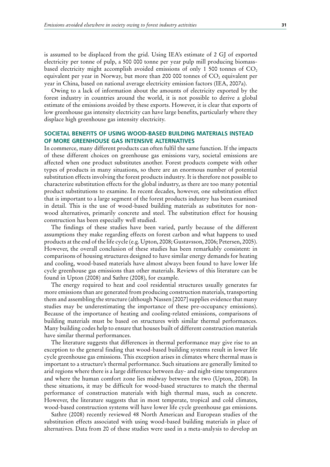is assumed to be displaced from the grid. Using IEA's estimate of 2 GJ of exported electricity per tonne of pulp, a 500 000 tonne per year pulp mill producing biomassbased electricity might accomplish avoided emissions of only 1 500 tonnes of  $CO<sub>2</sub>$ equivalent per year in Norway, but more than 200 000 tonnes of  $CO<sub>2</sub>$  equivalent per year in China, based on national average electricity emission factors (IEA, 2007a).

Owing to a lack of information about the amounts of electricity exported by the forest industry in countries around the world, it is not possible to derive a global estimate of the emissions avoided by these exports. However, it is clear that exports of low greenhouse gas intensity electricity can have large benefits, particularly where they displace high greenhouse gas intensity electricity.

## **SOCIETAL BENEFITS OF USING WOOD-BASED BUILDING MATERIALS INSTEAD OF MORE GREENHOUSE GAS INTENSIVE ALTERNATIVES**

In commerce, many different products can often fulfil the same function. If the impacts of these different choices on greenhouse gas emissions vary, societal emissions are affected when one product substitutes another. Forest products compete with other types of products in many situations, so there are an enormous number of potential substitution effects involving the forest products industry. It is therefore not possible to characterize substitution effects for the global industry, as there are too many potential product substitutions to examine. In recent decades, however, one substitution effect that is important to a large segment of the forest products industry has been examined in detail. This is the use of wood-based building materials as substitutes for nonwood alternatives, primarily concrete and steel. The substitution effect for housing construction has been especially well studied.

The findings of these studies have been varied, partly because of the different assumptions they make regarding effects on forest carbon and what happens to used products at the end of the life cycle (e.g. Upton, 2008; Gustavsson, 2006; Petersen, 2005). However, the overall conclusion of these studies has been remarkably consistent: in comparisons of housing structures designed to have similar energy demands for heating and cooling, wood-based materials have almost always been found to have lower life cycle greenhouse gas emissions than other materials. Reviews of this literature can be found in Upton (2008) and Sathre (2008), for example.

The energy required to heat and cool residential structures usually generates far more emissions than are generated from producing construction materials, transporting them and assembling the structure (although Nassen [2007] supplies evidence that many studies may be underestimating the importance of these pre-occupancy emissions). Because of the importance of heating and cooling-related emissions, comparisons of building materials must be based on structures with similar thermal performances. Many building codes help to ensure that houses built of different construction materials have similar thermal performances.

The literature suggests that differences in thermal performance may give rise to an exception to the general finding that wood-based building systems result in lower life cycle greenhouse gas emissions. This exception arises in climates where thermal mass is important to a structure's thermal performance. Such situations are generally limited to arid regions where there is a large difference between day- and night-time temperatures and where the human comfort zone lies midway between the two (Upton, 2008). In these situations, it may be difficult for wood-based structures to match the thermal performance of construction materials with high thermal mass, such as concrete. However, the literature suggests that in most temperate, tropical and cold climates, wood-based construction systems will have lower life cycle greenhouse gas emissions.

Sathre (2008) recently reviewed 48 North American and European studies of the substitution effects associated with using wood-based building materials in place of alternatives. Data from 20 of these studies were used in a meta-analysis to develop an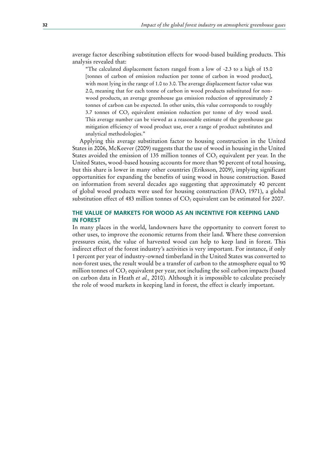average factor describing substitution effects for wood-based building products. This analysis revealed that:

"The calculated displacement factors ranged from a low of -2.3 to a high of 15.0 [tonnes of carbon of emission reduction per tonne of carbon in wood product], with most lying in the range of 1.0 to 3.0. The average displacement factor value was 2.0, meaning that for each tonne of carbon in wood products substituted for nonwood products, an average greenhouse gas emission reduction of approximately 2 tonnes of carbon can be expected. In other units, this value corresponds to roughly 3.7 tonnes of  $CO<sub>2</sub>$  equivalent emission reduction per tonne of dry wood used. This average number can be viewed as a reasonable estimate of the greenhouse gas mitigation efficiency of wood product use, over a range of product substitutes and analytical methodologies."

Applying this average substitution factor to housing construction in the United States in 2006, McKeever (2009) suggests that the use of wood in housing in the United States avoided the emission of 135 million tonnes of  $CO<sub>2</sub>$  equivalent per year. In the United States, wood-based housing accounts for more than 90 percent of total housing, but this share is lower in many other countries (Eriksson, 2009), implying significant opportunities for expanding the benefits of using wood in house construction. Based on information from several decades ago suggesting that approximately 40 percent of global wood products were used for housing construction (FAO, 1971), a global substitution effect of 483 million tonnes of CO<sub>2</sub> equivalent can be estimated for 2007.

## **THE VALUE OF MARKETS FOR WOOD AS AN INCENTIVE FOR KEEPING LAND IN FOREST**

In many places in the world, landowners have the opportunity to convert forest to other uses, to improve the economic returns from their land. Where these conversion pressures exist, the value of harvested wood can help to keep land in forest. This indirect effect of the forest industry's activities is very important. For instance, if only 1 percent per year of industry-owned timberland in the United States was converted to non-forest uses, the result would be a transfer of carbon to the atmosphere equal to 90 million tonnes of  $CO<sub>2</sub>$  equivalent per year, not including the soil carbon impacts (based on carbon data in Heath *et al.,* 2010). Although it is impossible to calculate precisely the role of wood markets in keeping land in forest, the effect is clearly important.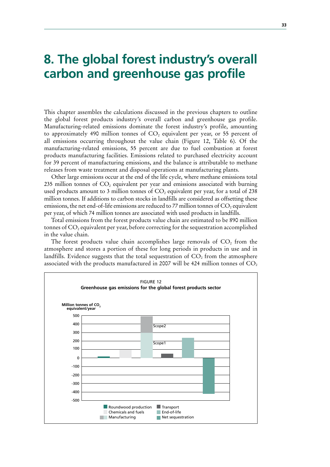# **8. The global forest industry's overall carbon and greenhouse gas profile**

This chapter assembles the calculations discussed in the previous chapters to outline the global forest products industry's overall carbon and greenhouse gas profile. Manufacturing-related emissions dominate the forest industry's profile, amounting to approximately 490 million tonnes of  $CO<sub>2</sub>$  equivalent per year, or 55 percent of all emissions occurring throughout the value chain (Figure 12, Table 6). Of the manufacturing-related emissions, 55 percent are due to fuel combustion at forest products manufacturing facilities. Emissions related to purchased electricity account for 39 percent of manufacturing emissions, and the balance is attributable to methane releases from waste treatment and disposal operations at manufacturing plants.

Other large emissions occur at the end of the life cycle, where methane emissions total 235 million tonnes of  $CO<sub>2</sub>$  equivalent per year and emissions associated with burning used products amount to 3 million tonnes of  $CO<sub>2</sub>$  equivalent per year, for a total of 238 million tonnes. If additions to carbon stocks in landfills are considered as offsetting these emissions, the net end-of-life emissions are reduced to 77 million tonnes of  $CO$ , equivalent per year, of which 74 million tonnes are associated with used products in landfills.

Total emissions from the forest products value chain are estimated to be 890 million tonnes of  $CO<sub>2</sub>$  equivalent per year, before correcting for the sequestration accomplished in the value chain.

The forest products value chain accomplishes large removals of  $CO<sub>2</sub>$  from the atmosphere and stores a portion of these for long periods in products in use and in landfills. Evidence suggests that the total sequestration of  $CO<sub>2</sub>$  from the atmosphere associated with the products manufactured in 2007 will be 424 million tonnes of  $CO<sub>2</sub>$ 

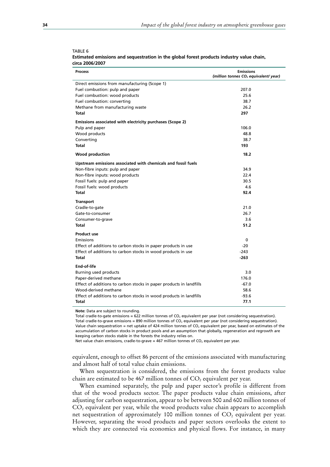| <b>Process</b>                                                      | <b>Emissions</b><br>(million tonnes CO <sub>2</sub> equivalent/ year) |
|---------------------------------------------------------------------|-----------------------------------------------------------------------|
| Direct emissions from manufacturing (Scope 1)                       |                                                                       |
| Fuel combustion: pulp and paper                                     | 207.0                                                                 |
| Fuel combustion: wood products                                      | 25.6                                                                  |
| Fuel combustion: converting                                         | 38.7                                                                  |
| Methane from manufacturing waste                                    | 26.2                                                                  |
| <b>Total</b>                                                        | 297                                                                   |
| Emissions associated with electricity purchases (Scope 2)           |                                                                       |
| Pulp and paper                                                      | 106.0                                                                 |
| Wood products                                                       | 48.8                                                                  |
| Converting                                                          | 38.7                                                                  |
| <b>Total</b>                                                        | 193                                                                   |
| Wood production                                                     | 18.2                                                                  |
| Upstream emissions associated with chemicals and fossil fuels       |                                                                       |
| Non-fibre inputs: pulp and paper                                    | 34.9                                                                  |
| Non-fibre inputs: wood products                                     | 22.4                                                                  |
| Fossil fuels: pulp and paper                                        | 30.5                                                                  |
| Fossil fuels: wood products                                         | 4.6                                                                   |
| Total                                                               | 92.4                                                                  |
| <b>Transport</b>                                                    |                                                                       |
| Cradle-to-gate                                                      | 21.0                                                                  |
| Gate-to-consumer                                                    | 26.7                                                                  |
| Consumer-to-grave                                                   | 3.6                                                                   |
| Total                                                               | 51.2                                                                  |
| <b>Product use</b>                                                  |                                                                       |
| Emissions                                                           | 0                                                                     |
| Effect of additions to carbon stocks in paper products in use       | $-20$                                                                 |
| Effect of additions to carbon stocks in wood products in use        | $-243$                                                                |
| Total                                                               | $-263$                                                                |
| End-of-life                                                         |                                                                       |
| Burning used products                                               | 3.0                                                                   |
| Paper-derived methane                                               | 176.0                                                                 |
| Effect of additions to carbon stocks in paper products in landfills | $-67.0$                                                               |
| Wood-derived methane                                                | 58.6                                                                  |
| Effect of additions to carbon stocks in wood products in landfills  | $-93.6$                                                               |
| Total                                                               | 77.1                                                                  |

#### TABLE 6 **Estimated emissions and sequestration in the global forest products industry value chain, circa 2006/2007**

**Note:** Data are subject to rounding.

Total cradle-to-gate emissions = 622 million tonnes of CO<sub>2</sub> equivalent per year (not considering sequestration). Total cradle-to-grave emissions = 890 million tonnes of  $CO<sub>2</sub>$  equivalent per year (not considering sequestration). Value chain sequestration = net uptake of 424 million tonnes of CO<sub>2</sub> equivalent per year, based on estimates of the accumulation of carbon stocks in product pools and an assumption that globally, regeneration and regrowth are keeping carbon stocks stable in the forests the industry relies on.

Net value chain emissions, cradle-to-grave = 467 million tonnes of  $CO<sub>2</sub>$  equivalent per year.

equivalent, enough to offset 86 percent of the emissions associated with manufacturing and almost half of total value chain emissions.

When sequestration is considered, the emissions from the forest products value chain are estimated to be 467 million tonnes of  $CO<sub>2</sub>$  equivalent per year.

When examined separately, the pulp and paper sector's profile is different from that of the wood products sector. The paper products value chain emissions, after adjusting for carbon sequestration, appear to be between 500 and 600 million tonnes of  $CO<sub>2</sub>$  equivalent per year, while the wood products value chain appears to accomplish net sequestration of approximately 100 million tonnes of  $CO<sub>2</sub>$  equivalent per year. However, separating the wood products and paper sectors overlooks the extent to which they are connected via economics and physical flows. For instance, in many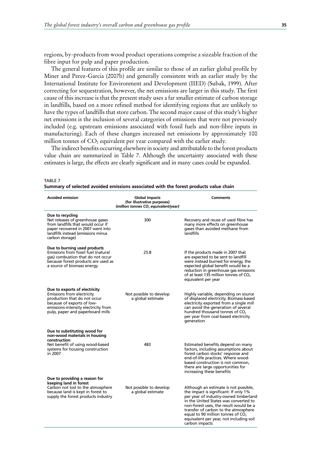regions, by-products from wood product operations comprise a sizeable fraction of the fibre input for pulp and paper production.

The general features of this profile are similar to those of an earlier global profile by Miner and Perez-Garcia (2007b) and generally consistent with an earlier study by the International Institute for Environment and Development (IIED) (Subak, 1999). After correcting for sequestration, however, the net emissions are larger in this study. The first cause of this increase is that the present study uses a far smaller estimate of carbon storage in landfills, based on a more refined method for identifying regions that are unlikely to have the types of landfills that store carbon. The second major cause of this study's higher net emissions is the inclusion of several categories of emissions that were not previously included (e.g. upstream emissions associated with fossil fuels and non-fibre inputs in manufacturing). Each of these changes increased net emissions by approximately 100 million tonnes of  $CO<sub>2</sub>$  equivalent per year compared with the earlier study.

The indirect benefits occurring elsewhere in society and attributable to the forest products value chain are summarized in Table 7. Although the uncertainty associated with these estimates is large, the effects are clearly significant and in many cases could be expanded.

| TABLE 7 |                                                                                       |  |
|---------|---------------------------------------------------------------------------------------|--|
|         | Summary of selected avoided emissions associated with the forest products value chain |  |

| <b>Avoided emission</b>                                                                                                                                                                               | <b>Global impacts</b><br>(for illustrative purposes)<br>(million tonnes CO, equivalent/year) | <b>Comments</b>                                                                                                                                                                                                                                                                                                                                        |
|-------------------------------------------------------------------------------------------------------------------------------------------------------------------------------------------------------|----------------------------------------------------------------------------------------------|--------------------------------------------------------------------------------------------------------------------------------------------------------------------------------------------------------------------------------------------------------------------------------------------------------------------------------------------------------|
| Due to recycling<br>Net releases of greenhouse gases<br>from landfills that would occur if<br>paper recovered in 2007 went into<br>landfills instead (emissions minus<br>carbon storage)              | 300                                                                                          | Recovery and reuse of used fibre has<br>many more effects on greenhouse<br>gases than avoided methane from<br>landfills                                                                                                                                                                                                                                |
| Due to burning used products<br>Emissions from fossil fuel (natural<br>gas) combustion that do not occur<br>because forest products are used as<br>a source of biomass energy                         | 25.8                                                                                         | If the products made in 2007 that<br>are expected to be sent to landfill<br>were instead burned for energy, the<br>expected global benefit would be a<br>reduction in greenhouse gas emissions<br>of at least 135 million tonnes of CO <sub>2</sub><br>eguivalent per year                                                                             |
| Due to exports of electricity<br>Emissions from electricity<br>production that do not occur<br>because of exports of low-<br>emissions-intensity electricity from<br>pulp, paper and paperboard mills | Not possible to develop<br>a global estimate                                                 | Highly variable, depending on source<br>of displaced electricity. Biomass-based<br>electricity exported from a single mill<br>can avoid the generation of several<br>hundred thousand tonnes of CO <sub>2</sub><br>per year from coal-based electricity<br>generation                                                                                  |
| Due to substituting wood for<br>non-wood materials in housing<br>construction                                                                                                                         |                                                                                              |                                                                                                                                                                                                                                                                                                                                                        |
| Net benefit of using wood-based<br>systems for housing construction<br>in 2007                                                                                                                        | 483                                                                                          | Estimated benefits depend on many<br>factors, including assumptions about<br>forest carbon stocks' response and<br>end-of-life practices. Where wood-<br>based construction is not common,<br>there are large opportunities for<br>increasing these benefits                                                                                           |
| Due to providing a reason for<br>keeping land in forest<br>Carbon not lost to the atmosphere<br>because land is kept in forest to<br>supply the forest products industry                              | Not possible to develop<br>a global estimate                                                 | Although an estimate is not possible,<br>the impact is significant: If only 1%<br>per year of industry-owned timberland<br>in the United States was converted to<br>non-forest uses, the result would be a<br>transfer of carbon to the atmosphere<br>equal to 90 million tonnes of $CO2$<br>equivalent per year, not including soil<br>carbon impacts |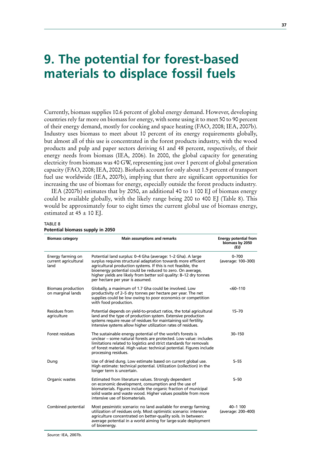# **9. The potential for forest-based materials to displace fossil fuels**

Currently, biomass supplies 10.6 percent of global energy demand. However, developing countries rely far more on biomass for energy, with some using it to meet 50 to 90 percent of their energy demand, mostly for cooking and space heating (FAO, 2008; IEA, 2007b). Industry uses biomass to meet about 10 percent of its energy requirements globally, but almost all of this use is concentrated in the forest products industry, with the wood products and pulp and paper sectors deriving 61 and 48 percent, respectively, of their energy needs from biomass (IEA, 2006). In 2000, the global capacity for generating electricity from biomass was 40 GW, representing just over 1 percent of global generation capacity (FAO, 2008; IEA, 2002). Biofuels account for only about 1.5 percent of transport fuel use worldwide (IEA, 2007b), implying that there are significant opportunities for increasing the use of biomass for energy, especially outside the forest products industry.

IEA (2007b) estimates that by 2050, an additional 40 to 1 100 EJ of biomass energy could be available globally, with the likely range being 200 to 400 EJ (Table 8). This would be approximately four to eight times the current global use of biomass energy, estimated at  $45 \pm 10$  EJ.

## TABLE 8

| Potential biomass supply in 2050 |  |
|----------------------------------|--|
|----------------------------------|--|

| <b>Biomass category</b>                           | <b>Main assumptions and remarks</b>                                                                                                                                                                                                                                                                                                                                  | <b>Energy potential from</b><br>biomass by 2050<br>(FJ) |
|---------------------------------------------------|----------------------------------------------------------------------------------------------------------------------------------------------------------------------------------------------------------------------------------------------------------------------------------------------------------------------------------------------------------------------|---------------------------------------------------------|
| Energy farming on<br>current agricultural<br>land | Potential land surplus: 0–4 Gha (average: 1–2 Gha). A large<br>surplus requires structural adaptation towards more efficient<br>agricultural production systems. If this is not feasible, the<br>bioenergy potential could be reduced to zero. On average,<br>higher yields are likely from better soil quality: 8-12 dry tonnes<br>per hectare per year is assumed. | $0 - 700$<br>(average: 100-300)                         |
| <b>Biomass production</b><br>on marginal lands    | Globally, a maximum of 1.7 Gha could be involved. Low<br>productivity of 2–5 dry tonnes per hectare per year. The net<br>supplies could be low owing to poor economics or competition<br>with food production.                                                                                                                                                       | $<60-110$                                               |
| Residues from<br>agriculture                      | Potential depends on yield-to-product ratios, the total agricultural<br>land and the type of production system. Extensive production<br>systems require reuse of residues for maintaining soil fertility.<br>Intensive systems allow higher utilization rates of residues.                                                                                           | $15 - 70$                                               |
| Forest residues                                   | The sustainable energy potential of the world's forests is<br>unclear – some natural forests are protected. Low value: includes<br>limitations related to logistics and strict standards for removals<br>of forest material. High value: technical potential. Figures include<br>processing residues.                                                                | 30-150                                                  |
| Dung                                              | Use of dried dung. Low estimate based on current global use.<br>High estimate: technical potential. Utilization (collection) in the<br>longer term is uncertain.                                                                                                                                                                                                     | $5 - 55$                                                |
| Organic wastes                                    | Estimated from literature values. Strongly dependent<br>on economic development, consumption and the use of<br>biomaterials. Figures include the organic fraction of municipal<br>solid waste and waste wood. Higher values possible from more<br>intensive use of biomaterials.                                                                                     | $5 - 50$                                                |
| Combined potential                                | Most pessimistic scenario: no land available for energy farming;<br>utilization of residues only. Most optimistic scenario: intensive<br>agriculture concentrated on better-quality soils. In between:<br>average potential in a world aiming for large-scale deployment<br>of bioenergy.                                                                            | 40-1 100<br>(average: 200-400)                          |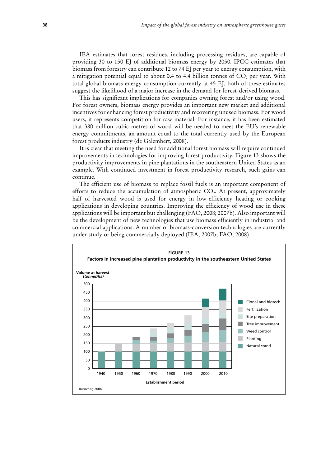IEA estimates that forest residues, including processing residues, are capable of providing 30 to 150 EJ of additional biomass energy by 2050. IPCC estimates that biomass from forestry can contribute 12 to 74 EJ per year to energy consumption, with a mitigation potential equal to about 0.4 to 4.4 billion tonnes of  $CO<sub>2</sub>$  per year. With total global biomass energy consumption currently at 45 EJ, both of these estimates suggest the likelihood of a major increase in the demand for forest-derived biomass.

This has significant implications for companies owning forest and/or using wood. For forest owners, biomass energy provides an important new market and additional incentives for enhancing forest productivity and recovering unused biomass. For wood users, it represents competition for raw material. For instance, it has been estimated that 380 million cubic metres of wood will be needed to meet the EU's renewable energy commitments, an amount equal to the total currently used by the European forest products industry (de Galembert, 2008).

It is clear that meeting the need for additional forest biomass will require continued improvements in technologies for improving forest productivity. Figure 13 shows the productivity improvements in pine plantations in the southeastern United States as an example. With continued investment in forest productivity research, such gains can continue.

The efficient use of biomass to replace fossil fuels is an important component of efforts to reduce the accumulation of atmospheric  $CO<sub>2</sub>$ . At present, approximately half of harvested wood is used for energy in low-efficiency heating or cooking applications in developing countries. Improving the efficiency of wood use in these applications will be important but challenging (FAO, 2008; 2007b). Also important will be the development of new technologies that use biomass efficiently in industrial and commercial applications. A number of biomass-conversion technologies are currently under study or being commercially deployed (IEA, 2007b; FAO, 2008).

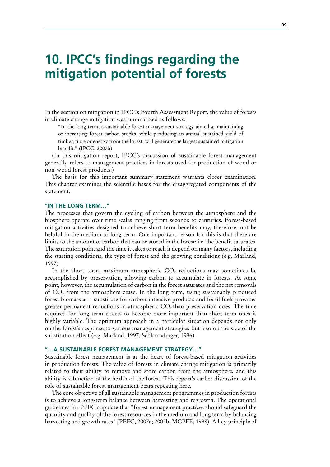# **10. IPCC's findings regarding the mitigation potential of forests**

In the section on mitigation in IPCC's Fourth Assessment Report, the value of forests in climate change mitigation was summarized as follows:

"In the long term, a sustainable forest management strategy aimed at maintaining or increasing forest carbon stocks, while producing an annual sustained yield of timber, fibre or energy from the forest, will generate the largest sustained mitigation benefit." (IPCC, 2007b)

(In this mitigation report, IPCC's discussion of sustainable forest management generally refers to management practices in forests used for production of wood or non-wood forest products.)

The basis for this important summary statement warrants closer examination. This chapter examines the scientific bases for the disaggregated components of the statement.

### **"IN THE LONG TERM…"**

The processes that govern the cycling of carbon between the atmosphere and the biosphere operate over time scales ranging from seconds to centuries. Forest-based mitigation activities designed to achieve short-term benefits may, therefore, not be helpful in the medium to long term. One important reason for this is that there are limits to the amount of carbon that can be stored in the forest: i.e. the benefit saturates. The saturation point and the time it takes to reach it depend on many factors, including the starting conditions, the type of forest and the growing conditions (e.g. Marland, 1997).

In the short term, maximum atmospheric CO<sub>2</sub> reductions may sometimes be accomplished by preservation, allowing carbon to accumulate in forests. At some point, however, the accumulation of carbon in the forest saturates and the net removals of  $CO<sub>2</sub>$  from the atmosphere cease. In the long term, using sustainably produced forest biomass as a substitute for carbon-intensive products and fossil fuels provides greater permanent reductions in atmospheric  $CO<sub>2</sub>$  than preservation does. The time required for long-term effects to become more important than short-term ones is highly variable. The optimum approach in a particular situation depends not only on the forest's response to various management strategies, but also on the size of the substitution effect (e.g. Marland, 1997; Schlamadinger, 1996).

### **"…A SUSTAINABLE FOREST MANAGEMENT STRATEGY…"**

Sustainable forest management is at the heart of forest-based mitigation activities in production forests. The value of forests in climate change mitigation is primarily related to their ability to remove and store carbon from the atmosphere, and this ability is a function of the health of the forest. This report's earlier discussion of the role of sustainable forest management bears repeating here.

The core objective of all sustainable management programmes in production forests is to achieve a long-term balance between harvesting and regrowth. The operational guidelines for PEFC stipulate that "forest management practices should safeguard the quantity and quality of the forest resources in the medium and long term by balancing harvesting and growth rates" (PEFC, 2007a; 2007b; MCPFE, 1998). A key principle of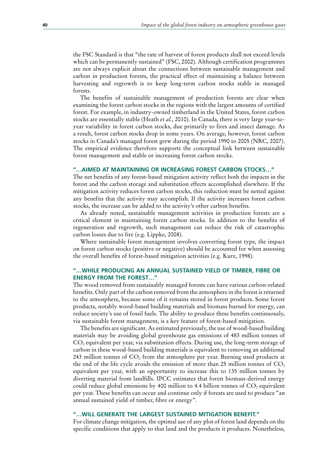the FSC Standard is that "the rate of harvest of forest products shall not exceed levels which can be permanently sustained" (FSC, 2002). Although certification programmes are not always explicit about the connections between sustainable management and carbon in production forests, the practical effect of maintaining a balance between harvesting and regrowth is to keep long-term carbon stocks stable in managed forests.

The benefits of sustainable management of production forests are clear when examining the forest carbon stocks in the regions with the largest amounts of certified forest. For example, in industry-owned timberland in the United States, forest carbon stocks are essentially stable (Heath *et al.*, 2010). In Canada, there is very large year-toyear variability in forest carbon stocks, due primarily to fires and insect damage. As a result, forest carbon stocks drop in some years. On average, however, forest carbon stocks in Canada's managed forest grew during the period 1990 to 2005 (NRC, 2007). The empirical evidence therefore supports the conceptual link between sustainable forest management and stable or increasing forest carbon stocks.

### **"…AIMED AT MAINTAINING OR INCREASING FOREST CARBON STOCKS…"**

The net benefits of any forest-based mitigation activity reflect both the impacts in the forest and the carbon storage and substitution effects accomplished elsewhere. If the mitigation activity reduces forest carbon stocks, this reduction must be netted against any benefits that the activity may accomplish. If the activity increases forest carbon stocks, the increase can be added to the activity's other carbon benefits.

As already noted, sustainable management activities in production forests are a critical element in maintaining forest carbon stocks. In addition to the benefits of regeneration and regrowth, such management can reduce the risk of catastrophic carbon losses due to fire (e.g. Lippke, 2008).

Where sustainable forest management involves converting forest type, the impact on forest carbon stocks (positive or negative) should be accounted for when assessing the overall benefits of forest-based mitigation activities (e.g. Kurz, 1998).

## **"…WHILE PRODUCING AN ANNUAL SUSTAINED YIELD OF TIMBER, FIBRE OR ENERGY FROM THE FOREST…"**

The wood removed from sustainably managed forests can have various carbon-related benefits. Only part of the carbon removed from the atmosphere in the forest is returned to the atmosphere, because some of it remains stored in forest products. Some forest products, notably wood-based building materials and biomass burned for energy, can reduce society's use of fossil fuels. The ability to produce these benefits continuously, via sustainable forest management, is a key feature of forest-based mitigation.

The benefits are significant. As estimated previously, the use of wood-based building materials may be avoiding global greenhouse gas emissions of 483 million tonnes of  $CO<sub>2</sub>$  equivalent per year, via substitution effects. During use, the long-term storage of carbon in these wood-based building materials is equivalent to removing an additional 243 million tonnes of  $CO<sub>2</sub>$  from the atmosphere per year. Burning used products at the end of the life cycle avoids the emission of more than 25 million tonnes of  $CO<sub>2</sub>$ equivalent per year, with an opportunity to increase this to 135 million tonnes by diverting material from landfills. IPCC estimates that forest biomass-derived energy could reduce global emissions by 400 million to 4.4 billion tonnes of  $CO<sub>2</sub>$  equivalent per year. These benefits can occur and continue only if forests are used to produce "an annual sustained yield of timber, fibre or energy".

## **"…WILL GENERATE THE LARGEST SUSTAINED MITIGATION BENEFIT."**

For climate change mitigation, the optimal use of any plot of forest land depends on the specific conditions that apply to that land and the products it produces. Nonetheless,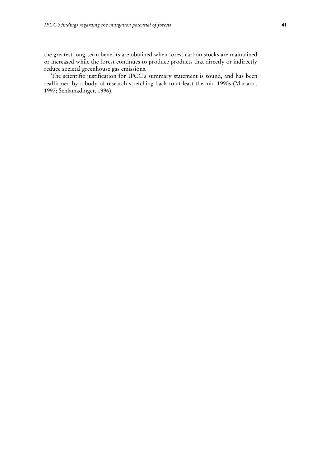the greatest long-term benefits are obtained when forest carbon stocks are maintained or increased while the forest continues to produce products that directly or indirectly reduce societal greenhouse gas emissions.

The scientific justification for IPCC's summary statement is sound, and has been reaffirmed by a body of research stretching back to at least the mid-1990s (Marland, 1997; Schlamadinger, 1996).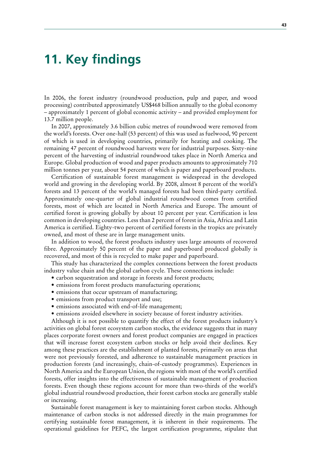# **11. Key findings**

In 2006, the forest industry (roundwood production, pulp and paper, and wood processing) contributed approximately US\$468 billion annually to the global economy – approximately 1 percent of global economic activity – and provided employment for 13.7 million people.

In 2007, approximately 3.6 billion cubic metres of roundwood were removed from the world's forests. Over one-half (53 percent) of this was used as fuelwood, 90 percent of which is used in developing countries, primarily for heating and cooking. The remaining 47 percent of roundwood harvests were for industrial purposes. Sixty-nine percent of the harvesting of industrial roundwood takes place in North America and Europe. Global production of wood and paper products amounts to approximately 710 million tonnes per year, about 54 percent of which is paper and paperboard products.

Certification of sustainable forest management is widespread in the developed world and growing in the developing world. By 2008, almost 8 percent of the world's forests and 13 percent of the world's managed forests had been third-party certified. Approximately one-quarter of global industrial roundwood comes from certified forests, most of which are located in North America and Europe. The amount of certified forest is growing globally by about 10 percent per year. Certification is less common in developing countries. Less than 2 percent of forest in Asia, Africa and Latin America is certified. Eighty-two percent of certified forests in the tropics are privately owned, and most of these are in large management units.

In addition to wood, the forest products industry uses large amounts of recovered fibre. Approximately 50 percent of the paper and paperboard produced globally is recovered, and most of this is recycled to make paper and paperboard.

This study has characterized the complex connections between the forest products industry value chain and the global carbon cycle. These connections include:

- carbon sequestration and storage in forests and forest products;
- emissions from forest products manufacturing operations;
- emissions that occur upstream of manufacturing;
- emissions from product transport and use;
- emissions associated with end-of-life management;
- emissions avoided elsewhere in society because of forest industry activities.

Although it is not possible to quantify the effect of the forest products industry's activities on global forest ecosystem carbon stocks, the evidence suggests that in many places corporate forest owners and forest product companies are engaged in practices that will increase forest ecosystem carbon stocks or help avoid their declines. Key among these practices are the establishment of planted forests, primarily on areas that were not previously forested, and adherence to sustainable management practices in production forests (and increasingly, chain-of-custody programmes). Experiences in North America and the European Union, the regions with most of the world's certified forests, offer insights into the effectiveness of sustainable management of production forests. Even though these regions account for more than two-thirds of the world's global industrial roundwood production, their forest carbon stocks are generally stable or increasing.

Sustainable forest management is key to maintaining forest carbon stocks. Although maintenance of carbon stocks is not addressed directly in the main programmes for certifying sustainable forest management, it is inherent in their requirements. The operational guidelines for PEFC, the largest certification programme, stipulate that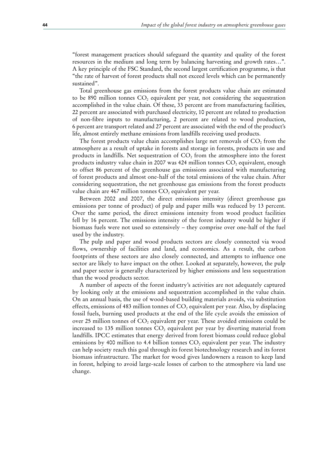"forest management practices should safeguard the quantity and quality of the forest resources in the medium and long term by balancing harvesting and growth rates…". A key principle of the FSC Standard, the second largest certification programme, is that "the rate of harvest of forest products shall not exceed levels which can be permanently sustained".

Total greenhouse gas emissions from the forest products value chain are estimated to be 890 million tonnes  $CO<sub>2</sub>$  equivalent per year, not considering the sequestration accomplished in the value chain. Of these, 33 percent are from manufacturing facilities, 22 percent are associated with purchased electricity, 10 percent are related to production of non-fibre inputs to manufacturing, 2 percent are related to wood production, 6 percent are transport related and 27 percent are associated with the end of the product's life, almost entirely methane emissions from landfills receiving used products.

The forest products value chain accomplishes large net removals of  $CO<sub>2</sub>$  from the atmosphere as a result of uptake in forests and storage in forests, products in use and products in landfills. Net sequestration of  $CO<sub>2</sub>$  from the atmosphere into the forest products industry value chain in 2007 was 424 million tonnes  $CO<sub>2</sub>$  equivalent, enough to offset 86 percent of the greenhouse gas emissions associated with manufacturing of forest products and almost one-half of the total emissions of the value chain. After considering sequestration, the net greenhouse gas emissions from the forest products value chain are 467 million tonnes  $CO<sub>2</sub>$  equivalent per year.

Between 2002 and 2007, the direct emissions intensity (direct greenhouse gas emissions per tonne of product) of pulp and paper mills was reduced by 13 percent. Over the same period, the direct emissions intensity from wood product facilities fell by 16 percent. The emissions intensity of the forest industry would be higher if biomass fuels were not used so extensively – they comprise over one-half of the fuel used by the industry.

The pulp and paper and wood products sectors are closely connected via wood flows, ownership of facilities and land, and economics. As a result, the carbon footprints of these sectors are also closely connected, and attempts to influence one sector are likely to have impact on the other. Looked at separately, however, the pulp and paper sector is generally characterized by higher emissions and less sequestration than the wood products sector.

A number of aspects of the forest industry's activities are not adequately captured by looking only at the emissions and sequestration accomplished in the value chain. On an annual basis, the use of wood-based building materials avoids, via substitution effects, emissions of 483 million tonnes of  $CO<sub>2</sub>$  equivalent per year. Also, by displacing fossil fuels, burning used products at the end of the life cycle avoids the emission of over 25 million tonnes of  $CO<sub>2</sub>$  equivalent per year. These avoided emissions could be increased to 135 million tonnes  $CO<sub>2</sub>$  equivalent per year by diverting material from landfills. IPCC estimates that energy derived from forest biomass could reduce global emissions by 400 million to 4.4 billion tonnes  $CO<sub>2</sub>$  equivalent per year. The industry can help society reach this goal through its forest biotechnology research and its forest biomass infrastructure. The market for wood gives landowners a reason to keep land in forest, helping to avoid large-scale losses of carbon to the atmosphere via land use change.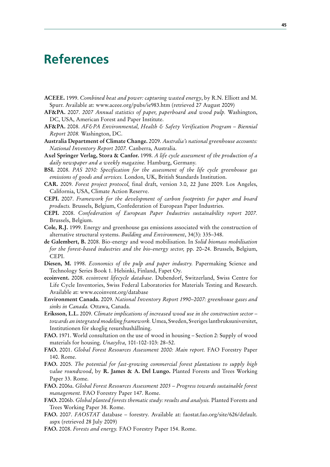# **References**

- **ACEEE.** 1999. *Combined heat and power: capturing wasted energy*, by R.N. Elliott and M. Spurr. Available at: www.aceee.org/pubs/ie983.htm (retrieved 27 August 2009)
- **AF&PA.** 2007. *2007 Annual statistics of paper, paperboard and wood pulp.* Washington, DC, USA, American Forest and Paper Institute.
- **AF&PA.** 2008. *AF&PA Environmental, Health & Safety Verification Program Biennial Report 2008.* Washington, DC.
- **Australia Department of Climate Change.** 2009. *Australia's national greenhouse accounts: National Inventory Report 2007.* Canberra, Australia.
- **Axel Springer Verlag, Stora & Canfor.** 1998. *A life cycle assessment of the production of a daily newspaper and a weekly magazine.* Hamburg, Germany.
- **BSI.** 2008. *PAS 2050: Specification for the assessment of the life cycle greenhouse gas emissions of goods and services.* London, UK, British Standards Institution.
- **CAR.** 2009. *Forest project protocol,* final draft, version 3.0, 22 June 2009. Los Angeles, California, USA, Climate Action Reserve.
- **CEPI.** 2007. *Framework for the development of carbon footprints for paper and board products.* Brussels, Belgium, Confederation of European Paper Industries.
- **CEPI.** 2008. *Confederation of European Paper Industries sustainability report 2007.* Brussels, Belgium.
- **Cole, R.J.** 1999. Energy and greenhouse gas emissions associated with the construction of alternative structural systems. *Building and Environment*, 34(3): 335–348.
- **de Galembert, B.** 2008. Bio-energy and wood mobilisation. In *Solid biomass mobilisation for the forest-based industries and the bio-energy sector,* pp. 20–24. Brussels, Belgium, CEPI.
- **Diesen, M.** 1998. *Economics of the pulp and paper industry.* Papermaking Science and Technology Series Book 1. Helsinki, Finland, Fapet Oy.
- **ecoinvent.** 2008. *ecoinvent lifecycle database*. Dubendorf, Switzerland, Swiss Centre for Life Cycle Inventories, Swiss Federal Laboratories for Materials Testing and Research. Available at: www.ecoinvent.org/database
- **Environment Canada.** 2009. *National Inventory Report 1990*–*2007: greenhouse gases and sinks in Canada.* Ottawa, Canada.
- **Eriksson, L.L.** 2009. *Climate implications of increased wood use in the construction sector towards an integrated modeling framework.* Umea, Sweden, Sveriges lantbruksuniversitet, Institutionen för skoglig resurshushållning.
- **FAO.** 1971. World consultation on the use of wood in housing Section 2: Supply of wood materials for housing. *Unasylva,* 101-102-103: 28–52.
- **FAO.** 2001. *Global Forest Resources Assessment 2000: Main report.* FAO Forestry Paper 140. Rome.
- **FAO.** 2005. *The potential for fast-growing commercial forest plantations to supply high value roundwood*, by **R. James & A. Del Lungo.** Planted Forests and Trees Working Paper 33. Rome.
- **FAO.** 2006a. *Global Forest Resources Assessment 2005 Progress towards sustainable forest management.* FAO Forestry Paper 147. Rome.
- **FAO.** 2006b. *Global planted forests thematic study: results and analysis.* Planted Forests and Trees Working Paper 38. Rome.
- **FAO.** 2007. *FAOSTAT* database forestry. Available at: faostat.fao.org/site/626/default. aspx (retrieved 28 July 2009)
- **FAO.** 2008. *Forests and energy.* FAO Forestry Paper 154. Rome.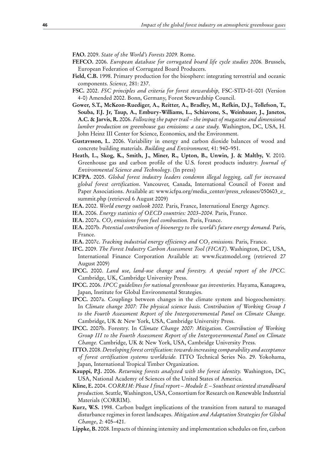**FAO.** 2009. *State of the World's Forests 2009.* Rome.

- **FEFCO.** 2006. *European database for corrugated board life cycle studies 2006.* Brussels, European Federation of Corrugated Board Producers.
- **Field, C.B.** 1998. Primary production for the biosphere: integrating terrestrial and oceanic components. *Science,* 281: 237.
- **FSC.** 2002. *FSC principles and criteria for forest stewardship,* FSC-STD-01-001 (Version 4-0) Amended 2002. Bonn, Germany, Forest Stewardship Council.
- **Gower, S.T., McKeon-Ruediger, A., Reitter, A., Bradley, M., Refkin, D.J., Tollefson, T., Souba, F.J. Jr, Taup, A., Embury-Williams, L., Schiavone, S., Weinbauer, J., Janetos, A.C. & Jarvis, R.** 2006. *Following the paper trail – the impact of magazine and dimensional lumber production on greenhouse gas emissions: a case study.* Washington, DC, USA, H. John Heinz III Center for Science, Economics, and the Environment.
- **Gustavsson, L.** 2006. Variability in energy and carbon dioxide balances of wood and concrete building materials. *Building and Environment,* 41: 940–951.
- **Heath, L., Skog, K., Smith, J., Miner, R., Upton, B., Unwin, J. & Maltby, V.** 2010. Greenhouse gas and carbon profile of the U.S. forest products industry. *Journal of Environmental Science and Technology*. (In press)
- **ICFPA.** 2005. *Global forest industry leaders condemn illegal logging, call for increased global forest certification*. Vancouver, Canada, International Council of Forest and Paper Associations. Available at: www.icfpa.org/media\_center/press\_releases/050603\_e\_ summit.php (retrieved 6 August 2009)
- **IEA.** 2002. *World energy outlook 2002.* Paris, France, International Energy Agency.
- **IEA.** 2006. *Energy statistics of OECD countries: 2003–2004.* Paris, France.
- **IEA.** 2007a. *CO<sub>2</sub> emissions from fuel combustion*. Paris, France.
- **IEA.** 2007b. *Potential contribution of bioenergy to the world's future energy demand.* Paris, France.
- **IEA.** 2007c. *Tracking industrial energy efficiency and CO<sub>2</sub> emissions. Paris, France.*
- **IFC.** 2009. *The Forest Industry Carbon Assessment Tool (FICAT)*. Washington, DC, USA, International Finance Corporation Available at: www.ficatmodel.org (retrieved 27 August 2009)
- **IPCC.** 2000. *Land use, land-use change and forestry. A special report of the IPCC.* Cambridge, UK, Cambridge University Press.
- **IPCC.** 2006. *IPCC guidelines for national greenhouse gas inventories.* Hayama, Kanagawa, Japan, Institute for Global Environmental Strategies.
- **IPCC.** 2007a. Couplings between changes in the climate system and biogeochemistry. In *Climate change 2007: The physical science basis. Contribution of Working Group I to the Fourth Assessment Report of the Intergovernmental Panel on Climate Change.* Cambridge, UK & New York, USA, Cambridge University Press.
- **IPCC.** 2007b. Forestry. In *Climate Change 2007: Mitigation. Contribution of Working Group III to the Fourth Assessment Report of the Intergovernmental Panel on Climate Change.* Cambridge, UK & New York, USA, Cambridge University Press.
- **ITTO.** 2008. *Developing forest certification: towards increasing comparability and acceptance of forest certification systems worldwide.* ITTO Technical Series No. 29. Yokohama, Japan, International Tropical Timber Organization.
- **Kauppi, P.J.** 2006. *Returning forests analyzed with the forest identity.* Washington, DC, USA, National Academy of Sciences of the United States of America.
- **Kline, E.** 2004. *CORRIM: Phase I final report Module E Southeast oriented strandboard production.* Seattle, Washington, USA, Consortium for Research on Renewable Industrial Materials (CORRIM).
- **Kurz, W.S.** 1998. Carbon budget implications of the transition from natural to managed disturbance regimes in forest landscapes. *Mitigation and Adaptation Strategies for Global Change*, 2: 405–421.
- **Lippke, B.** 2008. Impacts of thinning intensity and implementation schedules on fire, carbon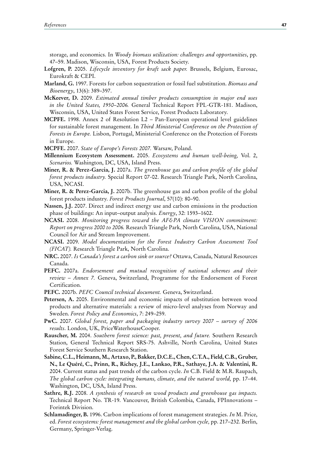storage, and economics. In *Woody biomass utilization: challenges and opportunities*, pp. 47–59. Madison, Wisconsin, USA, Forest Products Society.

- **Lofgren, P.** 2005. *Lifecycle inventory for kraft sack paper.* Brussels, Belgium, Eurosac, Eurokraft & CEPI.
- **Marland, G.** 1997. Forests for carbon sequestration or fossil fuel substitution. *Biomass and Bioenergy*, 13(6): 389–397.
- **McKeever, D.** 2009. *Estimated annual timber products consumption in major end uses in the United States, 1950–2006.* General Technical Report FPL-GTR-181. Madison, Wisconsin, USA, United States Forest Service, Forest Products Laboratory.
- **MCPFE.** 1998. Annex 2 of Resolution L2 Pan-European operational level guidelines for sustainable forest management. In *Third Ministerial Conference on the Protection of Forests in Europe.* Lisbon, Portugal, Ministerial Conference on the Protection of Forests in Europe.
- **MCPFE.** 2007. *State of Europe's Forests 2007.* Warsaw, Poland.
- **Millennium Ecosystem Assessment.** 2005. *Ecosystems and human well-being,* Vol. 2, *Scenarios.* Washington, DC, USA, Island Press.
- **Miner, R. & Perez-Garcia, J.** 2007a. *The greenhouse gas and carbon profile of the global forest products industry.* Special Report 07-02. Research Triangle Park, North Carolina, USA, NCASI.
- **Miner, R. & Perez-Garcia, J.** 2007b. The greenhouse gas and carbon profile of the global forest products industry. *Forest Products Journal*, 57(10): 80–90.
- **Nassen, J.J.** 2007. Direct and indirect energy use and carbon emissions in the production phase of buildings: An input–output analysis. *Energy*, 32: 1593–1602.
- **NCASI.** 2008. *Monitoring progress toward the AF&PA climate VISION commitment: Report on progress 2000 to 2006.* Research Triangle Park, North Carolina, USA, National Council for Air and Stream Improvement.
- **NCASI.** 2009. *Model documentation for the Forest Industry Carbon Assessment Tool (FICAT).* Research Triangle Park, North Carolina.
- **NRC.** 2007. *Is Canada's forest a carbon sink or source?* Ottawa, Canada, Natural Resources Canada.
- **PEFC.** 2007a. *Endorsement and mutual recognition of national schemes and their review – Annex 7.* Geneva, Switzerland, Programme for the Endorsement of Forest Certification.
- **PEFC.** 2007b. *PEFC Council technical document.* Geneva, Switzerland.
- **Petersen, A.** 2005. Environmental and economic impacts of substitution between wood products and alternative materials: a review of micro-level analyses from Norway and Sweden. *Forest Policy and Economics*, 7: 249–259.
- **PwC.** 2007. *Global forest, paper and packaging industry survey 2007 survey of 2006 results*. London, UK, PriceWaterhouseCooper.
- **Rauscher, M.** 2004. *Southern forest science: past, present, and future.* Southern Research Station, General Technical Report SRS-75. Ashville, North Carolina, United States Forest Service Southern Research Station.
- **Sabine, C.L., Heimann, M., Artaxo, P., Bakker, D.C.E., Chen, C.T.A., Field, C.B., Gruber, N., Le Quéré, C., Prinn, R., Richey, J.E., Lankao, P.R., Sathaye, J.A. & Valentini, R.** 2004. Current status and past trends of the carbon cycle. *In* C.B. Field & M.R. Raupach, *The global carbon cycle: integrating humans, climate, and the natural world,* pp. 17–44. Washington, DC, USA, Island Press.
- **Sathre, R.J.** 2008. *A synthesis of research on wood products and greenhouse gas impacts.*  Technical Report No. TR-19. Vancouver, British Colombia, Canada, FPInnovations – Forintek Division.
- **Schlamadinger, B.** 1996. Carbon implications of forest management strategies. *In* M. Price, ed. *Forest ecosystems: forest management and the global carbon cycle,* pp. 217–232. Berlin, Germany, Springer-Verlag.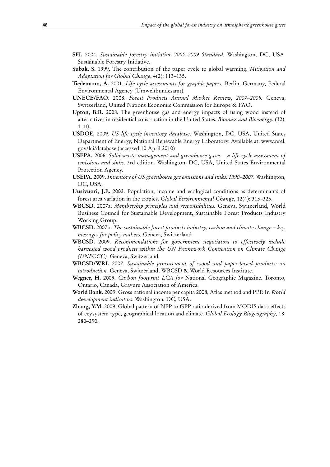- **SFI.** 2004. *Sustainable forestry initiative 2005–2009 Standard.* Washington, DC, USA, Sustainable Forestry Initiative.
- **Subak, S.** 1999. The contribution of the paper cycle to global warming. *Mitigation and Adaptation for Global Change*, 4(2): 113–135.
- **Tiedemann, A.** 2001. *Life cycle assessments for graphic papers.* Berlin, Germany, Federal Environmental Agency (Umweltbundesamt).
- **UNECE/FAO.** 2008. *Forest Products Annual Market Review, 2007–2008.* Geneva, Switzerland, United Nations Economic Commission for Europe & FAO.
- **Upton, B.R.** 2008. The greenhouse gas and energy impacts of using wood instead of alternatives in residential construction in the United States. *Biomass and Bioenergy*, (32):  $1-10.$
- **USDOE.** 2009. *US life cycle inventory database*. Washington, DC, USA, United States Department of Energy, National Renewable Energy Laboratory. Available at: www.nrel. gov/lci/database (accessed 10 April 2010)
- **USEPA.** 2006. *Solid waste management and greenhouse gases a life cycle assessment of emissions and sinks,* 3rd edition. Washington, DC, USA, United States Environmental Protection Agency.
- **USEPA.** 2009. *Inventory of US greenhouse gas emissions and sinks: 1990–2007.* Washington, DC, USA.
- **Uusivuori, J.E.** 2002. Population, income and ecological conditions as determinants of forest area variation in the tropics. *Global Environmental Change*, 12(4): 313–323.
- **WBCSD.** 2007a. *Membership principles and responsibilities.* Geneva, Switzerland, World Business Council for Sustainable Development, Sustainable Forest Products Industry Working Group.
- **WBCSD.** 2007b. *The sustainable forest products industry; carbon and climate change key messages for policy makers.* Geneva, Switzerland.
- **WBCSD.** 2009. *Recommendations for government negotiators to effectively include harvested wood products within the UN Framework Convention on Climate Change (UNFCCC).* Geneva, Switzerland.
- **WBCSD/WRI.** 2007. *Sustainable procurement of wood and paper-based products: an introduction.* Geneva, Switzerland, WBCSD & World Resources Institute.
- **Wegner, H.** 2009. *Carbon footprint LCA for* National Geographic Magazine. Toronto, Ontario, Canada, Gravure Association of America.
- **World Bank.** 2009. Gross national income per capita 2008, Atlas method and PPP. In *World development indicators*. Washington, DC, USA.
- **Zhang, Y.M.** 2009. Global pattern of NPP to GPP ratio derived from MODIS data: effects of ecysystem type, geographical location and climate. *Global Ecology Biogeography*, 18: 280–290.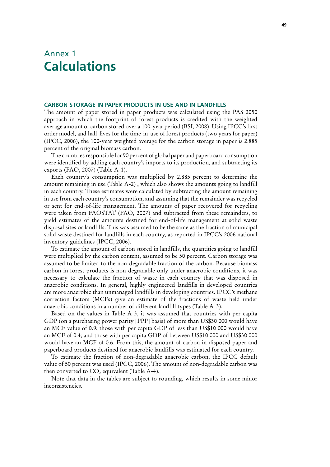# Annex 1 **Calculations**

### **CARBON STORAGE IN PAPER PRODUCTS IN USE AND IN LANDFILLS**

The amount of paper stored in paper products was calculated using the PAS 2050 approach in which the footprint of forest products is credited with the weighted average amount of carbon stored over a 100-year period (BSI, 2008). Using IPCC's first order model, and half-lives for the time-in-use of forest products (two years for paper) (IPCC, 2006), the 100-year weighted average for the carbon storage in paper is 2.885 percent of the original biomass carbon.

The countries responsible for 90 percent of global paper and paperboard consumption were identified by adding each country's imports to its production, and subtracting its exports (FAO, 2007) (Table A-1).

Each country's consumption was multiplied by 2.885 percent to determine the amount remaining in use (Table A-2) , which also shows the amounts going to landfill in each country. These estimates were calculated by subtracting the amount remaining in use from each country's consumption, and assuming that the remainder was recycled or sent for end-of-life management. The amounts of paper recovered for recycling were taken from FAOSTAT (FAO, 2007) and subtracted from these remainders, to yield estimates of the amounts destined for end-of-life management at solid waste disposal sites or landfills. This was assumed to be the same as the fraction of municipal solid waste destined for landfills in each country, as reported in IPCC's 2006 national inventory guidelines (IPCC, 2006).

To estimate the amount of carbon stored in landfills, the quantities going to landfill were multiplied by the carbon content, assumed to be 50 percent. Carbon storage was assumed to be limited to the non-degradable fraction of the carbon. Because biomass carbon in forest products is non-degradable only under anaerobic conditions, it was necessary to calculate the fraction of waste in each country that was disposed in anaerobic conditions. In general, highly engineered landfills in developed countries are more anaerobic than unmanaged landfills in developing countries. IPCC's methane correction factors (MCFs) give an estimate of the fractions of waste held under anaerobic conditions in a number of different landfill types (Table A-3).

Based on the values in Table A-3, it was assumed that countries with per capita GDP (on a purchasing power parity [PPP] basis) of more than US\$30 000 would have an MCF value of 0.9; those with per capita GDP of less than US\$10 000 would have an MCF of 0.4; and those with per capita GDP of between US\$10 000 and US\$30 000 would have an MCF of 0.6. From this, the amount of carbon in disposed paper and paperboard products destined for anaerobic landfills was estimated for each country.

To estimate the fraction of non-degradable anaerobic carbon, the IPCC default value of 50 percent was used (IPCC, 2006). The amount of non-degradable carbon was then converted to  $CO<sub>2</sub>$  equivalent (Table A-4).

Note that data in the tables are subject to rounding, which results in some minor inconsistencies.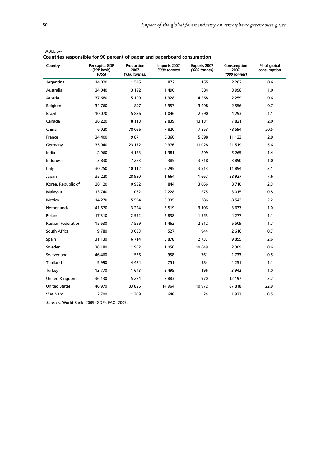| Country                   | Per capita GDP<br>(PPP basis)<br>(USS) | Production<br>2007<br>('000 tonnes) | Imports 2007<br>('000 tonnes) | <b>Exports 2007</b><br>('000 tonnes) | Consumption<br>2007<br>('000 tonnes) | % of global<br>consumption |
|---------------------------|----------------------------------------|-------------------------------------|-------------------------------|--------------------------------------|--------------------------------------|----------------------------|
| Argentina                 | 14 0 20                                | 1 5 4 5                             | 872                           | 155                                  | 2 2 6 2                              | 0.6                        |
| Australia                 | 34 040                                 | 3 1 9 2                             | 1490                          | 684                                  | 3 9 9 8                              | 1.0                        |
| Austria                   | 37 680                                 | 5 1 9 9                             | 1 3 2 8                       | 4 2 6 8                              | 2 2 5 9                              | 0.6                        |
| Belgium                   | 34 760                                 | 1897                                | 3 9 5 7                       | 3 2 9 8                              | 2 5 5 6                              | 0.7                        |
| <b>Brazil</b>             | 10 070                                 | 5836                                | 1 0 4 6                       | 2 5 9 0                              | 4 2 9 3                              | 1.1                        |
| Canada                    | 36 220                                 | 18 113                              | 2839                          | 13 131                               | 7821                                 | 2.0                        |
| China                     | 6 0 20                                 | 78 0 26                             | 7820                          | 7 2 5 3                              | 78 594                               | 20.5                       |
| France                    | 34 400                                 | 9871                                | 6 3 6 0                       | 5 0 9 8                              | 11 133                               | 2.9                        |
| Germany                   | 35 940                                 | 23 172                              | 9376                          | 11 0 28                              | 21 5 19                              | 5.6                        |
| India                     | 2 9 6 0                                | 4 1 8 3                             | 1 3 8 1                       | 299                                  | 5 2 6 5                              | 1.4                        |
| Indonesia                 | 3830                                   | 7 2 2 3                             | 385                           | 3718                                 | 3890                                 | 1.0                        |
| Italy                     | 30 250                                 | 10 112                              | 5 2 9 5                       | 3 5 1 3                              | 11894                                | 3.1                        |
| Japan                     | 35 2 20                                | 28 930                              | 1 6 6 4                       | 1667                                 | 28 927                               | 7.6                        |
| Korea, Republic of        | 28 120                                 | 10 932                              | 844                           | 3 0 6 6                              | 8710                                 | 2.3                        |
| Malaysia                  | 13 740                                 | 1 0 6 2                             | 2 2 2 8                       | 275                                  | 3015                                 | 0.8                        |
| Mexico                    | 14 270                                 | 5 5 9 4                             | 3 3 3 5                       | 386                                  | 8 5 43                               | 2.2                        |
| <b>Netherlands</b>        | 41 670                                 | 3 2 2 4                             | 3519                          | 3 10 6                               | 3637                                 | 1.0                        |
| Poland                    | 17310                                  | 2 9 9 2                             | 2838                          | 1 5 5 3                              | 4 277                                | 1.1                        |
| <b>Russian Federation</b> | 15 630                                 | 7 5 5 9                             | 1462                          | 2512                                 | 6 509                                | 1.7                        |
| South Africa              | 9780                                   | 3 0 3 3                             | 527                           | 944                                  | 2616                                 | 0.7                        |
| Spain                     | 31 130                                 | 6714                                | 5878                          | 2737                                 | 9855                                 | 2.6                        |
| Sweden                    | 38 180                                 | 11 902                              | 1056                          | 10 649                               | 2 3 0 9                              | 0.6                        |
| Switzerland               | 46 460                                 | 1 5 3 6                             | 958                           | 761                                  | 1733                                 | 0.5                        |
| Thailand                  | 5 9 9 0                                | 4 4 8 4                             | 751                           | 984                                  | 4 2 5 1                              | 1.1                        |
| Turkey                    | 13770                                  | 1643                                | 2 4 9 5                       | 196                                  | 3 9 4 2                              | 1.0                        |
| United Kingdom            | 36 130                                 | 5 2 8 4                             | 7883                          | 970                                  | 12 197                               | 3.2                        |
| <b>United States</b>      | 46 970                                 | 83 826                              | 14 964                        | 10 972                               | 87818                                | 22.9                       |
| Viet Nam                  | 2700                                   | 1 3 0 9                             | 648                           | 24                                   | 1933                                 | 0.5                        |

| TABLE A-1                                                                |  |  |  |  |  |
|--------------------------------------------------------------------------|--|--|--|--|--|
| Countries responsible for 90 percent of paper and paperboard consumption |  |  |  |  |  |

*Sources:* World Bank, 2009 (GDP); FAO, 2007.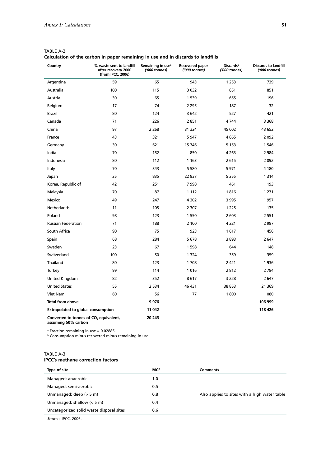| Country                                                                   | % waste sent to landfill<br>after recovery 2000<br>(from IPCC, 2006) | Remaining in use <sup>a</sup><br>('000 tonnes) | Recovered paper<br>('000 tonnes) | <b>Discards</b> <sup>b</sup><br>('000 tonnes) | <b>Discards to landfill</b><br>('000 tonnes) |
|---------------------------------------------------------------------------|----------------------------------------------------------------------|------------------------------------------------|----------------------------------|-----------------------------------------------|----------------------------------------------|
| Argentina                                                                 | 59                                                                   | 65                                             | 943                              | 1 2 5 3                                       | 739                                          |
| Australia                                                                 | 100                                                                  | 115                                            | 3 0 3 2                          | 851                                           | 851                                          |
| Austria                                                                   | 30                                                                   | 65                                             | 1 5 3 9                          | 655                                           | 196                                          |
| Belgium                                                                   | 17                                                                   | 74                                             | 2 2 9 5                          | 187                                           | 32                                           |
| Brazil                                                                    | 80                                                                   | 124                                            | 3 6 4 2                          | 527                                           | 421                                          |
| Canada                                                                    | 71                                                                   | 226                                            | 2851                             | 4744                                          | 3 3 6 8                                      |
| China                                                                     | 97                                                                   | 2 2 6 8                                        | 31 324                           | 45 002                                        | 43 652                                       |
| France                                                                    | 43                                                                   | 321                                            | 5 9 4 7                          | 4865                                          | 2092                                         |
| Germany                                                                   | 30                                                                   | 621                                            | 15 746                           | 5 1 5 3                                       | 1 5 4 6                                      |
| India                                                                     | 70                                                                   | 152                                            | 850                              | 4 2 6 3                                       | 2 9 8 4                                      |
| Indonesia                                                                 | 80                                                                   | 112                                            | 1 1 6 3                          | 2615                                          | 2 0 9 2                                      |
| Italy                                                                     | 70                                                                   | 343                                            | 5 5 8 0                          | 5971                                          | 4 1 8 0                                      |
| Japan                                                                     | 25                                                                   | 835                                            | 22 837                           | 5 2 5 5                                       | 1314                                         |
| Korea, Republic of                                                        | 42                                                                   | 251                                            | 7998                             | 461                                           | 193                                          |
| Malaysia                                                                  | 70                                                                   | 87                                             | 1 1 1 2                          | 1816                                          | 1 2 7 1                                      |
| Mexico                                                                    | 49                                                                   | 247                                            | 4 3 0 2                          | 3 9 9 5                                       | 1957                                         |
| Netherlands                                                               | 11                                                                   | 105                                            | 2 3 0 7                          | 1 2 2 5                                       | 135                                          |
| Poland                                                                    | 98                                                                   | 123                                            | 1 5 5 0                          | 2 603                                         | 2 5 5 1                                      |
| <b>Russian Federation</b>                                                 | 71                                                                   | 188                                            | 2 100                            | 4 2 2 1                                       | 2 9 9 7                                      |
| South Africa                                                              | 90                                                                   | 75                                             | 923                              | 1617                                          | 1456                                         |
| Spain                                                                     | 68                                                                   | 284                                            | 5678                             | 3893                                          | 2 6 4 7                                      |
| Sweden                                                                    | 23                                                                   | 67                                             | 1 5 9 8                          | 644                                           | 148                                          |
| Switzerland                                                               | 100                                                                  | 50                                             | 1 3 2 4                          | 359                                           | 359                                          |
| Thailand                                                                  | 80                                                                   | 123                                            | 1708                             | 2421                                          | 1936                                         |
| Turkey                                                                    | 99                                                                   | 114                                            | 1016                             | 2812                                          | 2 7 8 4                                      |
| United Kingdom                                                            | 82                                                                   | 352                                            | 8617                             | 3 2 2 8                                       | 2 6 4 7                                      |
| <b>United States</b>                                                      | 55                                                                   | 2 5 3 4                                        | 46 431                           | 38 853                                        | 21 3 69                                      |
| Viet Nam                                                                  | 60                                                                   | 56                                             | 77                               | 1800                                          | 1 0 8 0                                      |
| <b>Total from above</b>                                                   |                                                                      | 9 9 7 6                                        |                                  |                                               | 106 999                                      |
| <b>Extrapolated to global consumption</b>                                 |                                                                      | 11 042                                         |                                  |                                               | 118 426                                      |
| Converted to tonnes of CO <sub>2</sub> equivalent,<br>assuming 50% carbon |                                                                      | 20 24 3                                        |                                  |                                               |                                              |

| TABLE A-2                                                                        |  |
|----------------------------------------------------------------------------------|--|
| Calculation of the carbon in paper remaining in use and in discards to landfills |  |

a Fraction remaining in use = 0.02885.

**b** Consumption minus recovered minus remaining in use.

## TABLE A-3 **IPCC's methane correction factors**

| Type of site                             | <b>MCF</b> | <b>Comments</b>                               |
|------------------------------------------|------------|-----------------------------------------------|
| Managed: anaerobic                       | 1.0        |                                               |
| Managed: semi-aerobic                    | 0.5        |                                               |
| Unmanaged: deep $(> 5 m)$                | 0.8        | Also applies to sites with a high water table |
| Unmanaged: shallow $(< 5 m)$             | 0.4        |                                               |
| Uncategorized solid waste disposal sites | 0.6        |                                               |
|                                          |            |                                               |

*Source:* IPCC, 2006.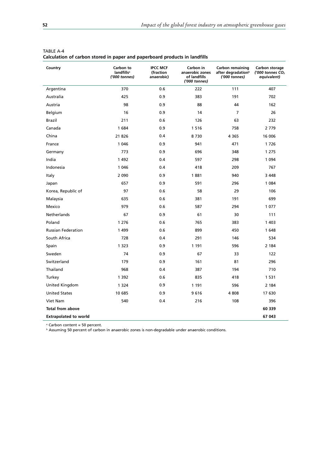| Country                      | Carbon to<br>landfills <sup>a</sup><br>('000 tonnes) | <b>IPCC MCF</b><br>(fraction<br>anaerobic) | Carbon in<br>anaerobic zones<br>of landfills<br>('000 tonnes) | <b>Carbon remaining</b><br>after degradation <sup>b</sup><br>('000 tonnes) | Carbon storage<br>('000 tonnes $CO2$<br>equivalent) |
|------------------------------|------------------------------------------------------|--------------------------------------------|---------------------------------------------------------------|----------------------------------------------------------------------------|-----------------------------------------------------|
| Argentina                    | 370                                                  | 0.6                                        | 222                                                           | 111                                                                        | 407                                                 |
| Australia                    | 425                                                  | 0.9                                        | 383                                                           | 191                                                                        | 702                                                 |
| Austria                      | 98                                                   | 0.9                                        | 88                                                            | 44                                                                         | 162                                                 |
| Belgium                      | 16                                                   | 0.9                                        | 14                                                            | $\overline{7}$                                                             | 26                                                  |
| Brazil                       | 211                                                  | 0.6                                        | 126                                                           | 63                                                                         | 232                                                 |
| Canada                       | 1684                                                 | 0.9                                        | 1516                                                          | 758                                                                        | 2 7 7 9                                             |
| China                        | 21 8 26                                              | 0.4                                        | 8730                                                          | 4 3 6 5                                                                    | 16 006                                              |
| France                       | 1 0 4 6                                              | 0.9                                        | 941                                                           | 471                                                                        | 1726                                                |
| Germany                      | 773                                                  | 0.9                                        | 696                                                           | 348                                                                        | 1 2 7 5                                             |
| India                        | 1 4 9 2                                              | 0.4                                        | 597                                                           | 298                                                                        | 1 0 9 4                                             |
| Indonesia                    | 1 0 4 6                                              | 0.4                                        | 418                                                           | 209                                                                        | 767                                                 |
| Italy                        | 2 0 9 0                                              | 0.9                                        | 1881                                                          | 940                                                                        | 3 4 4 8                                             |
| Japan                        | 657                                                  | 0.9                                        | 591                                                           | 296                                                                        | 1 0 8 4                                             |
| Korea, Republic of           | 97                                                   | 0.6                                        | 58                                                            | 29                                                                         | 106                                                 |
| Malaysia                     | 635                                                  | 0.6                                        | 381                                                           | 191                                                                        | 699                                                 |
| Mexico                       | 979                                                  | 0.6                                        | 587                                                           | 294                                                                        | 1 0 7 7                                             |
| Netherlands                  | 67                                                   | 0.9                                        | 61                                                            | 30                                                                         | 111                                                 |
| Poland                       | 1 2 7 6                                              | 0.6                                        | 765                                                           | 383                                                                        | 1 4 0 3                                             |
| <b>Russian Federation</b>    | 1499                                                 | 0.6                                        | 899                                                           | 450                                                                        | 1648                                                |
| South Africa                 | 728                                                  | 0.4                                        | 291                                                           | 146                                                                        | 534                                                 |
| Spain                        | 1 3 2 3                                              | 0.9                                        | 1 1 9 1                                                       | 596                                                                        | 2 1 8 4                                             |
| Sweden                       | 74                                                   | 0.9                                        | 67                                                            | 33                                                                         | 122                                                 |
| Switzerland                  | 179                                                  | 0.9                                        | 161                                                           | 81                                                                         | 296                                                 |
| Thailand                     | 968                                                  | 0.4                                        | 387                                                           | 194                                                                        | 710                                                 |
| Turkey                       | 1 3 9 2                                              | 0.6                                        | 835                                                           | 418                                                                        | 1 5 3 1                                             |
| United Kingdom               | 1 3 2 4                                              | 0.9                                        | 1 1 9 1                                                       | 596                                                                        | 2 1 8 4                                             |
| <b>United States</b>         | 10 685                                               | 0.9                                        | 9616                                                          | 4808                                                                       | 17 630                                              |
| Viet Nam                     | 540                                                  | 0.4                                        | 216                                                           | 108                                                                        | 396                                                 |
| <b>Total from above</b>      |                                                      |                                            |                                                               |                                                                            | 60 339                                              |
| <b>Extrapolated to world</b> |                                                      |                                            |                                                               |                                                                            | 67 043                                              |

| <b>TABLE A-4</b>                                                           |  |  |
|----------------------------------------------------------------------------|--|--|
| Calculation of carbon stored in paper and paperboard products in landfills |  |  |

<sup>a</sup> Carbon content = 50 percent.

b Assuming 50 percent of carbon in anaerobic zones is non-degradable under anaerobic conditions.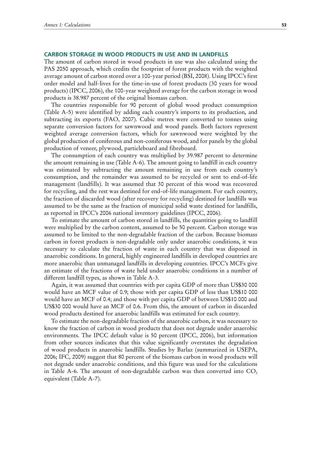### **CARBON STORAGE IN WOOD PRODUCTS IN USE AND IN LANDFILLS**

The amount of carbon stored in wood products in use was also calculated using the PAS 2050 approach, which credits the footprint of forest products with the weighted average amount of carbon stored over a 100-year period (BSI, 2008). Using IPCC's first order model and half-lives for the time-in-use of forest products (30 years for wood products) (IPCC, 2006), the 100-year weighted average for the carbon storage in wood products is 38.987 percent of the original biomass carbon.

The countries responsible for 90 percent of global wood product consumption (Table A-5) were identified by adding each country's imports to its production, and subtracting its exports (FAO, 2007). Cubic metres were converted to tonnes using separate conversion factors for sawnwood and wood panels. Both factors represent weighted average conversion factors, which for sawnwood were weighted by the global production of coniferous and non-coniferous wood, and for panels by the global production of veneer, plywood, particleboard and fibreboard.

The consumption of each country was multiplied by 39.987 percent to determine the amount remaining in use (Table A-6). The amount going to landfill in each country was estimated by subtracting the amount remaining in use from each country's consumption, and the remainder was assumed to be recycled or sent to end-of-life management (landfills). It was assumed that 30 percent of this wood was recovered for recycling, and the rest was destined for end-of-life management. For each country, the fraction of discarded wood (after recovery for recycling) destined for landfills was assumed to be the same as the fraction of municipal solid waste destined for landfills, as reported in IPCC's 2006 national inventory guidelines (IPCC, 2006).

To estimate the amount of carbon stored in landfills, the quantities going to landfill were multiplied by the carbon content, assumed to be 50 percent. Carbon storage was assumed to be limited to the non-degradable fraction of the carbon. Because biomass carbon in forest products is non-degradable only under anaerobic conditions, it was necessary to calculate the fraction of waste in each country that was disposed in anaerobic conditions. In general, highly engineered landfills in developed countries are more anaerobic than unmanaged landfills in developing countries. IPCC's MCFs give an estimate of the fractions of waste held under anaerobic conditions in a number of different landfill types, as shown in Table A-3.

Again, it was assumed that countries with per capita GDP of more than US\$30 000 would have an MCF value of 0.9; those with per capita GDP of less than US\$10 000 would have an MCF of 0.4; and those with per capita GDP of between US\$10 000 and US\$30 000 would have an MCF of 0.6. From this, the amount of carbon in discarded wood products destined for anaerobic landfills was estimated for each country.

To estimate the non-degradable fraction of the anaerobic carbon, it was necessary to know the fraction of carbon in wood products that does not degrade under anaerobic environments. The IPCC default value is 50 percent (IPCC, 2006), but information from other sources indicates that this value significantly overstates the degradation of wood products in anaerobic landfills. Studies by Barlaz (summarized in USEPA, 2006; IFC, 2009) suggest that 80 percent of the biomass carbon in wood products will not degrade under anaerobic conditions, and this figure was used for the calculations in Table A-6. The amount of non-degradable carbon was then converted into  $CO<sub>2</sub>$ equivalent (Table A-7).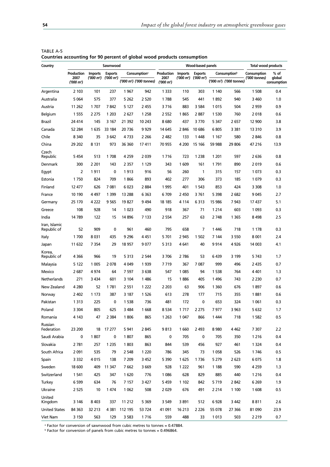| Country                      |                               |                | Sawnwood       |          |                                      | Wood-based panels    |         |                           |         | Total wood products                  |               |                       |
|------------------------------|-------------------------------|----------------|----------------|----------|--------------------------------------|----------------------|---------|---------------------------|---------|--------------------------------------|---------------|-----------------------|
|                              | Production                    | <b>Imports</b> | <b>Exports</b> |          | <b>Consumption</b> <sup>a</sup>      | Production Imports   |         | <b>Exports</b>            |         | Consumption <sup>b</sup>             | Consumption   | % of                  |
|                              | 2007<br>$(000 \; \text{m}^3)$ | ('000 m')      | ('000 m')      |          | ('000 m <sup>3</sup> ) ('000 tonnes) | 2007<br>$('000 m^3)$ |         | $('000 m^3)$ $('000 m^3)$ |         | ('000 m <sup>3</sup> ) ('000 tonnes) | ('000 tonnes) | global<br>consumption |
| Argentina                    | 2 103                         | 101            | 237            | 1967     | 942                                  | 1 3 3 3              | 110     | 303                       | 1 1 4 0 | 566                                  | 1 508         | 0.4                   |
| Australia                    | 5 0 6 4                       | 575            | 377            | 5 2 6 2  | 2 5 20                               | 1788                 | 545     | 441                       | 1892    | 940                                  | 3 4 6 0       | 1.0                   |
| Austria                      | 11 262                        | 1707           | 7842           | 5 1 2 7  | 2 4 5 5                              | 3716                 | 883     | 3 5 8 4                   | 1015    | 504                                  | 2959          | 0.9                   |
| <b>Belgium</b>               | 1 5 5 5                       | 2 2 7 5        | 1 2 0 3        | 2 627    | 1 2 5 8                              | 2 5 5 2              | 1865    | 2887                      | 1 5 3 0 | 760                                  | 2018          | 0.6                   |
| <b>Brazil</b>                | 24 414                        | 145            | 3 1 6 7        | 21 3 9 2 | 10 243                               | 8680                 | 437     | 3770                      | 5 3 4 7 | 2657                                 | 12 900        | 3.8                   |
| Canada                       | 52 284                        | 1635           | 33 184         | 20 736   | 9929                                 | 14 645               | 2846    | 10 686                    | 6805    | 3 3 8 1                              | 13 3 10       | 3.9                   |
| Chile                        | 8 3 4 0                       | 35             | 3 6 4 2        | 4733     | 2 2 6 6                              | 2 4 8 2              | 133     | 1448                      | 1 1 6 7 | 580                                  | 2846          | 0.8                   |
| China                        | 29 202                        | 8 1 3 1        | 973            | 36 360   | 17411                                | 70 955               | 4 200   | 15 166                    | 59 988  | 29 806                               | 47 216        | 13.9                  |
| Czech<br>Republic            | 5454                          | 513            | 1708           | 4 2 5 9  | 2 0 3 9                              | 1716                 | 723     | 1 2 3 8                   | 1 2 0 1 | 597                                  | 2636          | 0.8                   |
| Denmark                      | 300                           | 2 2 0 1        | 143            | 2 3 5 7  | 1 1 2 9                              | 343                  | 1609    | 161                       | 1791    | 890                                  | 2019          | 0.6                   |
| Egypt                        | 2                             | 1911           | 0              | 1913     | 916                                  | 56                   | 260     | $\mathbf{1}$              | 315     | 157                                  | 1073          | 0.3                   |
| Estonia                      | 1750                          | 824            | 709            | 1866     | 893                                  | 402                  | 277     | 306                       | 373     | 185                                  | 1079          | 0.3                   |
| Finland                      | 12 477                        | 626            | 7081           | 6 0 23   | 2884                                 | 1995                 | 401     | 1 5 4 3                   | 853     | 424                                  | 3 3 0 8       | 1.0                   |
| France                       | 10 190                        | 4 4 9 7        | 1 3 9 9        | 13 288   | 6 3 6 3                              | 6709                 | 2 4 5 0 | 3761                      | 5 3 9 8 | 2682                                 | 9045          | 2.7                   |
| Germany                      | 25 170                        | 4 222          | 9 5 6 5        | 19827    | 9494                                 | 18 185               | 4 1 1 4 | 6313                      | 15 986  | 7 943                                | 17437         | 5.1                   |
| Greece                       | 108                           | 928            | 14             | 1 0 2 3  | 490                                  | 918                  | 367     | 71                        | 1 2 1 4 | 603                                  | 1 0 9 3       | 0.3                   |
| India                        | 14 789                        | 122            | 15             | 14896    | 7 133                                | 2 5 5 4              | 257     | 63                        | 2748    | 1 3 6 5                              | 8498          | 2.5                   |
| Iran, Islamic<br>Republic of | 52                            | 909            | 0              | 961      | 460                                  | 795                  | 658     | 7                         | 1446    | 718                                  | 1 178         | 0.3                   |
| Italy                        | 1700                          | 8031           | 435            | 9 2 9 6  | 4451                                 | 5701                 | 2 9 4 5 | 1 502                     | 7 144   | 3 5 5 0                              | 8 0 0 1       | 2.4                   |
|                              | 11 632                        | 7 3 5 4        | 29             | 18 957   | 9077                                 | 5313                 | 4 641   | 40                        | 9914    | 4926                                 | 14 003        | 4.1                   |
| Japan<br>Korea,              |                               |                |                |          |                                      |                      |         |                           |         |                                      |               |                       |
| Republic of                  | 4 3 6 6                       | 966            | 19             | 5 3 1 3  | 2 5 4 4                              | 3706                 | 2 7 8 6 | 53                        | 6439    | 3 1 9 9                              | 5743          | 1.7                   |
| Malaysia                     | 5 1 2 2                       | 1 0 0 5        | 2078           | 4 0 4 9  | 1939                                 | 7719                 | 367     | 7087                      | 999     | 496                                  | 2 4 3 5       | 0.7                   |
| Mexico                       | 2687                          | 4974           | 64             | 7 5 9 7  | 3638                                 | 547                  | 1 0 8 5 | 94                        | 1 5 3 8 | 764                                  | 4 4 0 1       | 1.3                   |
| Netherlands                  | 271                           | 3434           | 601            | 3 104    | 1486                                 | 15                   | 1886    | 405                       | 1496    | 743                                  | 2 2 3 0       | 0.7                   |
| New Zealand                  | 4 2 8 0                       | 52             | 1781           | 2 5 5 1  | 1 2 2 2                              | 2 2 0 3              | 63      | 906                       | 1 3 6 0 | 676                                  | 1897          | 0.6                   |
| Norway                       | 2 4 0 2                       | 1 1 7 3        | 387            | 3 187    | 1 5 2 6                              | 613                  | 278     | 177                       | 715     | 355                                  | 1881          | 0.6                   |
| Pakistan                     | 1313                          | 225            | 0              | 1 5 3 8  | 736                                  | 481                  | 172     | 0                         | 653     | 324                                  | 1 0 6 1       | 0.3                   |
| Poland                       | 3 3 0 4                       | 805            | 625            | 3 4 8 4  | 1668                                 | 8 5 3 4              | 1 7 1 7 | 2 2 7 5                   | 7977    | 3 9 63                               | 5632          | 1.7                   |
| Romania                      | 4 143                         | 47             | 2 3 8 4        | 1806     | 865                                  | 1 2 6 3              | 1 0 4 7 | 866                       | 1444    | 718                                  | 1 5 8 2       | 0.5                   |
| Russian<br>Federation        | 23 200                        | 18             | 17 277         | 5941     | 2 8 4 5                              | 9813                 | 1660    | 2 4 9 3                   | 8 9 8 0 | 4 4 6 2                              | 7 307         | 2.2                   |
| Saudi Arabia                 | 0                             | 1807           | 0              | 1807     | 865                                  | 0                    | 705     | 0                         | 705     | 350                                  | 1 2 1 6       | 0.4                   |
| Slovakia                     | 2 7 8 1                       | 257            | 1 2 3 5        | 1803     | 863                                  | 844                  | 539     | 456                       | 927     | 461                                  | 1 3 2 4       | 0.4                   |
| South Africa                 | 2 0 9 1                       | 535            | 79             | 2 5 4 8  | 1 2 2 0                              | 786                  | 345     | 73                        | 1058    | 526                                  | 1746          | 0.5                   |
| Spain                        | 3 3 3 2                       | 4015           | 138            | 7 209    | 3 4 5 2                              | 5 3 9 0              | 1625    | 1736                      | 5 2 7 9 | 2 6 23                               | 6075          | 1.8                   |
| Sweden                       | 18 600                        | 409            | 11 347         | 7 6 6 2  | 3 6 6 9                              | 928                  | 1 2 2 2 | 961                       | 1 1 8 8 | 590                                  | 4 2 5 9       | 1.3                   |
| Switzerland                  | 1 5 4 1                       | 425            | 347            | 1620     | 776                                  | 1086                 | 628     | 829                       | 885     | 440                                  | 1 2 1 6       | 0.4                   |
| Turkey                       | 6 5 9 9                       | 634            | 76             | 7 1 5 7  | 3 4 2 7                              | 5459                 | 1 1 0 2 | 842                       | 5719    | 2842                                 | 6 2 6 9       | 1.9                   |
| Ukraine                      | 2 5 2 5                       | 10             | 1474           | 1 0 6 2  | 508                                  | 2029                 | 676     | 491                       | 2 2 1 4 | 1 100                                | 1608          | 0.5                   |
| United<br>Kingdom            | 3 146                         | 8 4 0 3        | 337            | 11 212   | 5 3 6 9                              | 3 5 4 9              | 3891    | 512                       | 6928    | 3 4 4 2                              | 8811          | 2.6                   |
| <b>United States</b>         | 84 363                        | 32 213         | 4 3 8 1        | 112 195  | 53 724                               | 41 091               | 16 213  | 2 2 2 6                   | 55 078  | 27 366                               | 81 090        | 23.9                  |
| Viet Nam                     | 3 1 5 0                       | 563            | 129            | 3 5 8 3  | 1716                                 | 559                  | 488     | 33                        | 1 0 1 3 | 503                                  | 2 2 1 9       | 0.7                   |

TABLE A-5 **Countries accounting for 90 percent of global wood products consumption**

a Factor for conversion of sawnwood from cubic metres to tonnes = 0.47884.

 $b$  Factor for conversion of panels from cubic metres to tonnes = 0.496864.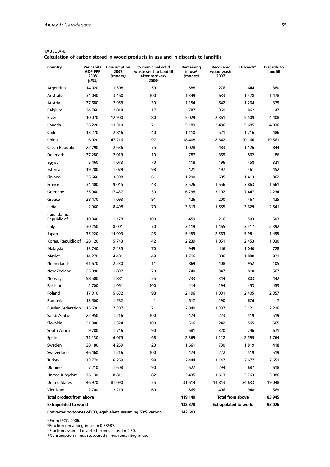| Country                                                                | Per capita<br><b>GDP PPP</b><br>2008<br>(US\$) | Consumption<br>2007<br>(tonnes) | % municipal solid<br>waste sent to landfill<br>after recovery<br>2000 <sup>a</sup> | Remaining<br>in use <sup>b</sup><br>(tonnes) | Recovered<br>wood waste<br>2007 <sup>c</sup> | <b>Discards</b> <sup>d</sup> | Discards to<br>landfill |
|------------------------------------------------------------------------|------------------------------------------------|---------------------------------|------------------------------------------------------------------------------------|----------------------------------------------|----------------------------------------------|------------------------------|-------------------------|
| Argentina                                                              | 14 0 20                                        | 1 508                           | 59                                                                                 | 588                                          | 276                                          | 644                          | 380                     |
| Australia                                                              | 34 040                                         | 3 4 6 0                         | 100                                                                                | 1 3 4 9                                      | 633                                          | 1478                         | 1478                    |
| Austria                                                                | 37 680                                         | 2 9 5 9                         | 30                                                                                 | 1 1 5 4                                      | 542                                          | 1 2 6 4                      | 379                     |
| Belgium                                                                | 34 760                                         | 2018                            | 17                                                                                 | 787                                          | 369                                          | 862                          | 147                     |
| Brazil                                                                 | 10 070                                         | 12 900                          | 80                                                                                 | 5029                                         | 2 3 6 1                                      | 5 5 0 9                      | 4 4 0 8                 |
| Canada                                                                 | 36 220                                         | 13 310                          | 71                                                                                 | 5 1 8 9                                      | 2 4 3 6                                      | 5685                         | 4036                    |
| Chile                                                                  | 13 270                                         | 2846                            | 40                                                                                 | 1 1 1 0                                      | 521                                          | 1 2 1 6                      | 486                     |
| China                                                                  | 6020                                           | 47 216                          | 97                                                                                 | 18 408                                       | 8 6 4 2                                      | 20 166                       | 19 561                  |
| Czech Republic                                                         | 22 790                                         | 2636                            | 75                                                                                 | 1028                                         | 483                                          | 1 1 2 6                      | 844                     |
| Denmark                                                                | 37 280                                         | 2019                            | 10                                                                                 | 787                                          | 369                                          | 862                          | 86                      |
| Egypt                                                                  | 5460                                           | 1073                            | 70                                                                                 | 418                                          | 196                                          | 458                          | 321                     |
| Estonia                                                                | 19 280                                         | 1079                            | 98                                                                                 | 421                                          | 197                                          | 461                          | 452                     |
| Finland                                                                | 35 660                                         | 3 3 0 8                         | 61                                                                                 | 1 2 9 0                                      | 605                                          | 1413                         | 862                     |
| France                                                                 | 34 400                                         | 9 0 45                          | 43                                                                                 | 3 5 2 6                                      | 1656                                         | 3863                         | 1661                    |
| Germany                                                                | 35 940                                         | 17437                           | 30                                                                                 | 6798                                         | 3 192                                        | 7447                         | 2 2 3 4                 |
| Greece                                                                 | 28 470                                         | 1 0 9 3                         | 91                                                                                 | 426                                          | 200                                          | 467                          | 425                     |
| India                                                                  | 2 9 6 0                                        | 8498                            | 70                                                                                 | 3 3 1 3                                      | 1 5 5 5                                      | 3629                         | 2 541                   |
| Iran, Islamic<br>Republic of                                           | 10 840                                         | 1 1 7 8                         | 100                                                                                | 459                                          | 216                                          | 503                          | 503                     |
| Italy                                                                  | 30 250                                         | 8 0 0 1                         | 70                                                                                 | 3 1 1 9                                      | 1465                                         | 3417                         | 2 392                   |
| Japan                                                                  | 35 220                                         | 14 003                          | 25                                                                                 | 5459                                         | 2 5 6 3                                      | 5981                         | 1495                    |
| Korea, Republic of                                                     | 28 120                                         | 5743                            | 42                                                                                 | 2 2 3 9                                      | 1051                                         | 2 4 5 3                      | 1 0 3 0                 |
| Malaysia                                                               | 13740                                          | 2 4 3 5                         | 70                                                                                 | 949                                          | 446                                          | 1 0 4 0                      | 728                     |
| Mexico                                                                 | 14 270                                         | 4 4 0 1                         | 49                                                                                 | 1716                                         | 806                                          | 1880                         | 921                     |
| Netherlands                                                            | 41 670                                         | 2 2 3 0                         | 11                                                                                 | 869                                          | 408                                          | 952                          | 105                     |
| New Zealand                                                            | 25 090                                         | 1897                            | 70                                                                                 | 740                                          | 347                                          | 810                          | 567                     |
| Norway                                                                 | 58 500                                         | 1881                            | 55                                                                                 | 733                                          | 344                                          | 803                          | 442                     |
| Pakistan                                                               | 2700                                           | 1 0 6 1                         | 100                                                                                | 414                                          | 194                                          | 453                          | 453                     |
| Poland                                                                 | 17 310                                         | 5 632                           | 98                                                                                 | 2 1 9 6                                      | 1 0 3 1                                      | 2 4 0 5                      | 2 3 5 7                 |
| Romania                                                                | 13 500                                         | 1 5 8 2                         | 1                                                                                  | 617                                          | 290                                          | 676                          | 7                       |
| Russian Federation                                                     | 15 630                                         | 7 307                           | 71                                                                                 | 2 8 4 9                                      | 1 3 3 7                                      | 3 121                        | 2 2 1 6                 |
| Saudi Arabia                                                           | 22 950                                         | 1 2 1 6                         | 100                                                                                | 474                                          | 223                                          | 519                          | 519                     |
| Slovakia                                                               | 21 300                                         | 1 3 2 4                         | 100                                                                                | 516                                          | 242                                          | 565                          | 565                     |
| South Africa                                                           | 9780                                           | 1746                            | 90                                                                                 | 681                                          | 320                                          | 746                          | 671                     |
| Spain                                                                  | 31 130                                         | 6 0 7 5                         | 68                                                                                 | 2 3 6 9                                      | 1 1 1 2                                      | 2 5 9 5                      | 1764                    |
| Sweden                                                                 | 38 180                                         | 4 2 5 9                         | 23                                                                                 | 1661                                         | 780                                          | 1819                         | 418                     |
| Switzerland                                                            | 46 460                                         | 1 2 1 6                         | 100                                                                                | 474                                          | 222                                          | 519                          | 519                     |
| Turkey                                                                 | 13770                                          | 6 2 6 9                         | 99                                                                                 | 2 4 4 4                                      | 1 147                                        | 2677                         | 2 651                   |
| Ukraine                                                                | 7 2 1 0                                        | 1 608                           | 90                                                                                 | 627                                          | 294                                          | 687                          | 618                     |
| United Kingdom                                                         | 36 130                                         | 8811                            | 82                                                                                 | 3 4 3 5                                      | 1613                                         | 3 763                        | 3 0 8 6                 |
| <b>United States</b>                                                   | 46 970                                         | 81 090                          | 55                                                                                 | 31 614                                       | 14 843                                       | 34 633                       | 19 048                  |
| Viet Nam                                                               | 2 700                                          | 2 2 1 9                         | 60                                                                                 | 865                                          | 406                                          | 948                          | 569                     |
| Total product from above                                               |                                                |                                 |                                                                                    | 119 140                                      | Total from above                             |                              | 83 945                  |
| <b>Extrapolated to world</b>                                           |                                                |                                 |                                                                                    | 132 378                                      | <b>Extrapolated to world</b>                 |                              | 93 026                  |
| Converted to tonnes of CO <sub>2</sub> equivalent, assuming 50% carbon |                                                |                                 |                                                                                    | 242 693                                      |                                              |                              |                         |

| TABLE A-6 |                                                                                   |
|-----------|-----------------------------------------------------------------------------------|
|           | Calculation of carbon stored in wood products in use and in discards to landfills |

a From IPCC, 2006.

b Fraction remaining in use = 0.38987.<br><sup>c</sup> Fraction assumed diverted from disposal = 0.30.

<sup>d</sup> Consumption minus recovered minus remaining in use.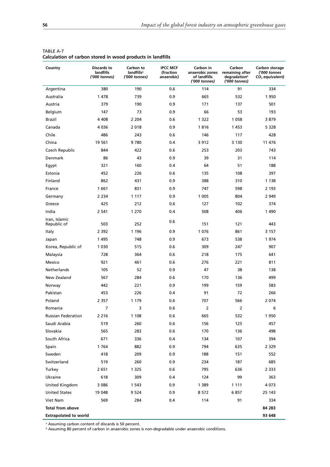| Country                      | Discards to<br>landfills<br>('000 tonnes) | Carbon to<br>landfills <sup>a</sup><br>('000 tonnes) | <b>IPCC MCF</b><br>(fraction<br>anaerobic) | Carbon in<br>anaerobic zones<br>of landfills<br>('000 tonnes) | Carbon<br>remaining after<br>degradation <sup>b</sup><br>('000 tonnes) | Carbon storage<br>('000 tonnes<br>$CO2$ equivalent) |
|------------------------------|-------------------------------------------|------------------------------------------------------|--------------------------------------------|---------------------------------------------------------------|------------------------------------------------------------------------|-----------------------------------------------------|
| Argentina                    | 380                                       | 190                                                  | 0.6                                        | 114                                                           | 91                                                                     | 334                                                 |
| Australia                    | 1478                                      | 739                                                  | 0.9                                        | 665                                                           | 532                                                                    | 1950                                                |
| Austria                      | 379                                       | 190                                                  | 0.9                                        | 171                                                           | 137                                                                    | 501                                                 |
| Belgium                      | 147                                       | 73                                                   | 0.9                                        | 66                                                            | 53                                                                     | 193                                                 |
| Brazil                       | 4 4 0 8                                   | 2 2 0 4                                              | 0.6                                        | 1 3 2 2                                                       | 1 0 5 8                                                                | 3879                                                |
| Canada                       | 4 0 3 6                                   | 2018                                                 | 0.9                                        | 1816                                                          | 1453                                                                   | 5 3 2 8                                             |
| Chile                        | 486                                       | 243                                                  | 0.6                                        | 146                                                           | 117                                                                    | 428                                                 |
| China                        | 19 5 61                                   | 9780                                                 | 0.4                                        | 3 9 1 2                                                       | 3 1 3 0                                                                | 11 476                                              |
| Czech Republic               | 844                                       | 422                                                  | 0.6                                        | 253                                                           | 203                                                                    | 743                                                 |
| Denmark                      | 86                                        | 43                                                   | 0.9                                        | 39                                                            | 31                                                                     | 114                                                 |
| Egypt                        | 321                                       | 160                                                  | 0.4                                        | 64                                                            | 51                                                                     | 188                                                 |
| Estonia                      | 452                                       | 226                                                  | 0.6                                        | 135                                                           | 108                                                                    | 397                                                 |
| Finland                      | 862                                       | 431                                                  | 0.9                                        | 388                                                           | 310                                                                    | 1 1 3 8                                             |
| France                       | 1661                                      | 831                                                  | 0.9                                        | 747                                                           | 598                                                                    | 2 193                                               |
| Germany                      | 2 2 3 4                                   | 1 1 1 7                                              | 0.9                                        | 1 0 0 5                                                       | 804                                                                    | 2 9 4 9                                             |
| Greece                       | 425                                       | 212                                                  | 0.6                                        | 127                                                           | 102                                                                    | 374                                                 |
| India                        | 2 5 4 1                                   | 1 2 7 0                                              | 0.4                                        | 508                                                           | 406                                                                    | 1 4 9 0                                             |
| Iran, Islamic<br>Republic of | 503                                       | 252                                                  | 0.6                                        | 151                                                           | 121                                                                    | 443                                                 |
| Italy                        | 2 3 9 2                                   | 1 1 9 6                                              | 0.9                                        | 1076                                                          | 861                                                                    | 3 1 5 7                                             |
| Japan                        | 1495                                      | 748                                                  | 0.9                                        | 673                                                           | 538                                                                    | 1974                                                |
| Korea, Republic of           | 1 0 3 0                                   | 515                                                  | 0.6                                        | 309                                                           | 247                                                                    | 907                                                 |
| Malaysia                     | 728                                       | 364                                                  | 0.6                                        | 218                                                           | 175                                                                    | 641                                                 |
| Mexico                       | 921                                       | 461                                                  | 0.6                                        | 276                                                           | 221                                                                    | 811                                                 |
| Netherlands                  | 105                                       | 52                                                   | 0.9                                        | 47                                                            | 38                                                                     | 138                                                 |
| New Zealand                  | 567                                       | 284                                                  | 0.6                                        | 170                                                           | 136                                                                    | 499                                                 |
| Norway                       | 442                                       | 221                                                  | 0.9                                        | 199                                                           | 159                                                                    | 583                                                 |
| Pakistan                     | 453                                       | 226                                                  | 0.4                                        | 91                                                            | 72                                                                     | 266                                                 |
| Poland                       | 2 3 5 7                                   | 1 1 7 9                                              | 0.6                                        | 707                                                           | 566                                                                    | 2 0 7 4                                             |
| Romania                      | 7                                         | 3                                                    | 0.6                                        | $\overline{2}$                                                | $\overline{2}$                                                         | 6                                                   |
| <b>Russian Federation</b>    | 2 2 1 6                                   | 1 1 0 8                                              | 0.6                                        | 665                                                           | 532                                                                    | 1950                                                |
| Saudi Arabia                 | 519                                       | 260                                                  | 0.6                                        | 156                                                           | 125                                                                    | 457                                                 |
| Slovakia                     | 565                                       | 283                                                  | 0.6                                        | 170                                                           | 136                                                                    | 498                                                 |
| South Africa                 | 671                                       | 336                                                  | 0.4                                        | 134                                                           | 107                                                                    | 394                                                 |
| Spain                        | 1764                                      | 882                                                  | 0.9                                        | 794                                                           | 635                                                                    | 2 3 2 9                                             |
| Sweden                       | 418                                       | 209                                                  | 0.9                                        | 188                                                           | 151                                                                    | 552                                                 |
| Switzerland                  | 519                                       | 260                                                  | 0.9                                        | 234                                                           | 187                                                                    | 685                                                 |
| Turkey                       | 2 651                                     | 1 3 2 5                                              | 0.6                                        | 795                                                           | 636                                                                    | 2 3 3 3                                             |
| Ukraine                      | 618                                       | 309                                                  | 0.4                                        | 124                                                           | 99                                                                     | 363                                                 |
| United Kingdom               | 3 0 8 6                                   | 1 5 4 3                                              | 0.9                                        | 1 3 8 9                                                       | 1 1 1 1                                                                | 4 0 7 3                                             |
| <b>United States</b>         | 19 048                                    | 9 5 2 4                                              | 0.9                                        | 8 5 7 2                                                       | 6857                                                                   | 25 143                                              |
| Viet Nam                     | 569                                       | 284                                                  | 0.4                                        | 114                                                           | 91                                                                     | 334                                                 |
| Total from above             |                                           |                                                      |                                            |                                                               |                                                                        | 84 283                                              |
| <b>Extrapolated to world</b> |                                           |                                                      |                                            |                                                               |                                                                        | 93 648                                              |

| TABLE A-7                                                  |  |  |  |
|------------------------------------------------------------|--|--|--|
| Calculation of carbon stored in wood products in landfills |  |  |  |

a Assuming carbon content of discards is 50 percent.

 $^{\rm b}$  Assuming 80 percent of carbon in anaerobic zones is non-degradable under anaerobic conditions.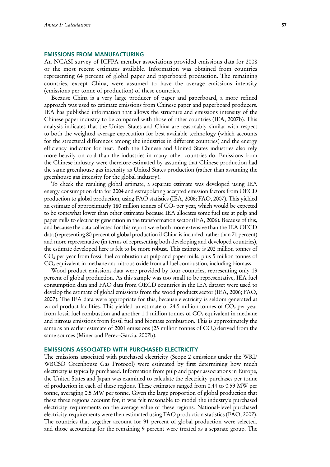### **EMISSIONS FROM MANUFACTURING**

An NCASI survey of ICFPA member associations provided emissions data for 2008 or the most recent estimates available. Information was obtained from countries representing 64 percent of global paper and paperboard production. The remaining countries, except China, were assumed to have the average emissions intensity (emissions per tonne of production) of these countries.

Because China is a very large producer of paper and paperboard, a more refined approach was used to estimate emissions from Chinese paper and paperboard producers. IEA has published information that allows the structure and emissions intensity of the Chinese paper industry to be compared with those of other countries (IEA, 2007b). This analysis indicates that the United States and China are reasonably similar with respect to both the weighted average expectation for best-available technology (which accounts for the structural differences among the industries in different countries) and the energy efficiency indicator for heat. Both the Chinese and United States industries also rely more heavily on coal than the industries in many other countries do. Emissions from the Chinese industry were therefore estimated by assuming that Chinese production had the same greenhouse gas intensity as United States production (rather than assuming the greenhouse gas intensity for the global industry).

To check the resulting global estimate, a separate estimate was developed using IEA energy consumption data for 2004 and extrapolating accepted emission factors from OECD production to global production, using FAO statistics (IEA, 2006; FAO, 2007). This yielded an estimate of approximately 180 million tonnes of  $CO<sub>2</sub>$  per year, which would be expected to be somewhat lower than other estimates because IEA allocates some fuel use at pulp and paper mills to electricity generation in the transformation sector (IEA, 2006). Because of this, and because the data collected for this report were both more extensive than the IEA OECD data (representing 80 percent of global production if China is included, rather than 71 percent) and more representative (in terms of representing both developing and developed countries), the estimate developed here is felt to be more robust. This estimate is 202 million tonnes of CO2 per year from fossil fuel combustion at pulp and paper mills, plus 5 million tonnes of  $CO<sub>2</sub>$  equivalent in methane and nitrous oxide from all fuel combustion, including biomass.

Wood product emissions data were provided by four countries, representing only 19 percent of global production. As this sample was too small to be representative, IEA fuel consumption data and FAO data from OECD countries in the IEA dataset were used to develop the estimate of global emissions from the wood products sector (IEA, 2006; FAO, 2007). The IEA data were appropriate for this, because electricity is seldom generated at wood product facilities. This yielded an estimate of 24.5 million tonnes of  $CO<sub>2</sub>$  per year from fossil fuel combustion and another 1.1 million tonnes of  $CO<sub>2</sub>$  equivalent in methane and nitrous emissions from fossil fuel and biomass combustion. This is approximately the same as an earlier estimate of 2001 emissions (25 million tonnes of  $CO<sub>2</sub>$ ) derived from the same sources (Miner and Perez-Garcia, 2007b).

### **EMISSIONS ASSOCIATED WITH PURCHASED ELECTRICITY**

The emissions associated with purchased electricity (Scope 2 emissions under the WRI/ WBCSD Greenhouse Gas Protocol) were estimated by first determining how much electricity is typically purchased. Information from pulp and paper associations in Europe, the United States and Japan was examined to calculate the electricity purchases per tonne of production in each of these regions. These estimates ranged from 0.44 to 0.59 MW per tonne, averaging 0.5 MW per tonne. Given the large proportion of global production that these three regions account for, it was felt reasonable to model the industry's purchased electricity requirements on the average value of these regions. National-level purchased electricity requirements were then estimated using FAO production statistics (FAO, 2007). The countries that together account for 91 percent of global production were selected, and those accounting for the remaining 9 percent were treated as a separate group. The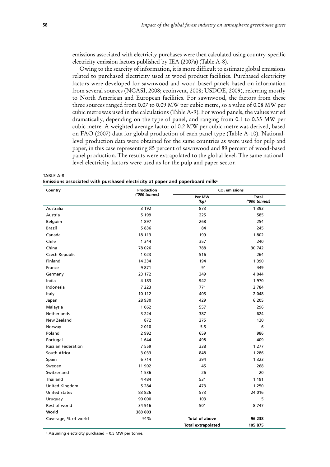emissions associated with electricity purchases were then calculated using country-specific electricity emission factors published by IEA (2007a) (Table A-8).

Owing to the scarcity of information, it is more difficult to estimate global emissions related to purchased electricity used at wood product facilities. Purchased electricity factors were developed for sawnwood and wood-based panels based on information from several sources (NCASI, 2008; ecoinvent, 2008; USDOE, 2009), referring mostly to North American and European facilities. For sawnwood, the factors from these three sources ranged from 0.07 to 0.09 MW per cubic metre, so a value of 0.08 MW per cubic metrewas used in the calculations (Table A-9). For wood panels, the values varied dramatically, depending on the type of panel, and ranging from 0.1 to 0.35 MW per cubic metre. A weighted average factor of 0.2 MW per cubic metrewas derived, based on FAO (2007) data for global production of each panel type (Table A-10). Nationallevel production data were obtained for the same countries as were used for pulp and paper, in this case representing 85 percent of sawnwood and 89 percent of wood-based panel production. The results were extrapolated to the global level. The same nationallevel electricity factors were used as for the pulp and paper sector.

TABLE A-8 Emissions associated with purchased electricity at paper and paperboard mills<sup>a</sup>

| Country                   | Production    | $CO2$ emissions           |                               |  |  |
|---------------------------|---------------|---------------------------|-------------------------------|--|--|
|                           | ('000 tonnes) | Per MW<br>(kg)            | <b>Total</b><br>('000 tonnes) |  |  |
| Australia                 | 3 1 9 2       | 873                       | 1 3 9 3                       |  |  |
| Austria                   | 5 1 9 9       | 225                       | 585                           |  |  |
| Belguim                   | 1897          | 268                       | 254                           |  |  |
| <b>Brazil</b>             | 5836          | 84                        | 245                           |  |  |
| Canada                    | 18 113        | 199                       | 1802                          |  |  |
| Chile                     | 1 3 4 4       | 357                       | 240                           |  |  |
| China                     | 78 0 26       | 788                       | 30 742                        |  |  |
| Czech Republic            | 1 0 2 3       | 516                       | 264                           |  |  |
| Finland                   | 14 3 34       | 194                       | 1 3 9 0                       |  |  |
| France                    | 9871          | 91                        | 449                           |  |  |
| Germany                   | 23 172        | 349                       | 4 0 4 4                       |  |  |
| India                     | 4 183         | 942                       | 1970                          |  |  |
| Indonesia                 | 7 2 2 3       | 771                       | 2 7 8 4                       |  |  |
| Italy                     | 10 112        | 405                       | 2 0 4 8                       |  |  |
| Japan                     | 28 930        | 429                       | 6 2 0 5                       |  |  |
| Malaysia                  | 1 0 6 2       | 557                       | 296                           |  |  |
| <b>Netherlands</b>        | 3 2 2 4       | 387                       | 624                           |  |  |
| New Zealand               | 872           | 275                       | 120                           |  |  |
| Norway                    | 2 0 1 0       | 5.5                       | 6                             |  |  |
| Poland                    | 2 9 9 2       | 659                       | 986                           |  |  |
| Portugal                  | 1 644         | 498                       | 409                           |  |  |
| <b>Russian Federation</b> | 7 5 5 9       | 338                       | 1 277                         |  |  |
| South Africa              | 3 0 3 3       | 848                       | 1 2 8 6                       |  |  |
| Spain                     | 6 7 1 4       | 394                       | 1 3 2 3                       |  |  |
| Sweden                    | 11 902        | 45                        | 268                           |  |  |
| Switzerland               | 1 5 3 6       | 26                        | 20                            |  |  |
| Thailand                  | 4 4 8 4       | 531                       | 1 1 9 1                       |  |  |
| United Kingdom            | 5 2 8 4       | 473                       | 1 2 5 0                       |  |  |
| <b>United States</b>      | 83 826        | 573                       | 24 016                        |  |  |
| Uruguay                   | 90 000        | 103                       | 5                             |  |  |
| Rest of world             | 34 916        | 501                       | 8747                          |  |  |
| World                     | 383 603       |                           |                               |  |  |
| Coverage, % of world      | 91%           | <b>Total of above</b>     | 96 238                        |  |  |
|                           |               | <b>Total extrapolated</b> | 105 875                       |  |  |

<sup>a</sup> Assuming electricity purchased = 0.5 MW per tonne.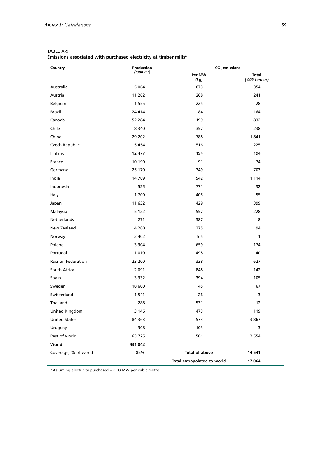| Country                   | Production   | $CO2$ emissions             |                               |  |
|---------------------------|--------------|-----------------------------|-------------------------------|--|
|                           | $('000 m^3)$ | Per MW<br>(kg)              | <b>Total</b><br>('000 tonnes) |  |
| Australia                 | 5 0 6 4      | 873                         | 354                           |  |
| Austria                   | 11 262       | 268                         | 241                           |  |
| Belgium                   | 1 5 5 5      | 225                         | 28                            |  |
| Brazil                    | 24 4 14      | 84                          | 164                           |  |
| Canada                    | 52 284       | 199                         | 832                           |  |
| Chile                     | 8 3 4 0      | 357                         | 238                           |  |
| China                     | 29 202       | 788                         | 1841                          |  |
| Czech Republic            | 5 4 5 4      | 516                         | 225                           |  |
| Finland                   | 12 477       | 194                         | 194                           |  |
| France                    | 10 190       | 91                          | 74                            |  |
| Germany                   | 25 170       | 349                         | 703                           |  |
| India                     | 14 789       | 942                         | 1 1 1 4                       |  |
| Indonesia                 | 525          | 771                         | 32                            |  |
| Italy                     | 1 700        | 405                         | 55                            |  |
| Japan                     | 11 632       | 429                         | 399                           |  |
| Malaysia                  | 5 1 2 2      | 557                         | 228                           |  |
| Netherlands               | 271          | 387                         | 8                             |  |
| New Zealand               | 4 2 8 0      | 275                         | 94                            |  |
| Norway                    | 2 4 0 2      | 5.5                         | $\mathbf{1}$                  |  |
| Poland                    | 3 3 0 4      | 659                         | 174                           |  |
| Portugal                  | 1 0 1 0      | 498                         | 40                            |  |
| <b>Russian Federation</b> | 23 200       | 338                         | 627                           |  |
| South Africa              | 2 0 9 1      | 848                         | 142                           |  |
| Spain                     | 3 3 3 2      | 394                         | 105                           |  |
| Sweden                    | 18 600       | 45                          | 67                            |  |
| Switzerland               | 1 541        | 26                          | 3                             |  |
| Thailand                  | 288          | 531                         | 12                            |  |
| United Kingdom            | 3 1 4 6      | 473                         | 119                           |  |
| <b>United States</b>      | 84 363       | 573                         | 3 8 6 7                       |  |
| Uruguay                   | 308          | 103                         | 3                             |  |
| Rest of world             | 63 725       | 501                         | 2 5 5 4                       |  |
| World                     | 431 042      |                             |                               |  |
| Coverage, % of world      | 85%          | <b>Total of above</b>       | 14 541                        |  |
|                           |              | Total extrapolated to world | 17 064                        |  |

| TABLE A-9                                                                    |  |  |
|------------------------------------------------------------------------------|--|--|
| Emissions associated with purchased electricity at timber mills <sup>a</sup> |  |  |

a Assuming electricity purchased = 0.08 MW per cubic metre.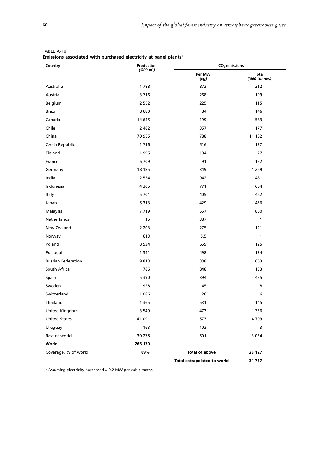| Country                   | Production   | $CO2$ emissions             |                        |  |
|---------------------------|--------------|-----------------------------|------------------------|--|
|                           | $('000 m^3)$ | Per MW<br>(kg)              | Total<br>('000 tonnes) |  |
| Australia                 | 1788         | 873                         | 312                    |  |
| Austria                   | 3716         | 268                         | 199                    |  |
| Belgium                   | 2 5 5 2      | 225                         | 115                    |  |
| Brazil                    | 8680         | 84                          | 146                    |  |
| Canada                    | 14 645       | 199                         | 583                    |  |
| Chile                     | 2 4 8 2      | 357                         | 177                    |  |
| China                     | 70 955       | 788                         | 11 182                 |  |
| Czech Republic            | 1716         | 516                         | 177                    |  |
| Finland                   | 1995         | 194                         | 77                     |  |
| France                    | 6709         | 91                          | 122                    |  |
| Germany                   | 18 18 5      | 349                         | 1 2 6 9                |  |
| India                     | 2 5 5 4      | 942                         | 481                    |  |
| Indonesia                 | 4 3 0 5      | 771                         | 664                    |  |
| Italy                     | 5 7 0 1      | 405                         | 462                    |  |
| Japan                     | 5 3 1 3      | 429                         | 456                    |  |
| Malaysia                  | 7719         | 557                         | 860                    |  |
| Netherlands               | 15           | 387                         | 1                      |  |
| New Zealand               | 2 2 0 3      | 275                         | 121                    |  |
| Norway                    | 613          | 5.5                         | 1                      |  |
| Poland                    | 8 5 3 4      | 659                         | 1 1 2 5                |  |
| Portugal                  | 1 3 4 1      | 498                         | 134                    |  |
| <b>Russian Federation</b> | 9813         | 338                         | 663                    |  |
| South Africa              | 786          | 848                         | 133                    |  |
| Spain                     | 5 3 9 0      | 394                         | 425                    |  |
| Sweden                    | 928          | 45                          | 8                      |  |
| Switzerland               | 1 0 8 6      | 26                          | 6                      |  |
| Thailand                  | 1 3 6 5      | 531                         | 145                    |  |
| United Kingdom            | 3 5 4 9      | 473                         | 336                    |  |
| <b>United States</b>      | 41 091       | 573                         | 4 7 0 9                |  |
| Uruguay                   | 163          | 103                         | 3                      |  |
| Rest of world             | 30 278       | 501                         | 3 0 3 4                |  |
| World                     | 266 170      |                             |                        |  |
| Coverage, % of world      | 89%          | Total of above              | 28 127                 |  |
|                           |              | Total extrapolated to world | 31 737                 |  |

| TABLE A-10                                                                   |  |  |
|------------------------------------------------------------------------------|--|--|
| Emissions associated with purchased electricity at panel plants <sup>a</sup> |  |  |

<sup>a</sup> Assuming electricity purchased = 0.2 MW per cubic metre.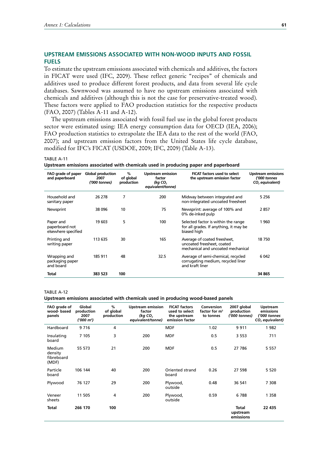### **UPSTREAM EMISSIONS ASSOCIATED WITH NON-WOOD INPUTS AND FOSSIL FUELS**

To estimate the upstream emissions associated with chemicals and additives, the factors in FICAT were used (IFC, 2009). These reflect generic "recipes" of chemicals and additives used to produce different forest products, and data from several life cycle databases. Sawnwood was assumed to have no upstream emissions associated with chemicals and additives (although this is not the case for preservative-treated wood). These factors were applied to FAO production statistics for the respective products (FAO, 2007) (Tables A-11 and A-12).

The upstream emissions associated with fossil fuel use in the global forest products sector were estimated using: IEA energy consumption data for OECD (IEA, 2006); FAO production statistics to extrapolate the IEA data to the rest of the world (FAO, 2007); and upstream emission factors from the United States life cycle database, modified for IFC's FICAT (USDOE, 2009; IFC, 2009) (Table A-13).

#### TABLE A-11

**Upstream emissions associated with chemicals used in producing paper and paperboard**

| FAO grade of paper<br>and paperboard               | <b>Global production</b><br>2007<br>('000 tonnes) | %<br>of global<br>production | <b>Upstream emission</b><br>factor<br>(kg CO <sub>2</sub><br>equivalent/tonne) | <b>FICAT factors used to select</b><br>the upstream emission factor                              | <b>Upstream emissions</b><br>('000 tonnes<br>CO <sub>2</sub> equivalent) |
|----------------------------------------------------|---------------------------------------------------|------------------------------|--------------------------------------------------------------------------------|--------------------------------------------------------------------------------------------------|--------------------------------------------------------------------------|
| Household and<br>sanitary paper                    | 26 278                                            | 7                            | 200                                                                            | Midway between integrated and<br>non-integrated uncoated freesheet                               | 5 2 5 6                                                                  |
| Newsprint                                          | 38 096                                            | 10                           | 75                                                                             | Newsprint: average of 100% and<br>0% de-inked pulp                                               | 2857                                                                     |
| Paper and<br>paperboard not<br>elsewhere specified | 19 603                                            | 5                            | 100                                                                            | Selected factor is within the range<br>for all grades. If anything, it may be<br>biased high     | 1960                                                                     |
| Printing and<br>writing paper                      | 113 635                                           | 30                           | 165                                                                            | Average of coated freesheet,<br>uncoated freesheet, coated<br>mechanical and uncoated mechanical | 18750                                                                    |
| Wrapping and<br>packaging paper<br>and board       | 185 911                                           | 48                           | 32.5                                                                           | Average of semi-chemical, recycled<br>corrugating medium, recycled liner<br>and kraft liner      | 6 0 42                                                                   |
| Total                                              | 383 523                                           | 100                          |                                                                                |                                                                                                  | 34 865                                                                   |

TABLE A-12

#### **Upstream emissions associated with chemicals used in producing wood-based panels**

| FAO grade of<br>wood-based<br>panels     | Global<br>production<br>2007<br>$(000 \; \text{m}^3)$ | %<br>of global<br>production | <b>Upstream emission</b><br>factor<br>(kg $CO2$<br>equivalent/tonne) | <b>FICAT factors</b><br>used to select<br>the upstream<br>emission factor | Conversion<br>factor for $m3$<br>to tonnes | 2007 global<br>production<br>('000 tonnes) | <b>Upstream</b><br>emissions<br>('000 tonnes<br>CO <sub>2</sub> equivalent) |
|------------------------------------------|-------------------------------------------------------|------------------------------|----------------------------------------------------------------------|---------------------------------------------------------------------------|--------------------------------------------|--------------------------------------------|-----------------------------------------------------------------------------|
| Hardboard                                | 9716                                                  | 4                            |                                                                      | <b>MDF</b>                                                                | 1.02                                       | 9911                                       | 1982                                                                        |
| Insulating<br>board                      | 7 1 0 5                                               | 3                            | 200                                                                  | <b>MDF</b>                                                                | 0.5                                        | 3 5 5 3                                    | 711                                                                         |
| Medium<br>density<br>fibreboard<br>(MDF) | 55 573                                                | 21                           | 200                                                                  | <b>MDF</b>                                                                | 0.5                                        | 27 786                                     | 5 5 5 7                                                                     |
| Particle<br>board                        | 106 144                                               | 40                           | 200                                                                  | Oriented strand<br>board                                                  | 0.26                                       | 27 598                                     | 5 5 2 0                                                                     |
| Plywood                                  | 76 127                                                | 29                           | 200                                                                  | Plywood,<br>outside                                                       | 0.48                                       | 36 541                                     | 7 3 0 8                                                                     |
| Veneer<br>sheets                         | 11 505                                                | 4                            | 200                                                                  | Plywood,<br>outside                                                       | 0.59                                       | 6788                                       | 1 3 5 8                                                                     |
| <b>Total</b>                             | 266 170                                               | 100                          |                                                                      |                                                                           |                                            | Total<br>upstream<br>emissions             | 22 435                                                                      |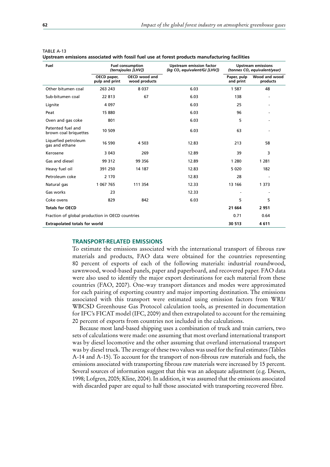| Fuel                                            | <b>Fuel consumption</b><br>(terrajoules [LHV]) |                                       | <b>Upstream emission factor</b><br>(kg CO <sub>2</sub> equivalent/GJ [LHV]) |                          | <b>Upstream emissions</b><br>(tonnes CO <sub>2</sub> equivalent/year) |
|-------------------------------------------------|------------------------------------------------|---------------------------------------|-----------------------------------------------------------------------------|--------------------------|-----------------------------------------------------------------------|
|                                                 | OECD paper,<br>pulp and print                  | <b>OECD</b> wood and<br>wood products |                                                                             | Paper, pulp<br>and print | Wood and wood<br>products                                             |
| Other bitumen coal                              | 263 243                                        | 8 0 3 7                               | 6.03                                                                        | 1 5 8 7                  | 48                                                                    |
| Sub-bitumen coal                                | 22 813                                         | 67                                    | 6.03                                                                        | 138                      | $\overline{\phantom{a}}$                                              |
| Lignite                                         | 4 0 9 7                                        |                                       | 6.03                                                                        | 25                       | $\overline{\phantom{a}}$                                              |
| Peat                                            | 15 880                                         |                                       | 6.03                                                                        | 96                       |                                                                       |
| Oven and gas coke                               | 801                                            |                                       | 6.03                                                                        | 5                        | $\overline{\phantom{a}}$                                              |
| Patented fuel and<br>brown coal briquettes      | 10 509                                         |                                       | 6.03                                                                        | 63                       |                                                                       |
| Liquefied petroleum<br>gas and ethane           | 16 590                                         | 4 5 0 3                               | 12.83                                                                       | 213                      | 58                                                                    |
| Kerosene                                        | 3 0 4 3                                        | 269                                   | 12.89                                                                       | 39                       | 3                                                                     |
| Gas and diesel                                  | 99 312                                         | 99 356                                | 12.89                                                                       | 1 2 8 0                  | 1 2 8 1                                                               |
| Heavy fuel oil                                  | 391 250                                        | 14 187                                | 12.83                                                                       | 5 0 2 0                  | 182                                                                   |
| Petroleum coke                                  | 2 1 7 0                                        |                                       | 12.83                                                                       | 28                       |                                                                       |
| Natural gas                                     | 1 067 765                                      | 111 354                               | 12.33                                                                       | 13 166                   | 1 3 7 3                                                               |
| Gas works                                       | 23                                             |                                       | 12.33                                                                       |                          |                                                                       |
| Coke ovens                                      | 829                                            | 842                                   | 6.03                                                                        | 5                        | 5                                                                     |
| <b>Totals for OECD</b>                          |                                                |                                       |                                                                             | 21 664                   | 2951                                                                  |
| Fraction of global production in OECD countries |                                                |                                       |                                                                             | 0.71                     | 0.64                                                                  |
| <b>Extrapolated totals for world</b>            |                                                |                                       |                                                                             | 30 513                   | 4611                                                                  |

| TABLE A-13                                                                                     |  |  |
|------------------------------------------------------------------------------------------------|--|--|
| Upstream emissions associated with fossil fuel use at forest products manufacturing facilities |  |  |

#### **TRANSPORT-RELATED EMISSIONS**

To estimate the emissions associated with the international transport of fibrous raw materials and products, FAO data were obtained for the countries representing 80 percent of exports of each of the following materials: industrial roundwood, sawnwood, wood-based panels, paper and paperboard, and recovered paper. FAO data were also used to identify the major export destinations for each material from these countries (FAO, 2007). One-way transport distances and modes were approximated for each pairing of exporting country and major importing destination. The emissions associated with this transport were estimated using emission factors from WRI/ WBCSD Greenhouse Gas Protocol calculation tools, as presented in documentation for IFC's FICAT model (IFC, 2009) and then extrapolated to account for the remaining 20 percent of exports from countries not included in the calculations.

Because most land-based shipping uses a combination of truck and train carriers, two sets of calculations were made: one assuming that most overland international transport was by diesel locomotive and the other assuming that overland international transport was by diesel truck. The average of these two values was used for the final estimates (Tables A-14 and A-15). To account for the transport of non-fibrous raw materials and fuels, the emissions associated with transporting fibrous raw materials were increased by 15 percent. Several sources of information suggest that this was an adequate adjustment (e.g. Diesen, 1998; Lofgren, 2005; Kline, 2004). In addition, it was assumed that the emissions associated with discarded paper are equal to half those associated with transporting recovered fibre.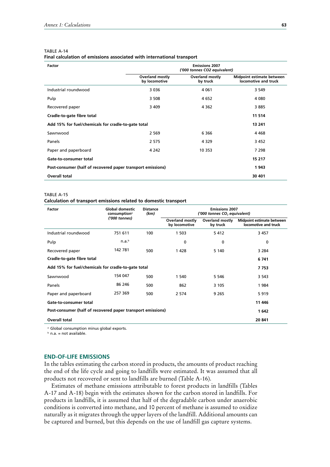#### TABLE A-14

**Final calculation of emissions associated with international transport**

| Factor                                                      |                                  | <b>Emissions 2007</b><br>('000 tonnes CO2 equivalent) |                                                   |
|-------------------------------------------------------------|----------------------------------|-------------------------------------------------------|---------------------------------------------------|
|                                                             | Overland mostly<br>by locomotive | <b>Overland mostly</b><br>by truck                    | Midpoint estimate between<br>locomotive and truck |
| Industrial roundwood                                        | 3 0 3 6                          | 4 0 6 1                                               | 3 5 4 9                                           |
| Pulp                                                        | 3 5 0 8                          | 4 652                                                 | 4 0 8 0                                           |
| Recovered paper                                             | 3 4 0 9                          | 4 3 6 2                                               | 3885                                              |
| Cradle-to-gate fibre total                                  |                                  |                                                       | 11 5 14                                           |
| Add 15% for fuel/chemicals for cradle-to-gate total         | 13 241                           |                                                       |                                                   |
| Sawnwood                                                    | 2 5 6 9                          | 6 3 6 6                                               | 4 4 6 8                                           |
| Panels                                                      | 2 5 7 5                          | 4 3 2 9                                               | 3 4 5 2                                           |
| Paper and paperboard                                        | 4 2 4 2                          | 10 353                                                | 7 2 9 8                                           |
| Gate-to-consumer total                                      |                                  |                                                       | 15 217                                            |
| Post-consumer (half of recovered paper transport emissions) | 1943                             |                                                       |                                                   |
| Overall total                                               |                                  |                                                       | 30 401                                            |

#### TABLE A-15

#### **Calculation of transport emissions related to domestic transport**

| Factor                                                      | <b>Global domestic</b><br>consumption <sup>a</sup> | <b>Distance</b><br><b>Emissions 2007</b><br>(km) |                                         | ('000 tonnes CO <sub>2</sub> equivalent) |                                                   |  |
|-------------------------------------------------------------|----------------------------------------------------|--------------------------------------------------|-----------------------------------------|------------------------------------------|---------------------------------------------------|--|
|                                                             | ('000 tonnes)                                      |                                                  | <b>Overland mostly</b><br>by locomotive | <b>Overland mostly</b><br>by truck       | Midpoint estimate between<br>locomotive and truck |  |
| Industrial roundwood                                        | 751 611                                            | 100                                              | 1 503                                   | 5412                                     | 3 4 5 7                                           |  |
| Pulp                                                        | n.a. <sup>b</sup>                                  |                                                  | 0                                       | 0                                        | 0                                                 |  |
| Recovered paper                                             | 142 781                                            | 500                                              | 1428                                    | 5 140                                    | 3 2 8 4                                           |  |
| Cradle-to-gate fibre total                                  |                                                    |                                                  |                                         |                                          | 6741                                              |  |
| Add 15% for fuel/chemicals for cradle-to-gate total         |                                                    |                                                  |                                         |                                          | 7 753                                             |  |
| Sawnwood                                                    | 154 047                                            | 500                                              | 1 540                                   | 5 5 4 6                                  | 3 5 4 3                                           |  |
| Panels                                                      | 86 246                                             | 500                                              | 862                                     | 3 1 0 5                                  | 1984                                              |  |
| Paper and paperboard                                        | 257 369                                            | 500                                              | 2 5 7 4                                 | 9 2 6 5                                  | 5919                                              |  |
| Gate-to-consumer total                                      | 11 446                                             |                                                  |                                         |                                          |                                                   |  |
| Post-consumer (half of recovered paper transport emissions) |                                                    |                                                  |                                         |                                          | 1642                                              |  |
| <b>Overall total</b>                                        |                                                    |                                                  |                                         |                                          | 20 841                                            |  |

<sup>a</sup> Global consumption minus global exports.

 $b$  n.a. = not available.

# **END-OF-LIFE EMISSIONS**

In the tables estimating the carbon stored in products, the amounts of product reaching the end of the life cycle and going to landfills were estimated. It was assumed that all products not recovered or sent to landfills are burned (Table A-16).

Estimates of methane emissions attributable to forest products in landfills (Tables A-17 and A-18) begin with the estimates shown for the carbon stored in landfills. For products in landfills, it is assumed that half of the degradable carbon under anaerobic conditions is converted into methane, and 10 percent of methane is assumed to oxidize naturally as it migrates through the upper layers of the landfill. Additional amounts can be captured and burned, but this depends on the use of landfill gas capture systems.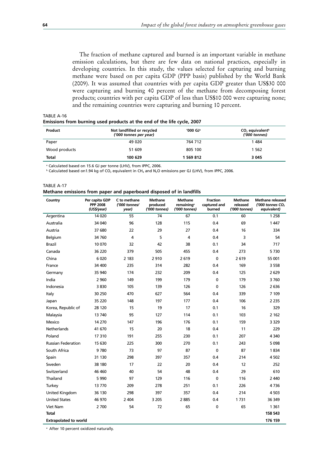The fraction of methane captured and burned is an important variable in methane emission calculations, but there are few data on national practices, especially in developing countries. In this study, the values selected for capturing and burning methane were based on per capita GDP (PPP basis) published by the World Bank (2009). It was assumed that countries with per capita GDP greater than US\$30 000 were capturing and burning 40 percent of the methane from decomposing forest products; countries with per capita GDP of less than US\$10 000 were capturing none; and the remaining countries were capturing and burning 10 percent.

| Emissions from burning used products at the end of the life cycle, 2007 |                                                        |          |  |  |
|-------------------------------------------------------------------------|--------------------------------------------------------|----------|--|--|
| Product                                                                 | Not landfilled or recycled<br>$(1000$ tonnes ner year) | '000 GJª |  |  |

| Product       | Not landfilled or recycled<br>'000 GJª<br>('000 tonnes per year) |           | $CO2$ equivalent <sup>b</sup><br>('000 tonnes) |
|---------------|------------------------------------------------------------------|-----------|------------------------------------------------|
| Paper         | 49 020                                                           | 764 712   | 1484                                           |
| Wood products | 51 609                                                           | 805 100   | 1 562                                          |
| <b>Total</b>  | 100 629                                                          | 1 569 812 | 3045                                           |

<sup>a</sup> Calculated based on 15.6 GJ per tonne (LHV), from IPPC, 2006.

 $b$  Calculated based on1.94 kg of CO<sub>2</sub> equivalent in CH<sub>4</sub> and N<sub>2</sub>O emissions per GJ (LHV), from IPPC, 2006.

| TABLE A-17                                                           |  |  |
|----------------------------------------------------------------------|--|--|
| Methane emissions from paper and paperboard disposed of in landfills |  |  |

| Country                      | Per capita GDP<br><b>PPP 2008</b><br>(US\$/year) | C to methane<br>('000 tonnes/<br>year) | <b>Methane</b><br>produced<br>('000 tonnes) | <b>Methane</b><br>remaining <sup>a</sup><br>('000 tonnes) | <b>Fraction</b><br>captured and<br>burned | Methane<br>released<br>('000 tonnes) | <b>Methane released</b><br>('000 tonnes $CO2$<br>equivalent) |
|------------------------------|--------------------------------------------------|----------------------------------------|---------------------------------------------|-----------------------------------------------------------|-------------------------------------------|--------------------------------------|--------------------------------------------------------------|
| Argentina                    | 14 0 20                                          | 55                                     | 74                                          | 67                                                        | 0.1                                       | 60                                   | 1 2 5 8                                                      |
| Australia                    | 34 040                                           | 96                                     | 128                                         | 115                                                       | 0.4                                       | 69                                   | 1 4 4 7                                                      |
| Austria                      | 37 680                                           | 22                                     | 29                                          | 27                                                        | 0.4                                       | 16                                   | 334                                                          |
| Belgium                      | 34 760                                           | 4                                      | 5                                           | 4                                                         | 0.4                                       | 3                                    | 54                                                           |
| Brazil                       | 10 070                                           | 32                                     | 42                                          | 38                                                        | 0.1                                       | 34                                   | 717                                                          |
| Canada                       | 36 220                                           | 379                                    | 505                                         | 455                                                       | 0.4                                       | 273                                  | 5730                                                         |
| China                        | 6 0 20                                           | 2 1 8 3                                | 2910                                        | 2619                                                      | $\mathbf 0$                               | 2619                                 | 55 001                                                       |
| France                       | 34 400                                           | 235                                    | 314                                         | 282                                                       | 0.4                                       | 169                                  | 3 5 5 8                                                      |
| Germany                      | 35 940                                           | 174                                    | 232                                         | 209                                                       | 0.4                                       | 125                                  | 2629                                                         |
| India                        | 2 9 6 0                                          | 149                                    | 199                                         | 179                                                       | 0                                         | 179                                  | 3760                                                         |
| Indonesia                    | 3830                                             | 105                                    | 139                                         | 126                                                       | 0                                         | 126                                  | 2636                                                         |
| Italy                        | 30 250                                           | 470                                    | 627                                         | 564                                                       | 0.4                                       | 339                                  | 7 109                                                        |
| Japan                        | 35 2 20                                          | 148                                    | 197                                         | 177                                                       | 0.4                                       | 106                                  | 2 2 3 5                                                      |
| Korea, Republic of           | 28 120                                           | 15                                     | 19                                          | 17                                                        | 0.1                                       | 16                                   | 329                                                          |
| Malaysia                     | 13 740                                           | 95                                     | 127                                         | 114                                                       | 0.1                                       | 103                                  | 2 1 6 2                                                      |
| Mexico                       | 14 270                                           | 147                                    | 196                                         | 176                                                       | 0.1                                       | 159                                  | 3 3 2 9                                                      |
| Netherlands                  | 41 670                                           | 15                                     | 20                                          | 18                                                        | 0.4                                       | 11                                   | 229                                                          |
| Poland                       | 17310                                            | 191                                    | 255                                         | 230                                                       | 0.1                                       | 207                                  | 4 3 4 0                                                      |
| <b>Russian Federation</b>    | 15 630                                           | 225                                    | 300                                         | 270                                                       | 0.1                                       | 243                                  | 5 0 9 8                                                      |
| South Africa                 | 9780                                             | 73                                     | 97                                          | 87                                                        | $\mathbf 0$                               | 87                                   | 1834                                                         |
| Spain                        | 31 130                                           | 298                                    | 397                                         | 357                                                       | 0.4                                       | 214                                  | 4 5 0 2                                                      |
| Sweden                       | 38 180                                           | 17                                     | 22                                          | 20                                                        | 0.4                                       | 12                                   | 252                                                          |
| Switzerland                  | 46 460                                           | 40                                     | 54                                          | 48                                                        | 0.4                                       | 29                                   | 610                                                          |
| Thailand                     | 5 9 9 0                                          | 97                                     | 129                                         | 116                                                       | $\mathbf 0$                               | 116                                  | 2 4 4 0                                                      |
| Turkey                       | 13770                                            | 209                                    | 278                                         | 251                                                       | 0.1                                       | 226                                  | 4736                                                         |
| United Kingdom               | 36 130                                           | 298                                    | 397                                         | 357                                                       | 0.4                                       | 214                                  | 4 5 0 3                                                      |
| <b>United States</b>         | 46 970                                           | 2 4 0 4                                | 3 2 0 5                                     | 2885                                                      | 0.4                                       | 1731                                 | 36 349                                                       |
| Viet Nam                     | 2700                                             | 54                                     | 72                                          | 65                                                        | 0                                         | 65                                   | 1 3 6 1                                                      |
| <b>Total</b>                 |                                                  |                                        |                                             |                                                           |                                           |                                      | 158 543                                                      |
| <b>Extrapolated to world</b> |                                                  |                                        |                                             |                                                           |                                           |                                      | 176 159                                                      |

a After 10 percent oxidized naturally.

TABLE A-16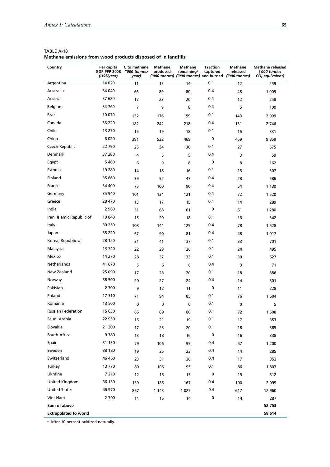| Country                      | Per capita<br><b>GDP PPP 2008</b><br>(US\$/year) | C to methane<br>('000 tonnes/<br>year) | Methane<br>produced | Methane<br>remaining <sup>a</sup> | <b>Fraction</b><br>captured | <b>Methane</b><br>released<br>('000 tonnes) ('000 tonnes) and burned ('000 tonnes) | <b>Methane released</b><br>('000 tonnes<br>$CO2$ equivalent) |
|------------------------------|--------------------------------------------------|----------------------------------------|---------------------|-----------------------------------|-----------------------------|------------------------------------------------------------------------------------|--------------------------------------------------------------|
| Argentina                    | 14 0 20                                          | 11                                     | 15                  | 14                                | 0.1                         | 12                                                                                 | 259                                                          |
| Australia                    | 34 040                                           | 66                                     | 89                  | 80                                | 0.4                         | 48                                                                                 | 1 0 0 5                                                      |
| Austria                      | 37 680                                           | 17                                     | 23                  | 20                                | 0.4                         | 12                                                                                 | 258                                                          |
| Belgium                      | 34 760                                           | $\overline{7}$                         | 9                   | 8                                 | 0.4                         | 5                                                                                  | 100                                                          |
| Brazil                       | 10 070                                           | 132                                    | 176                 | 159                               | 0.1                         | 143                                                                                | 2 9 9 9                                                      |
| Canada                       | 36 220                                           | 182                                    | 242                 | 218                               | 0.4                         | 131                                                                                | 2 746                                                        |
| Chile                        | 13 270                                           | 15                                     | 19                  | 18                                | 0.1                         | 16                                                                                 | 331                                                          |
| China                        | 6 0 20                                           | 391                                    | 522                 | 469                               | $\mathbf 0$                 | 469                                                                                | 9859                                                         |
| Czech Republic               | 22 790                                           | 25                                     | 34                  | 30                                | 0.1                         | 27                                                                                 | 575                                                          |
| Denmark                      | 37 280                                           | 4                                      | 5                   | 5                                 | 0.4                         | 3                                                                                  | 59                                                           |
| Egypt                        | 5 4 6 0                                          | 6                                      | 9                   | 8                                 | 0                           | 8                                                                                  | 162                                                          |
| Estonia                      | 19 280                                           | 14                                     | 18                  | 16                                | 0.1                         | 15                                                                                 | 307                                                          |
| Finland                      | 35 660                                           | 39                                     | 52                  | 47                                | 0.4                         | 28                                                                                 | 586                                                          |
| France                       | 34 400                                           | 75                                     | 100                 | 90                                | 0.4                         | 54                                                                                 | 1 1 3 0                                                      |
| Germany                      | 35 940                                           | 101                                    | 134                 | 121                               | 0.4                         | 72                                                                                 | 1 5 2 0                                                      |
| Greece                       | 28 470                                           | 13                                     | 17                  | 15                                | 0.1                         | 14                                                                                 | 289                                                          |
| India                        | 2 9 6 0                                          | 51                                     | 68                  | 61                                | 0                           | 61                                                                                 | 1 2 8 0                                                      |
| Iran, Islamic Republic of    | 10 840                                           | 15                                     | 20                  | 18                                | 0.1                         | 16                                                                                 | 342                                                          |
| Italy                        | 30 250                                           | 108                                    | 144                 | 129                               | 0.4                         | 78                                                                                 | 1628                                                         |
| Japan                        | 35 220                                           | 67                                     | 90                  | 81                                | 0.4                         | 48                                                                                 | 1017                                                         |
| Korea, Republic of           | 28 120                                           | 31                                     | 41                  | 37                                | 0.1                         | 33                                                                                 | 701                                                          |
| Malaysia                     | 13 740                                           | 22                                     | 29                  | 26                                | 0.1                         | 24                                                                                 | 495                                                          |
| Mexico                       | 14 270                                           | 28                                     | 37                  | 33                                | 0.1                         | 30                                                                                 | 627                                                          |
| Netherlands                  | 41 670                                           | 5                                      | 6                   | 6                                 | 0.4                         | 3                                                                                  | 71                                                           |
| New Zealand                  | 25 090                                           | 17                                     | 23                  | 20                                | 0.1                         | 18                                                                                 | 386                                                          |
| Norway                       | 58 500                                           | 20                                     | 27                  | 24                                | 0.4                         | 14                                                                                 | 301                                                          |
| Pakistan                     | 2 700                                            | 9                                      | 12                  | 11                                | 0                           | 11                                                                                 | 228                                                          |
| Poland                       | 17 310                                           | 71                                     | 94                  | 85                                | 0.1                         | 76                                                                                 | 1604                                                         |
| Romania                      | 13 500                                           | 0                                      | $\mathbf 0$         | 0                                 | 0.1                         | 0                                                                                  | 5                                                            |
| Russian Federation           | 15 630                                           | 66                                     | 89                  | 80                                | 0.1                         | 72                                                                                 | 1 508                                                        |
| Saudi Arabia                 | 22 950                                           | 16                                     | 21                  | 19                                | 0.1                         | 17                                                                                 | 353                                                          |
| Slovakia                     | 21 300                                           | 17                                     | 23                  | 20                                | 0.1                         | 18                                                                                 | 385                                                          |
| South Africa                 | 9780                                             | 13                                     | 18                  | 16                                | $\pmb{0}$                   | 16                                                                                 | 338                                                          |
| Spain                        | 31 130                                           | 79                                     | 106                 | 95                                | 0.4                         | 57                                                                                 | 1 200                                                        |
| Sweden                       | 38 180                                           | 19                                     | 25                  | 23                                | 0.4                         | 14                                                                                 | 285                                                          |
| Switzerland                  | 46 460                                           | 23                                     | 31                  | 28                                | 0.4                         | 17                                                                                 | 353                                                          |
| Turkey                       | 13 770                                           | 80                                     | 106                 | 95                                | 0.1                         | 86                                                                                 | 1803                                                         |
| Ukraine                      | 7 2 1 0                                          | 12                                     | 16                  | 15                                | $\pmb{0}$                   | 15                                                                                 | 312                                                          |
| United Kingdom               | 36 130                                           | 139                                    | 185                 | 167                               | 0.4                         | 100                                                                                | 2 0 9 9                                                      |
| <b>United States</b>         | 46 970                                           | 857                                    | 1 1 4 3             | 1 0 2 9                           | 0.4                         | 617                                                                                | 12 960                                                       |
| Viet Nam                     | 2 700                                            | 11                                     | 15                  | 14                                | $\pmb{0}$                   | 14                                                                                 | 287                                                          |
| Sum of above                 |                                                  |                                        |                     |                                   |                             |                                                                                    | 52 753                                                       |
| <b>Extrapolated to world</b> |                                                  |                                        |                     |                                   |                             |                                                                                    | 58 614                                                       |

TABLE A-18 **Methane emissions from wood products disposed of in landfills**

a After 10 percent oxidized naturally.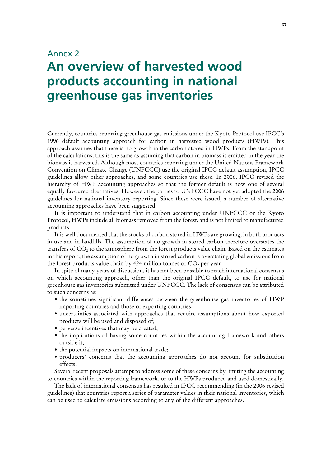# Annex 2

# **An overview of harvested wood products accounting in national greenhouse gas inventories**

Currently, countries reporting greenhouse gas emissions under the Kyoto Protocol use IPCC's 1996 default accounting approach for carbon in harvested wood products (HWPs). This approach assumes that there is no growth in the carbon stored in HWPs. From the standpoint of the calculations, this is the same as assuming that carbon in biomass is emitted in the year the biomass is harvested. Although most countries reporting under the United Nations Framework Convention on Climate Change (UNFCCC) use the original IPCC default assumption, IPCC guidelines allow other approaches, and some countries use these. In 2006, IPCC revised the hierarchy of HWP accounting approaches so that the former default is now one of several equally favoured alternatives. However, the parties to UNFCCC have not yet adopted the 2006 guidelines for national inventory reporting. Since these were issued, a number of alternative accounting approaches have been suggested.

It is important to understand that in carbon accounting under UNFCCC or the Kyoto Protocol, HWPs include all biomass removed from the forest, and is not limited to manufactured products.

It is well documented that the stocks of carbon stored in HWPs are growing, in both products in use and in landfills. The assumption of no growth in stored carbon therefore overstates the transfers of  $CO<sub>2</sub>$  to the atmosphere from the forest products value chain. Based on the estimates in this report, the assumption of no growth in stored carbon is overstating global emissions from the forest products value chain by 424 million tonnes of  $CO<sub>2</sub>$  per year.

In spite of many years of discussion, it has not been possible to reach international consensus on which accounting approach, other than the original IPCC default, to use for national greenhouse gas inventories submitted under UNFCCC. The lack of consensus can be attributed to such concerns as:

- the sometimes significant differences between the greenhouse gas inventories of HWP importing countries and those of exporting countries;
- uncertainties associated with approaches that require assumptions about how exported products will be used and disposed of;
- perverse incentives that may be created;
- the implications of having some countries within the accounting framework and others outside it;
- $\bullet$  the potential impacts on international trade;
- producers' concerns that the accounting approaches do not account for substitution effects.

Several recent proposals attempt to address some of these concerns by limiting the accounting to countries within the reporting framework, or to the HWPs produced and used domestically.

The lack of international consensus has resulted in IPCC recommending (in the 2006 revised guidelines) that countries report a series of parameter values in their national inventories, which can be used to calculate emissions according to any of the different approaches.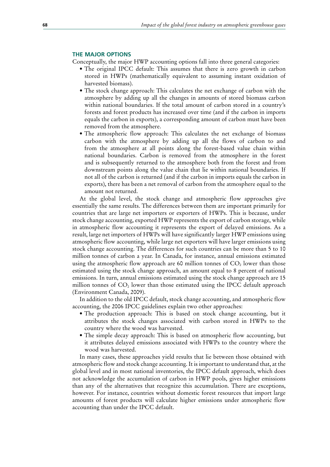#### **THE MAJOR OPTIONS**

Conceptually, the major HWP accounting options fall into three general categories:

- The original IPCC default: This assumes that there is zero growth in carbon stored in HWPs (mathematically equivalent to assuming instant oxidation of harvested biomass).
- The stock change approach: This calculates the net exchange of carbon with the atmosphere by adding up all the changes in amounts of stored biomass carbon within national boundaries. If the total amount of carbon stored in a country's forests and forest products has increased over time (and if the carbon in imports equals the carbon in exports), a corresponding amount of carbon must have been removed from the atmosphere.
- The atmospheric flow approach: This calculates the net exchange of biomass carbon with the atmosphere by adding up all the flows of carbon to and from the atmosphere at all points along the forest-based value chain within national boundaries. Carbon is removed from the atmosphere in the forest and is subsequently returned to the atmosphere both from the forest and from downstream points along the value chain that lie within national boundaries. If not all of the carbon is returned (and if the carbon in imports equals the carbon in exports), there has been a net removal of carbon from the atmosphere equal to the amount not returned.

At the global level, the stock change and atmospheric flow approaches give essentially the same results. The differences between them are important primarily for countries that are large net importers or exporters of HWPs. This is because, under stock change accounting, exported HWP represents the export of carbon storage, while in atmospheric flow accounting it represents the export of delayed emissions. As a result, large net importers of HWPs will have significantly larger HWP emissions using atmospheric flow accounting, while large net exporters will have larger emissions using stock change accounting. The differences for such countries can be more than 5 to 10 million tonnes of carbon a year. In Canada, for instance, annual emissions estimated using the atmospheric flow approach are 60 million tonnes of  $CO<sub>2</sub>$  lower than those estimated using the stock change approach, an amount equal to 8 percent of national emissions. In turn, annual emissions estimated using the stock change approach are 15 million tonnes of  $CO<sub>2</sub>$  lower than those estimated using the IPCC default approach (Environment Canada, 2009).

In addition to the old IPCC default, stock change accounting, and atmospheric flow accounting, the 2006 IPCC guidelines explain two other approaches:

- The production approach: This is based on stock change accounting, but it attributes the stock changes associated with carbon stored in HWPs to the country where the wood was harvested.
- The simple decay approach: This is based on atmospheric flow accounting, but it attributes delayed emissions associated with HWPs to the country where the wood was harvested.

In many cases, these approaches yield results that lie between those obtained with atmospheric flow and stock change accounting. It is important to understand that, at the global level and in most national inventories, the IPCC default approach, which does not acknowledge the accumulation of carbon in HWP pools, gives higher emissions than any of the alternatives that recognize this accumulation. There are exceptions, however. For instance, countries without domestic forest resources that import large amounts of forest products will calculate higher emissions under atmospheric flow accounting than under the IPCC default.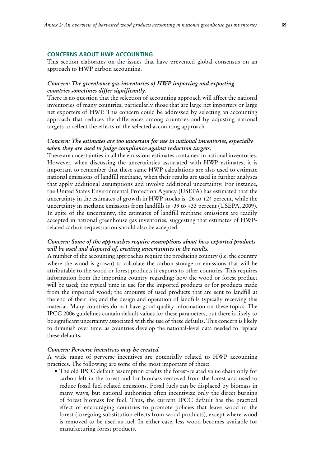#### **CONCERNS ABOUT HWP ACCOUNTING**

This section elaborates on the issues that have prevented global consensus on an approach to HWP carbon accounting.

# *Concern: The greenhouse gas inventories of HWP importing and exporting countries sometimes differ significantly.*

There is no question that the selection of accounting approach will affect the national inventories of many countries, particularly those that are large net importers or large net exporters of HWP. This concern could be addressed by selecting an accounting approach that reduces the differences among countries and by adjusting national targets to reflect the effects of the selected accounting approach.

## *Concern: The estimates are too uncertain for use in national inventories, especially when they are used to judge compliance against reduction targets.*

There are uncertainties in all the emissions estimates contained in national inventories. However, when discussing the uncertainties associated with HWP estimates, it is important to remember that these same HWP calculations are also used to estimate national emissions of landfill methane, when their results are used in further analyses that apply additional assumptions and involve additional uncertainty. For instance, the United States Environmental Protection Agency (USEPA) has estimated that the uncertainty in the estimates of growth in HWP stocks is  $-26$  to  $+24$  percent, while the uncertainty in methane emissions from landfills is -39 to +33 percent (USEPA, 2009). In spite of the uncertainty, the estimates of landfill methane emissions are readily accepted in national greenhouse gas inventories, suggesting that estimates of HWPrelated carbon sequestration should also be accepted.

# *Concern: Some of the approaches require assumptions about how exported products will be used and disposed of, creating uncertainties in the results.*

A number of the accounting approaches require the producing country (i.e. the country where the wood is grown) to calculate the carbon storage or emissions that will be attributable to the wood or forest products it exports to other countries. This requires information from the importing country regarding: how the wood or forest product will be used; the typical time in use for the imported products or for products made from the imported wood; the amounts of used products that are sent to landfill at the end of their life; and the design and operation of landfills typically receiving this material. Many countries do not have good-quality information on these topics. The IPCC 2006 guidelines contain default values for these parameters, but there is likely to be significant uncertainty associated with the use of these defaults. This concern is likely to diminish over time, as countries develop the national-level data needed to replace these defaults.

#### *Concern: Perverse incentives may be created.*

A wide range of perverse incentives are potentially related to HWP accounting practices. The following are some of the most important of these:

• The old IPCC default assumption credits the forest-related value chain only for carbon left in the forest and for biomass removed from the forest and used to reduce fossil fuel-related emissions. Fossil fuels can be displaced by biomass in many ways, but national authorities often incentivize only the direct burning of forest biomass for fuel. Thus, the current IPCC default has the practical effect of encouraging countries to promote policies that leave wood in the forest (foregoing substitution effects from wood products), except where wood is removed to be used as fuel. In either case, less wood becomes available for manufacturing forest products.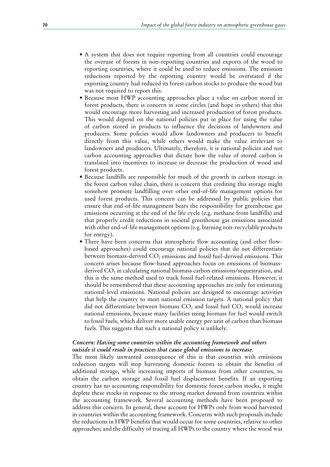- A system that does not require reporting from all countries could encourage the overuse of forests in non-reporting countries and exports of the wood to reporting countries, where it could be used to reduce emissions. The emission reductions reported by the reporting country would be overstated if the exporting country had reduced its forest carbon stocks to produce the wood but was not required to report this.
- Because most HWP accounting approaches place a value on carbon stored in forest products, there is concern in some circles (and hope in others) that this would encourage more harvesting and increased production of forest products. This would depend on the national policies put in place for using the value of carbon stored in products to influence the decisions of landowners and producers. Some policies would allow landowners and producers to benefit directly from this value, while others would make the value irrelevant to landowners and producers. Ultimately, therefore, it is national policies and not carbon accounting approaches that dictate how the value of stored carbon is translated into incentives to increase or decrease the production of wood and forest products.
- Because landfills are responsible for much of the growth in carbon storage in the forest carbon value chain, there is concern that crediting this storage might somehow promote landfilling over other end-of-life management options for used forest products. This concern can be addressed by public policies that ensure that end-of-life management bears the responsibility for greenhouse gas emissions occurring at the end of the life cycle (e.g. methane from landfills) and that properly credit reductions in societal greenhouse gas emissions associated with other end-of-life management options (e.g. burning non-recyclable products for energy).
- There have been concerns that atmospheric flow accounting (and other flowbased approaches) could encourage national policies that do not differentiate between biomass-derived CO<sub>2</sub> emissions and fossil fuel-derived emissions. This concern arises because flow-based approaches focus on emissions of biomassderived  $CO<sub>2</sub>$  in calculating national biomass carbon emissions/sequestration, and this is the same method used to track fossil fuel-related emissions. However, it should be remembered that these accounting approaches are only for estimating national-level emissions. National policies are designed to encourage activities that help the country to meet national emission targets. A national policy that did not differentiate between biomass  $CO<sub>2</sub>$  and fossil fuel  $CO<sub>2</sub>$  would increase national emissions, because many facilities using biomass for fuel would switch to fossil fuels, which deliver more usable energy per unit of carbon than biomass fuels. This suggests that such a national policy is unlikely.

# *Concern: Having some countries within the accounting framework and others outside it could result in practices that cause global emissions to increase.*

The most likely unwanted consequence of this is that countries with emissions reduction targets will stop harvesting domestic forests to obtain the benefits of additional storage, while increasing imports of biomass from other countries, to obtain the carbon storage and fossil fuel displacement benefits. If an exporting country has no accounting responsibility for domestic forest carbon stocks, it might deplete these stocks in response to the strong market demand from countries within the accounting framework. Several accounting methods have been proposed to address this concern. In general, these account for HWPs only from wood harvested in countries within the accounting framework. Concerns with such proposals include the reductions in HWP benefits that would occur for some countries, relative to other approaches; and the difficulty of tracing all HWPs to the country where the wood was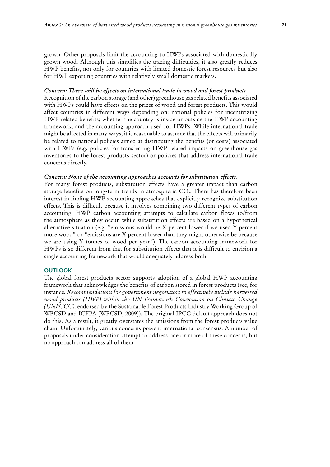grown. Other proposals limit the accounting to HWPs associated with domestically grown wood. Although this simplifies the tracing difficulties, it also greatly reduces HWP benefits, not only for countries with limited domestic forest resources but also for HWP exporting countries with relatively small domestic markets.

#### *Concern: There will be effects on international trade in wood and forest products.*

Recognition of the carbon storage (and other) greenhouse gas related benefits associated with HWPs could have effects on the prices of wood and forest products. This would affect countries in different ways depending on: national policies for incentivizing HWP-related benefits; whether the country is inside or outside the HWP accounting framework; and the accounting approach used for HWPs. While international trade might be affected in many ways, it is reasonable to assume that the effects will primarily be related to national policies aimed at distributing the benefits (or costs) associated with HWPs (e.g. policies for transferring HWP-related impacts on greenhouse gas inventories to the forest products sector) or policies that address international trade concerns directly.

#### *Concern: None of the accounting approaches accounts for substitution effects.*

For many forest products, substitution effects have a greater impact than carbon storage benefits on long-term trends in atmospheric CO<sub>2</sub>. There has therefore been interest in finding HWP accounting approaches that explicitly recognize substitution effects. This is difficult because it involves combining two different types of carbon accounting. HWP carbon accounting attempts to calculate carbon flows to/from the atmosphere as they occur, while substitution effects are based on a hypothetical alternative situation (e.g. "emissions would be X percent lower if we used Y percent more wood" or "emissions are X percent lower than they might otherwise be because we are using Y tonnes of wood per year"). The carbon accounting framework for HWPs is so different from that for substitution effects that it is difficult to envision a single accounting framework that would adequately address both.

#### **OUTLOOK**

The global forest products sector supports adoption of a global HWP accounting framework that acknowledges the benefits of carbon stored in forest products (see, for instance, *Recommendations for government negotiators to effectively include harvested wood products (HWP) within the UN Framework Convention on Climate Change (UNFCCC),* endorsed by the Sustainable Forest Products Industry Working Group of WBCSD and ICFPA [WBCSD, 2009]). The original IPCC default approach does not do this. As a result, it greatly overstates the emissions from the forest products value chain. Unfortunately, various concerns prevent international consensus. A number of proposals under consideration attempt to address one or more of these concerns, but no approach can address all of them.